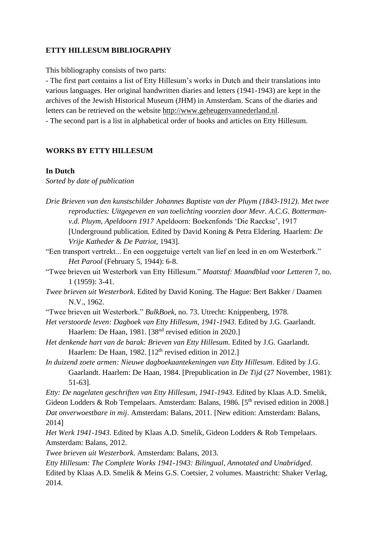## **ETTY HILLESUM BIBLIOGRAPHY**

This bibliography consists of two parts:

- The first part contains a list of Etty Hillesum's works in Dutch and their translations into various languages. Her original handwritten diaries and letters (1941-1943) are kept in the archives of the Jewish Historical Museum (JHM) in Amsterdam. Scans of the diaries and letters can be retrieved on the website [http://www.geheugenvannederland.nl.](http://www.geheugenvannederland.nl/)

- The second part is a list in alphabetical order of books and articles on Etty Hillesum.

# **WORKS BY ETTY HILLESUM**

#### **In Dutch**

*Sorted by date of publication*

- *Drie Brieven van den kunstschilder Johannes Baptiste van der Pluym (1843-1912)*. *Met twee reproducties: Uitgegeven en van toelichting voorzien door Mevr. A.C.G. Bottermanv.d. Pluym, Apeldoorn 1917* Apeldoorn: Boekenfonds 'Die Raeckse', 1917 [Underground publication. Edited by David Koning & Petra Eldering. Haarlem: *De Vrije Katheder* & *De Patriot*, 1943].
- "Een transport vertrekt... En een ooggetuige vertelt van lief en leed in en om Westerbork." *Het Parool* (February 5, 1944): 6-8.
- "Twee brieven uit Westerbork van Etty Hillesum." *Maatstaf: Maandblad voor Letteren* 7, no. 1 (1959): 3-41.
- *Twee brieven uit Westerbork*. Edited by David Koning. The Hague: Bert Bakker / Daamen N.V., 1962.
- "Twee brieven uit Westerbork." *BulkBoek*, no. 73. Utrecht: Knippenberg, 1978.
- *Het verstoorde leven: Dagboek van Etty Hillesum, 1941-1943*. Edited by J.G. Gaarlandt. Haarlem: De Haan, 1981. [38<sup>nd</sup> revised edition in 2020.]
- *Het denkende hart van de barak: Brieven van Etty Hillesum*. Edited by J.G. Gaarlandt. Haarlem: De Haan, 1982. [12<sup>th</sup> revised edition in 2012.]
- *In duizend zoete armen: Nieuwe dagboekaantekeningen van Etty Hillesum*. Edited by J.G. Gaarlandt. Haarlem: De Haan, 1984. [Prepublication in *De Tijd* (27 November, 1981): 51-63].

*Etty: De nagelaten geschriften van Etty Hillesum, 1941-1943*. Edited by Klaas A.D. Smelik, Gideon Lodders & Rob Tempelaars. Amsterdam: Balans, 1986. [ $5<sup>th</sup>$  revised edition in 2008.] *Dat onverwoestbare in mij*. Amsterdam: Balans, 2011. [New edition: Amsterdam: Balans, 2014]

*Het Werk 1941-1943*. Edited by Klaas A.D. Smelik, Gideon Lodders & Rob Tempelaars. Amsterdam: Balans, 2012.

*Twee brieven uit Westerbork.* Amsterdam: Balans, 2013*.*

*Etty Hillesum: The Complete Works 1941-1943: Bilingual, Annotated and Unabridged*. Edited by Klaas A.D. Smelik & Meins G.S. Coetsier, 2 volumes. Maastricht: Shaker Verlag, 2014.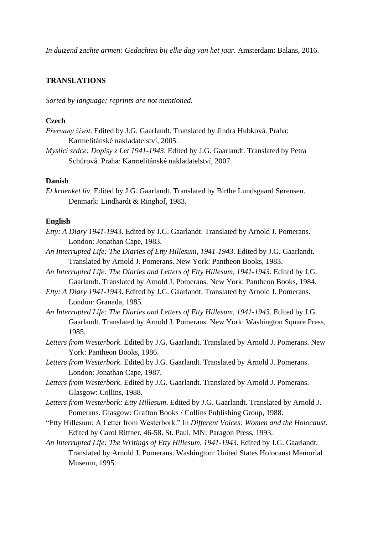*In duizend zachte armen: Gedachten bij elke dag van het jaar.* Amsterdam: Balans, 2016.

#### **TRANSLATIONS**

*Sorted by language; reprints are not mentioned.*

#### **Czech**

- *Přervaný živót*. Edited by J.G. Gaarlandt. Translated by Jindra Hubková. Praha: Karmelitánské nakladatelství, 2005.
- *Myslící srdce: Dopisy z Let 1941-1943*. Edited by J.G. Gaarlandt. Translated by Petra Schürová. Praha: Karmelitánské nakladatelství, 2007.

### **Danish**

*Et kraenket liv*. Edited by J.G. Gaarlandt. Translated by Birthe Lundsgaard Sørensen. Denmark: Lindhardt & Ringhof, 1983.

## **English**

- *Etty: A Diary 1941-1943*. Edited by J.G. Gaarlandt. Translated by Arnold J. Pomerans. London: Jonathan Cape, 1983.
- *An Interrupted Life: The Diaries of Etty Hillesum, 1941-1943*. Edited by J.G. Gaarlandt. Translated by Arnold J. Pomerans. New York: Pantheon Books, 1983.
- An Interrupted Life: The Diaries and Letters of Etty Hillesum, 1941-1943. Edited by J.G. Gaarlandt. Translated by Arnold J. Pomerans. New York: Pantheon Books, 1984.
- *Etty: A Diary 1941-1943*. Edited by J.G. Gaarlandt. Translated by Arnold J. Pomerans. London: Granada, 1985.
- An Interrupted Life: The Diaries and Letters of Etty Hillesum, 1941-1943. Edited by J.G. Gaarlandt. Translated by Arnold J. Pomerans. New York: Washington Square Press, 1985.
- *Letters from Westerbork*. Edited by J.G. Gaarlandt. Translated by Arnold J. Pomerans. New York: Pantheon Books, 1986.
- *Letters from Westerbork*. Edited by J.G. Gaarlandt. Translated by Arnold J. Pomerans. London: Jonathan Cape, 1987.
- *Letters from Westerbork*. Edited by J.G. Gaarlandt. Translated by Arnold J. Pomerans. Glasgow: Collins, 1988.
- *Letters from Westerbork: Etty Hillesum*. Edited by J.G. Gaarlandt. Translated by Arnold J. Pomerans. Glasgow: Grafton Books / Collins Publishing Group, 1988.
- "Etty Hillesum: A Letter from Westerbork." In *Different Voices: Women and the Holocaust*. Edited by Carol Rittner, 46-58. St. Paul, MN: Paragon Press, 1993.
- *An Interrupted Life: The Writings of Etty Hillesum, 1941-1943*. Edited by J.G. Gaarlandt. Translated by Arnold J. Pomerans. Washington: United States Holocaust Memorial Museum, 1995.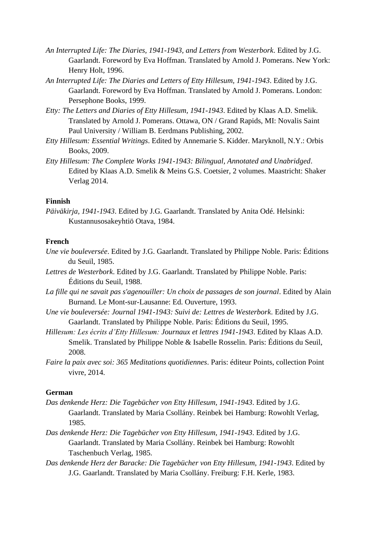- *An Interrupted Life: The Diaries, 1941-1943, and Letters from Westerbork*. Edited by J.G. Gaarlandt. Foreword by Eva Hoffman. Translated by Arnold J. Pomerans. New York: Henry Holt, 1996.
- *An Interrupted Life: The Diaries and Letters of Etty Hillesum, 1941-1943*. Edited by J.G. Gaarlandt. Foreword by Eva Hoffman. Translated by Arnold J. Pomerans. London: Persephone Books, 1999.
- *Etty: The Letters and Diaries of Etty Hillesum, 1941-1943*. Edited by Klaas A.D. Smelik. Translated by Arnold J. Pomerans. Ottawa, ON / Grand Rapids, MI: Novalis Saint Paul University / William B. Eerdmans Publishing, 2002.
- *Etty Hillesum: Essential Writings*. Edited by Annemarie S. Kidder. Maryknoll, N.Y.: Orbis Books, 2009.
- *Etty Hillesum: The Complete Works 1941-1943: Bilingual, Annotated and Unabridged*. Edited by Klaas A.D. Smelik & Meins G.S. Coetsier, 2 volumes. Maastricht: Shaker Verlag 2014.

### **Finnish**

*Päiväkirja, 1941-1943*. Edited by J.G. Gaarlandt. Translated by Anita Odé. Helsinki: Kustannusosakeyhtiö Otava, 1984.

#### **French**

- *Une vie bouleversée*. Edited by J.G. Gaarlandt. Translated by Philippe Noble. Paris: Éditions du Seuil, 1985.
- *Lettres de Westerbork*. Edited by J.G. Gaarlandt. Translated by Philippe Noble. Paris: Éditions du Seuil, 1988.
- *La fille qui ne savait pas s'agenouiller: Un choix de passages de son journal*. Edited by Alain Burnand. Le Mont-sur-Lausanne: Ed. Ouverture, 1993.
- *Une vie bouleversée: Journal 1941-1943: Suivi de: Lettres de Westerbork*. Edited by J.G. Gaarlandt. Translated by Philippe Noble. Paris: Éditions du Seuil, 1995.
- *Hillesum: Les écrits d'Etty Hillesum: Journaux et lettres 1941-1943*. Edited by Klaas A.D. Smelik. Translated by Philippe Noble & Isabelle Rosselin. Paris: Éditions du Seuil, 2008.
- *Faire la paix avec soi: 365 Meditations quotidiennes*. Paris: éditeur Points, collection Point vivre, 2014.

### **German**

- *Das denkende Herz: Die Tagebücher von Etty Hillesum, 1941-1943*. Edited by J.G. Gaarlandt. Translated by Maria Csollány. Reinbek bei Hamburg: Rowohlt Verlag, 1985.
- *Das denkende Herz: Die Tagebücher von Etty Hillesum, 1941-1943*. Edited by J.G. Gaarlandt. Translated by Maria Csollány. Reinbek bei Hamburg: Rowohlt Taschenbuch Verlag, 1985.
- *Das denkende Herz der Baracke: Die Tagebücher von Etty Hillesum, 1941-1943*. Edited by J.G. Gaarlandt. Translated by Maria Csollány. Freiburg: F.H. Kerle, 1983.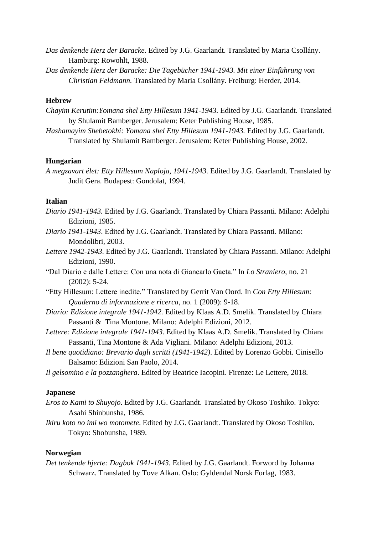- *Das denkende Herz der Baracke.* Edited by J.G. Gaarlandt. Translated by Maria Csollány. Hamburg: Rowohlt, 1988.
- *Das denkende Herz der Baracke: Die Tagebücher 1941-1943. Mit einer Einführung von Christian Feldmann.* Translated by Maria Csollány. Freiburg: Herder, 2014.

## **Hebrew**

- *Chayim Kerutim:Yomana shel Etty Hillesum 1941-1943.* Edited by J.G. Gaarlandt. Translated by Shulamit Bamberger. Jerusalem: Keter Publishing House, 1985.
- *Hashamayim Shebetokhi: Yomana shel Etty Hillesum 1941-1943.* Edited by J.G. Gaarlandt. Translated by Shulamit Bamberger. Jerusalem: Keter Publishing House, 2002.

#### **Hungarian**

*A megzavart élet: Etty Hillesum Naploja, 1941-1943*. Edited by J.G. Gaarlandt. Translated by Judit Gera. Budapest: Gondolat, 1994.

### **Italian**

- *Diario 1941-1943.* Edited by J.G. Gaarlandt. Translated by Chiara Passanti. Milano: Adelphi Edizioni, 1985.
- *Diario 1941-1943*. Edited by J.G. Gaarlandt. Translated by Chiara Passanti. Milano: Mondolibri, 2003.
- *Lettere 1942-1943*. Edited by J.G. Gaarlandt. Translated by Chiara Passanti. Milano: Adelphi Edizioni, 1990.
- "Dal Diario e dalle Lettere: Con una nota di Giancarlo Gaeta." In *Lo Straniero*, no. 21 (2002): 5-24.
- "Etty Hillesum: Lettere inedite." Translated by Gerrit Van Oord. In *Con Etty Hillesum: Quaderno di informazione e ricerca*, no. 1 (2009): 9-18.
- *Diario: Edizione integrale 1941-1942.* Edited by Klaas A.D. Smelik. Translated by Chiara Passanti & Tina Montone. Milano: Adelphi Edizioni, 2012.
- *Lettere: Edizione integrale 1941-1943*. Edited by Klaas A.D. Smelik. Translated by Chiara Passanti, Tina Montone & Ada Vigliani. Milano: Adelphi Edizioni, 2013.
- *Il bene quotidiano: Brevario dagli scritti (1941-1942)*. Edited by Lorenzo Gobbi. Cinisello Balsamo: Edizioni San Paolo, 2014.
- *Il gelsomino e la pozzanghera*. Edited by Beatrice Iacopini. Firenze: Le Lettere, 2018.

### **Japanese**

- *Eros to Kami to Shuyojo*. Edited by J.G. Gaarlandt. Translated by Okoso Toshiko. Tokyo: Asahi Shinbunsha, 1986.
- *Ikiru koto no imi wo motomete*. Edited by J.G. Gaarlandt. Translated by Okoso Toshiko. Tokyo: Shobunsha, 1989.

### **Norwegian**

*Det tenkende hjerte: Dagbok 1941-1943.* Edited by J.G. Gaarlandt. Forword by Johanna Schwarz. Translated by Tove Alkan. Oslo: Gyldendal Norsk Forlag, 1983.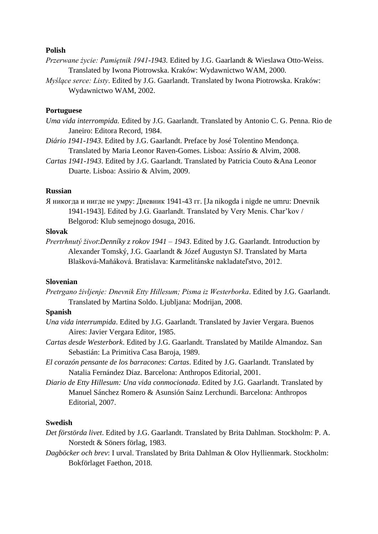### **Polish**

- *Przerwane życie: Pamiętnik 1941-1943.* Edited by J.G. Gaarlandt & Wieslawa Otto-Weiss. Translated by Iwona Piotrowska. Kraków: Wydawnictwo WAM, 2000.
- *Myślące serce: Listy*. Edited by J.G. Gaarlandt. Translated by Iwona Piotrowska. Kraków: Wydawnictwo WAM, 2002.

### **Portuguese**

- *Uma vida interrompida.* Edited by J.G. Gaarlandt. Translated by Antonio C. G. Penna. Rio de Janeiro: Editora Record, 1984.
- *Diário 1941-1943*. Edited by J.G. Gaarlandt. Preface by José Tolentino Mendonça. Translated by Maria Leonor Raven-Gomes. Lisboa: Assírio & Alvim, 2008.
- *Cartas 1941-1943*. Edited by J.G. Gaarlandt. Translated by Patricia Couto &Ana Leonor Duarte. Lisboa: Assirio & Alvim, 2009.

## **Russian**

Я никогда и нигде не умру: Дневник 1941-43 гг. [Ja nikogda i nigde ne umru: Dnevnik 1941-1943]. Edited by J.G. Gaarlandt. Translated by Very Menis. Char'kov / Belgorod: Klub semejnogo dosuga, 2016.

#### **Slovak**

*Prertrhnutý život*:*Denníky z rokov 1941 – 1943*. Edited by J.G. Gaarlandt. Introduction by Alexander Tomský, J.G. Gaarlandt & Józef Augustyn SJ. Translated by Marta Blašková-Maňáková. Bratislava: Karmelitánske nakladateľstvo, 2012.

#### **Slovenian**

*Pretrgano življenje: Dnevnik Etty Hillesum; Pisma iz Westerborka*. Edited by J.G. Gaarlandt. Translated by Martina Soldo. Ljubljana: Modrijan, 2008.

# **Spanish**

- *Una vida interrumpida*. Edited by J.G. Gaarlandt. Translated by Javier Vergara. Buenos Aires: Javier Vergara Editor, 1985.
- *Cartas desde Westerbork*. Edited by J.G. Gaarlandt. Translated by Matilde Almandoz. San Sebastián: La Primitiva Casa Baroja, 1989.
- *El corazón pensante de los barracones*: *Cartas*. Edited by J.G. Gaarlandt. Translated by Natalia Fernández Díaz. Barcelona: Anthropos Editorial, 2001.
- *Diario de Etty Hillesum: Una vida conmocionada*. Edited by J.G. Gaarlandt. Translated by Manuel Sánchez Romero & Asunsión Sainz Lerchundi. Barcelona: Anthropos Editorial, 2007.

### **Swedish**

- *Det förstörda livet*. Edited by J.G. Gaarlandt. Translated by Brita Dahlman. Stockholm: P. A. Norstedt & Söners förlag, 1983.
- *Dagböcker och brev*: I urval. Translated by Brita Dahlman & Olov Hyllienmark. Stockholm: Bokförlaget Faethon, 2018.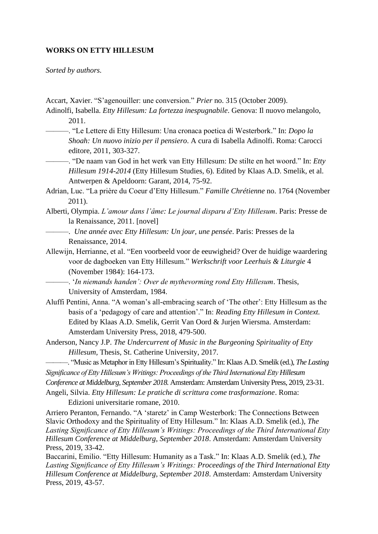### **WORKS ON ETTY HILLESUM**

*Sorted by authors.*

- Accart, Xavier. "S'agenouiller: une conversion." *Prier* no. 315 (October 2009).
- Adinolfi, Isabella. *Etty Hillesum: La fortezza inespugnabile*. Genova: Il nuovo melangolo, 2011.
- ———. "Le Lettere di Etty Hillesum: Una cronaca poetica di Westerbork." In: *Dopo la Shoah: Un nuovo inizio per il pensiero*. A cura di Isabella Adinolfi. Roma: Carocci editore, 2011, 303-327.
- ———. "De naam van God in het werk van Etty Hillesum: De stilte en het woord." In: *Etty Hillesum 1914-2014* (Etty Hillesum Studies, 6). Edited by Klaas A.D. Smelik, et al. Antwerpen & Apeldoorn: Garant, 2014, 75-92.
- Adrian, Luc. "La prière du Coeur d'Etty Hillesum." *Famille Chrétienne* no. 1764 (November 2011).
- Alberti, Olympia. *L'amour dans l'âme: Le journal disparu d'Etty Hillesum*. Paris: Presse de la Renaissance, 2011. [novel]
	- ———. *Une année avec Etty Hillesum: Un jour, une pensée*. Paris: Presses de la Renaissance, 2014.
- Allewijn, Herrianne, et al. "Een voorbeeld voor de eeuwigheid? Over de huidige waardering voor de dagboeken van Etty Hillesum." *Werkschrift voor Leerhuis & Liturgie* 4 (November 1984): 164-173.
	- ———. '*In niemands handen': Over de mythevorming rond Etty Hillesum*. Thesis, University of Amsterdam, 1984.
- Aluffi Pentini, Anna. "A woman's all-embracing search of 'The other': Etty Hillesum as the basis of a 'pedagogy of care and attention'." In: *Reading Etty Hillesum in Context.*  Edited by Klaas A.D. Smelik, Gerrit Van Oord & Jurjen Wiersma. Amsterdam: Amsterdam University Press, 2018, 479-500.
- Anderson, Nancy J.P. *The Undercurrent of Music in the Burgeoning Spirituality of Etty Hillesum,* Thesis, St. Catherine University, 2017.
- ———. "Music as Metaphor in Etty Hillesum's Spirituality." In: Klaas A.D. Smelik (ed.), *The Lasting Significance of Etty Hillesum's Writings: Proceedings of the Third International Etty Hillesum*
- *Conference at Middelburg, September 2018.* Amsterdam: Amsterdam University Press, 2019, 23-31.
- Angeli, Silvia. *Etty Hillesum: Le pratiche di scrittura come trasformazione*. Roma: Edizioni universitarie romane, 2010.

Arriero Peranton, Fernando. "A 'staretz' in Camp Westerbork: The Connections Between Slavic Orthodoxy and the Spirituality of Etty Hillesum." In: Klaas A.D. Smelik (ed.), *The Lasting Significance of Etty Hillesum's Writings: Proceedings of the Third International Etty Hillesum Conference at Middelburg, September 2018*. Amsterdam: Amsterdam University Press, 2019, 33-42.

Baccarini, Emilio. "Etty Hillesum: Humanity as a Task." In: Klaas A.D. Smelik (ed.), *The Lasting Significance of Etty Hillesum's Writings: Proceedings of the Third International Etty Hillesum Conference at Middelburg, September 2018*. Amsterdam: Amsterdam University Press, 2019, 43-57.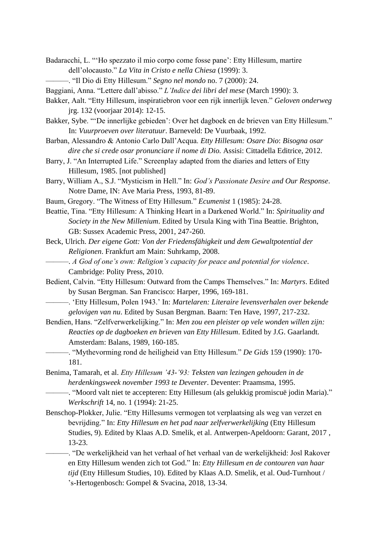- Badaracchi, L. "'Ho spezzato il mio corpo come fosse pane': Etty Hillesum, martire dell'olocausto." *La Vita in Cristo e nella Chiesa* (1999): 3.
	- ———. "Il Dio di Etty Hillesum." *Segno nel mondo* no. 7 (2000): 24.
- Baggiani, Anna. "Lettere dall'abisso." *L'Indice dei libri del mese* (March 1990): 3.
- Bakker, Aalt. "Etty Hillesum, inspiratiebron voor een rijk innerlijk leven." *Geloven onderweg*  jrg. 132 (voorjaar 2014): 12-15.
- Bakker, Sybe. "'De innerlijke gebieden': Over het dagboek en de brieven van Etty Hillesum." In: *Vuurproeven over literatuur*. Barneveld: De Vuurbaak, 1992.
- Barban, Alessandro & Antonio Carlo Dall'Acqua. *Etty Hillesum: Osare Dio*: *Bisogna osar dire che si crede osar pronunciare il nome di Dio.* Assisi: Cittadella Editrice, 2012.
- Barry, J. "An Interrupted Life." Screenplay adapted from the diaries and letters of Etty Hillesum, 1985. [not published]
- Barry, William A., S.J. "Mysticism in Hell." In: *God's Passionate Desire and Our Response*. Notre Dame, IN: Ave Maria Press, 1993, 81-89.
- Baum, Gregory. "The Witness of Etty Hillesum." *Ecumenist* 1 (1985): 24-28.
- Beattie, Tina. "Etty Hillesum: A Thinking Heart in a Darkened World." In: *Spirituality and Society in the New Millenium*. Edited by Ursula King with Tina Beattie. Brighton, GB: Sussex Academic Press, 2001, 247-260.
- Beck, Ulrich. *Der eigene Gott: Von der Friedensfähigkeit und dem Gewaltpotential der Religionen*. Frankfurt am Main: Suhrkamp, 2008.
	- ———. *A God of one's own: Religion's capacity for peace and potential for violence*. Cambridge: Polity Press, 2010.
- Bedient, Calvin. "Etty Hillesum: Outward from the Camps Themselves." In: *Martyrs*. Edited by Susan Bergman. San Francisco: Harper, 1996, 169-181.
- ———. 'Etty Hillesum, Polen 1943.' In: *Martelaren: Literaire levensverhalen over bekende gelovigen van nu*. Edited by Susan Bergman. Baarn: Ten Have, 1997, 217-232.
- Bendien, Hans. "Zelfverwerkelijking." In: *Men zou een pleister op vele wonden willen zijn: Reacties op de dagboeken en brieven van Etty Hillesum*. Edited by J.G. Gaarlandt. Amsterdam: Balans, 1989, 160-185.
	- ———. "Mythevorming rond de heiligheid van Etty Hillesum." *De Gids* 159 (1990): 170- 181.
- Benima, Tamarah, et al. *Etty Hillesum '43-'93: Teksten van lezingen gehouden in de herdenkingsweek november 1993 te Deventer*. Deventer: Praamsma, 1995.
	- ———. "Moord valt niet te accepteren: Etty Hillesum (als gelukkig promiscuë jodin Maria)." *Werkschrift* 14, no. 1 (1994): 21-25.
- Benschop-Plokker, Julie. "Etty Hillesums vermogen tot verplaatsing als weg van verzet en bevrijding." In: *Etty Hillesum en het pad naar zelfverwerkelijking* (Etty Hillesum Studies, 9). Edited by Klaas A.D. Smelik, et al. Antwerpen-Apeldoorn: Garant, 2017 , 13-23.
	- ———. "De werkelijkheid van het verhaal of het verhaal van de werkelijkheid: Josl Rakover en Etty Hillesum wenden zich tot God." In: *Etty Hillesum en de contouren van haar tijd* (Etty Hillesum Studies, 10). Edited by Klaas A.D. Smelik, et al. Oud-Turnhout / 's-Hertogenbosch: Gompel & Svacina, 2018, 13-34.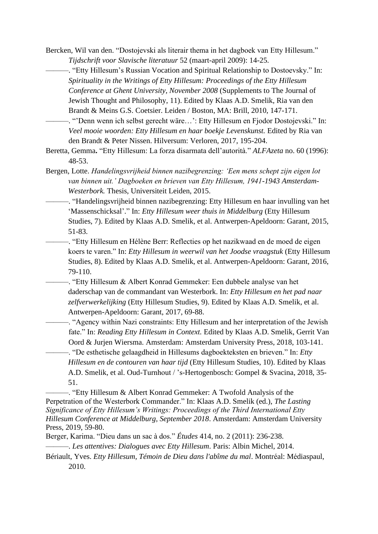Bercken, Wil van den. "Dostojevski als literair thema in het dagboek van Etty Hillesum." *Tijdschrift voor Slavische literatuur* 52 (maart-april 2009): 14-25.

———. "Etty Hillesum's Russian Vocation and Spiritual Relationship to Dostoevsky." In: *Spirituality in the Writings of Etty Hillesum: Proceedings of the Etty Hillesum Conference at Ghent University, November 2008* (Supplements to The Journal of Jewish Thought and Philosophy, 11). Edited by Klaas A.D. Smelik, Ria van den Brandt & Meins G.S. Coetsier. Leiden / Boston, MA: Brill, 2010, 147-171.

———. "'Denn wenn ich selbst gerecht wäre…': Etty Hillesum en Fjodor Dostojevski." In: *Veel mooie woorden: Etty Hillesum en haar boekje Levenskunst.* Edited by Ria van den Brandt & Peter Nissen. Hilversum: Verloren, 2017, 195-204.

- Beretta, Gemma**.** "Etty Hillesum: La forza disarmata dell'autorità." *ALFAzeta* no. 60 (1996): 48-53.
- Bergen, Lotte. *Handelingsvrijheid binnen nazibegrenzing: 'Een mens schept zijn eigen lot van binnen uit.' Dagboeken en brieven van Etty Hillesum, 1941-1943 Amsterdam-Westerbork.* Thesis, Universiteit Leiden, 2015.
	- ———. "Handelingsvrijheid binnen nazibegrenzing: Etty Hillesum en haar invulling van het 'Massenschicksal'." In: *Etty Hillesum weer thuis in Middelburg* (Etty Hillesum Studies, 7). Edited by Klaas A.D. Smelik, et al. Antwerpen-Apeldoorn: Garant, 2015, 51-83.

———. "Etty Hillesum en Hélène Berr: Reflecties op het nazikwaad en de moed de eigen koers te varen." In: *Etty Hillesum in weerwil van het Joodse vraagstuk* (Etty Hillesum Studies, 8). Edited by Klaas A.D. Smelik, et al. Antwerpen-Apeldoorn: Garant, 2016, 79-110.

———. "Etty Hillesum & Albert Konrad Gemmeker: Een dubbele analyse van het daderschap van de commandant van Westerbork. In: *Etty Hillesum en het pad naar zelfverwerkelijking* (Etty Hillesum Studies, 9). Edited by Klaas A.D. Smelik, et al. Antwerpen-Apeldoorn: Garant, 2017, 69-88.

———. "Agency within Nazi constraints: Etty Hillesum and her interpretation of the Jewish fate." In: *Reading Etty Hillesum in Context.* Edited by Klaas A.D. Smelik, Gerrit Van Oord & Jurjen Wiersma. Amsterdam: Amsterdam University Press, 2018, 103-141.

———. "De esthetische gelaagdheid in Hillesums dagboekteksten en brieven." In: *Etty Hillesum en de contouren van haar tijd* (Etty Hillesum Studies, 10). Edited by Klaas A.D. Smelik, et al. Oud-Turnhout / 's-Hertogenbosch: Gompel & Svacina, 2018, 35- 51.

-. "Etty Hillesum & Albert Konrad Gemmeker: A Twofold Analysis of the Perpetration of the Westerbork Commander." In: Klaas A.D. Smelik (ed.), *The Lasting Significance of Etty Hillesum's Writings: Proceedings of the Third International Etty Hillesum Conference at Middelburg, September 2018*. Amsterdam: Amsterdam University Press, 2019, 59-80.

Berger, Karima. "Dieu dans un sac à dos." *Études* 414, no. 2 (2011): 236-238.

———. *Les attentives: Dialogues avec Etty Hillesum*. Paris: Albin Michel, 2014.

Bériault, Yves. *Etty Hillesum, Témoin de Dieu dans l'abîme du mal*. Montréal: Médiaspaul, 2010.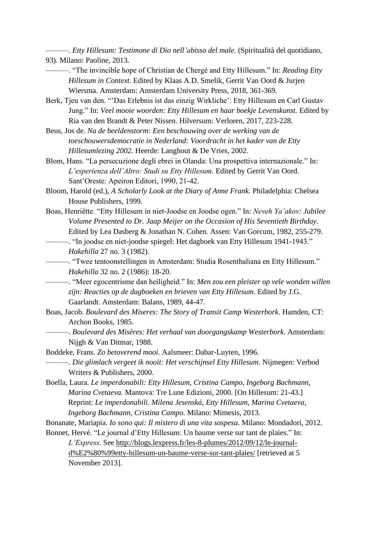———. *Etty Hillesum: Testimone di Dio nell'abisso del male.* (Spiritualità del quotidiano, 93). Milano: Paoline, 2013.

- ———. "The invincible hope of Christian de Chergé and Etty Hillesum." In: *Reading Etty Hillesum in Context.* Edited by Klaas A.D. Smelik, Gerrit Van Oord & Jurjen Wiersma. Amsterdam: Amsterdam University Press, 2018, 361-369.
- Berk, Tjeu van den. "'Das Erlebnis ist das einzig Wirkliche': Etty Hillesum en Carl Gustav Jung." In: *Veel mooie woorden: Etty Hillesum en haar boekje Levenskunst.* Edited by Ria van den Brandt & Peter Nissen. Hilversum: Verloren, 2017, 223-228.
- Beus, Jos de. *Na de beeldenstorm: Een beschouwing over de werking van de toeschouwersdemocratie in Nederland: Voordracht in het kader van de Etty Hillesumlezing 2002*. Heerde: Langhout & De Vries, 2002.
- Blom, Hans. "La persecuzione degli ebrei in Olanda: Una prospettiva internazionale." In: *L'esperienza dell'Altro: Studi su Etty Hillesum*. Edited by Gerrit Van Oord. Sant'Oreste: Apeiron Editori, 1990, 21-42.
- Bloom, Harold (ed.), *A Scholarly Look at the Diary of Anne Frank.* Philadelphia: Chelsea House Publishers, 1999.
- Boas, Henriëtte. "Etty Hillesum in niet-Joodse en Joodse ogen." In: *Neveh Ya'akov: Jubilee Volume Presented to Dr. Jaap Meijer on the Occasion of His Seventieth Birthday.*  Edited by Lea Dasberg & Jonathan N. Cohen*.* Assen: Van Gorcum, 1982, 255-279. ———. "In joodse en niet-joodse spiegel: Het dagboek van Etty Hillesum 1941-1943." *Hakehilla* 27 no. 3 (1982).

———. "Twee tentoonstellingen in Amsterdam: Studia Rosenthaliana en Etty Hillesum." *Hakehilla* 32 no. 2 (1986): 18-20.

———. "Meer egocentrisme dan heiligheid." In: *Men zou een pleister op vele wonden willen zijn: Reacties op de dagboeken en brieven van Etty Hillesum*. Edited by J.G. Gaarlandt. Amsterdam: Balans, 1989, 44-47.

- Boas, Jacob. *Boulevard des Miseres: The Story of Transit Camp Westerbork.* Hamden, CT: Archon Books, 1985.
	- ———. *Boulevard des Misères: Het verhaal van doorgangskamp Westerbork*. Amsterdam: Nijgh & Van Ditmar, 1988.
- Boddeke, Frans. *Zo betoverend mooi*. Aalsmeer: Dabar-Luyten, 1996. ———. *Die glimlach vergeet ik nooit: Het verschijnsel Etty Hillesum.* Nijmegen: Verbod Writers & Publishers, 2000.
- Boella, Laura. *Le imperdonabili: Etty Hillesum, Cristina Campo, Ingeborg Bachmann, Marina Cvetaeva.* Mantova: Tre Lune Edizioni, 2000. [On Hillesum: 21-43.] Reprint: *Le imperdonabili. Milena Jesenská, Etty Hillesum, Marina Cvetaeva, Ingeborg Bachmann, Cristina Campo.* Milano: Mimesis, 2013.

Bonanate, Mariapia. *Io sono qui: Il mistero di una vita sospesa*. Milano: Mondadori, 2012. Bonnet, Hervé. "Le journal d'Etty Hillesum: Un baume verse sur tant de plaies." In:

*L'Express*. See [http://blogs.lexpress.fr/les-8-plumes/2012/09/12/le-journal](http://blogs.lexpress.fr/les-8-plumes/2012/09/12/le-journal-d%E2%80%99etty-hillesum-un-baume-verse-sur-tant-plaies/)[d%E2%80%99etty-hillesum-un-baume-verse-sur-tant-plaies/](http://blogs.lexpress.fr/les-8-plumes/2012/09/12/le-journal-d%E2%80%99etty-hillesum-un-baume-verse-sur-tant-plaies/) [retrieved at 5 November 2013].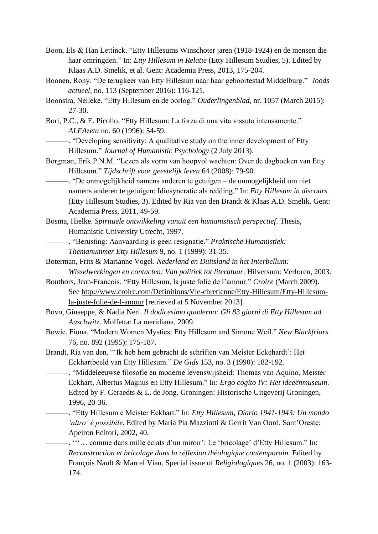- Boon, Els & Han Lettinck. "Etty Hillesums Winschoter jaren (1918-1924) en de mensen die haar omringden." In: *Etty Hillesum in Relatie* (Etty Hillesum Studies, 5). Edited by Klaas A.D. Smelik, et al. Gent: Academia Press, 2013, 175-204.
- Boonen, Rony. "De terugkeer van Etty Hillesum naar haar geboortestad Middelburg." *Joods actueel,* no. 113 (September 2016): 116-121.

Boonstra, Nelleke. "Etty Hillesum en de oorlog." *Ouderlingenblad*, nr. 1057 (March 2015): 27-30.

- Bori, P.C., & E. Picollo. "Etty Hillesum: La forza di una vita vissuta intensamente." *ALFAzeta* no. 60 (1996): 54-59.
	- ———. "Developing sensitivity: A qualitative study on the inner development of Etty Hillesum." *Journal of Humanistic Psychology* (2 July 2013).
- Borgman, Erik P.N.M. "Lezen als vorm van hoopvol wachten: Over de dagboeken van Etty Hillesum." *Tijdschrift voor geestelijk leven* 64 (2008): 79-90.
	- ———. "De onmogelijkheid namens anderen te getuigen de onmogelijkheid om niet namens anderen te getuigen: Idiosyncratie als redding." In: *Etty Hillesum in discours*  (Etty Hillesum Studies, 3). Edited by Ria van den Brandt & Klaas A.D. Smelik. Gent: Academia Press, 2011, 49-59.
- Bosma, Hielke. *Spirituele ontwikkeling vanuit een humanistisch perspectief*. Thesis, Humanistic University Utrecht, 1997.
	- ———. "Berusting: Aanvaarding is geen resignatie." *Praktische Humanistiek: Themanummer Etty Hillesum* 9, no. 1 (1999): 31-35.
- Boterman, Frits & Marianne Vogel. *Nederland en Duitsland in het Interbellum: Wisselwerkingen en contacten: Van politiek tot literatuur*. Hilversum: Verloren, 2003.
- Bouthors, Jean-Francois. "Etty Hillesum, la juste folie de l'amour." *Croire* (March 2009). See [http://www.croire.com/Definitions/Vie-chretienne/Etty-Hillesum/Etty-Hillesum](http://www.croire.com/Definitions/Vie-chretienne/Etty-Hillesum/Etty-Hillesum-la-juste-folie-de-l-amour)[la-juste-folie-de-l-amour](http://www.croire.com/Definitions/Vie-chretienne/Etty-Hillesum/Etty-Hillesum-la-juste-folie-de-l-amour) [retrieved at 5 November 2013].
- Bovo, Giuseppe, & Nadia Neri. *Il dodicesimo quaderno: Gli 83 giorni di Etty Hillesum ad Auschwitz*. Molfetta: La meridiana, 2009.
- Bowie, Fiona. "Modern Women Mystics: Etty Hillesum and Simone Weil." *New Blackfriars*  76, no. 892 (1995): 175-187.
- Brandt, Ria van den. "'Ik heb hem gebracht de schriften van Meister Eckehardt': Het Eckhartbeeld van Etty Hillesum." *De Gids* 153, no. 3 (1990): 182-192.
	- ———. "Middeleeuwse filosofie en moderne levenswijsheid: Thomas van Aquino, Meister Eckhart, Albertus Magnus en Etty Hillesum." In: *Ergo cogito IV: Het ideeënmuseum*. Edited by F. Geraedts & L. de Jong. Groningen: Historische Uitgeverij Groningen, 1996, 20-36.
	- ———. "Etty Hillesum e Meister Eckhart." In: *Etty Hillesum, Diario 1941-1943: Un mondo 'altro' è possibile*. Edited by Maria Pia Mazziotti & Gerrit Van Oord. Sant'Oreste: Apeiron Editori, 2002, 40.
		- ———. '''… comme dans mille éclats d'un miroir': Le 'bricolage' d'Etty Hillesum." In: *Reconstruction et bricolage dans la réflexion théologique contemporain.* Edited by François Nault & Marcel Viau. Special issue of *Religiologiques* 26, no. 1 (2003): 163- 174.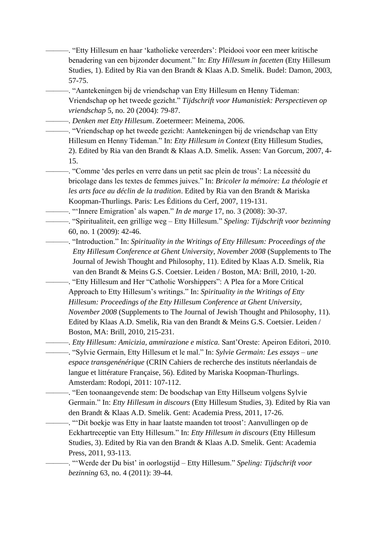———. "Etty Hillesum en haar 'katholieke vereerders': Pleidooi voor een meer kritische benadering van een bijzonder document." In: *Etty Hillesum in facetten* (Etty Hillesum Studies, 1). Edited by Ria van den Brandt & Klaas A.D. Smelik. Budel: Damon, 2003, 57-75.

———. "Aantekeningen bij de vriendschap van Etty Hillesum en Henny Tideman: Vriendschap op het tweede gezicht." *Tijdschrift voor Humanistiek: Perspectieven op vriendschap* 5, no. 20 (2004): 79-87.

———. *Denken met Etty Hillesum*. Zoetermeer: Meinema, 2006.

———. "Vriendschap op het tweede gezicht: Aantekeningen bij de vriendschap van Etty Hillesum en Henny Tideman." In: *Etty Hillesum in Context* (Etty Hillesum Studies, 2). Edited by Ria van den Brandt & Klaas A.D. Smelik. Assen: Van Gorcum, 2007, 4- 15.

———. "Comme 'des perles en verre dans un petit sac plein de trous': La nécessité du bricolage dans les textes de femmes juives." In: *Bricoler la mémoire: La théologie et les arts face au déclin de la tradition*. Edited by Ria van den Brandt & Mariska Koopman-Thurlings. Paris: Les Éditions du Cerf, 2007, 119-131.

———. "'Innere Emigration' als wapen." *In de marge* 17, no. 3 (2008): 30-37.

———. "Spiritualiteit, een grillige weg – Etty Hillesum." *Speling: Tijdschrift voor bezinning* 60, no. 1 (2009): 42-46.

———. "Introduction." In: *Spirituality in the Writings of Etty Hillesum: Proceedings of the Etty Hillesum Conference at Ghent University, November 2008* (Supplements to The Journal of Jewish Thought and Philosophy, 11). Edited by Klaas A.D. Smelik, Ria van den Brandt & Meins G.S. Coetsier. Leiden / Boston, MA: Brill, 2010, 1-20.

———. "Etty Hillesum and Her "Catholic Worshippers": A Plea for a More Critical Approach to Etty Hillesum's writings." In: *Spirituality in the Writings of Etty Hillesum: Proceedings of the Etty Hillesum Conference at Ghent University, November 2008* (Supplements to The Journal of Jewish Thought and Philosophy, 11). Edited by Klaas A.D. Smelik, Ria van den Brandt & Meins G.S. Coetsier. Leiden / Boston, MA: Brill, 2010, 215-231.

———. *Etty Hillesum: Amicizia, ammirazione e mistica.* Sant'Oreste: Apeiron Editori, 2010. ———. "Sylvie Germain, Etty Hillesum et le mal." In: *Sylvie Germain: Les essays – une espace transgenénérique* (CRIN Cahiers de recherche des instituts néerlandais de langue et littérature Française, 56). Edited by Mariska Koopman-Thurlings. Amsterdam: Rodopi, 2011: 107-112.

———. "Een toonaangevende stem: De boodschap van Etty Hillseum volgens Sylvie Germain." In: *Etty Hillesum in discours* (Etty Hillesum Studies, 3). Edited by Ria van den Brandt & Klaas A.D. Smelik. Gent: Academia Press, 2011, 17-26.

———. "ʻDit boekje was Etty in haar laatste maanden tot troost': Aanvullingen op de Eckhartreceptie van Etty Hillesum." In: *Etty Hillesum in discours* (Etty Hillesum Studies, 3). Edited by Ria van den Brandt & Klaas A.D. Smelik. Gent: Academia Press, 2011, 93-113.

———. "'Werde der Du bist' in oorlogstijd – Etty Hillesum." *Speling: Tijdschrift voor bezinning* 63, no. 4 (2011): 39-44.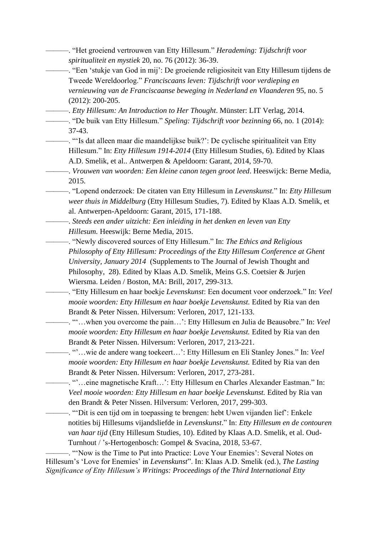———. "Het groeiend vertrouwen van Etty Hillesum." *Herademing: Tijdschrift voor spiritualiteit en mystiek* 20, no. 76 (2012): 36-39. ———. "Een 'stukje van God in mij': De groeiende religiositeit van Etty Hillesum tijdens de Tweede Wereldoorlog." *Franciscaans leven: Tijdschrift voor verdieping en vernieuwing van de Franciscaanse beweging in Nederland en Vlaanderen* 95, no. 5 (2012): 200-205. ———. *Etty Hillesum: An Introduction to Her Thought*. Münster: LIT Verlag, 2014. ———. "De buik van Etty Hillesum." *Speling: Tijdschrift voor bezinning* 66, no. 1 (2014): 37-43. ———. "'Is dat alleen maar die maandelijkse buik?': De cyclische spiritualiteit van Etty Hillesum." In: *Etty Hillesum 1914-2014* (Etty Hillesum Studies, 6). Edited by Klaas A.D. Smelik, et al.. Antwerpen & Apeldoorn: Garant, 2014, 59-70. ———. *Vrouwen van woorden: Een kleine canon tegen groot leed*. Heeswijck: Berne Media, 2015. ———. "Lopend onderzoek: De citaten van Etty Hillesum in *Levenskunst.*" In: *Etty Hillesum weer thuis in Middelburg* (Etty Hillesum Studies, 7). Edited by Klaas A.D. Smelik, et al. Antwerpen-Apeldoorn: Garant, 2015, 171-188. ———. *Steeds een ander uitzicht: Een inleiding in het denken en leven van Etty Hillesum.* Heeswijk: Berne Media, 2015. ———. "Newly discovered sources of Etty Hillesum." In: *The Ethics and Religious Philosophy of Etty Hillesum: Proceedings of the Etty Hillesum Conference at Ghent University, January 2014* (Supplements to The Journal of Jewish Thought and Philosophy, 28). Edited by Klaas A.D. Smelik, Meins G.S. Coetsier & Jurjen Wiersma. Leiden / Boston, MA: Brill, 2017, 299-313. ———. "Etty Hillesum en haar boekje *Levenskunst*: Een document voor onderzoek." In: *Veel mooie woorden: Etty Hillesum en haar boekje Levenskunst.* Edited by Ria van den Brandt & Peter Nissen. Hilversum: Verloren, 2017, 121-133. ———. "'…when you overcome the pain…': Etty Hillesum en Julia de Beausobre." In: *Veel mooie woorden: Etty Hillesum en haar boekje Levenskunst.* Edited by Ria van den Brandt & Peter Nissen. Hilversum: Verloren, 2017, 213-221. ———. "'…wie de andere wang toekeert…': Etty Hillesum en Eli Stanley Jones." In: *Veel mooie woorden: Etty Hillesum en haar boekje Levenskunst.* Edited by Ria van den Brandt & Peter Nissen. Hilversum: Verloren, 2017, 273-281. ———. "'…eine magnetische Kraft…': Etty Hillesum en Charles Alexander Eastman." In: *Veel mooie woorden: Etty Hillesum en haar boekje Levenskunst.* Edited by Ria van den Brandt & Peter Nissen. Hilversum: Verloren, 2017, 299-303. ———. "'Dit is een tijd om in toepassing te brengen: hebt Uwen vijanden lief': Enkele notities bij Hillesums vijandsliefde in *Levenskunst*." In: *Etty Hillesum en de contouren van haar tijd* (Etty Hillesum Studies, 10). Edited by Klaas A.D. Smelik, et al. Oud-Turnhout / 's-Hertogenbosch: Gompel & Svacina, 2018, 53-67.

———. "'Now is the Time to Put into Practice: Love Your Enemies': Several Notes on Hillesum's 'Love for Enemies' in *Levenskunst*". In: Klaas A.D. Smelik (ed.), *The Lasting Significance of Etty Hillesum's Writings: Proceedings of the Third International Etty*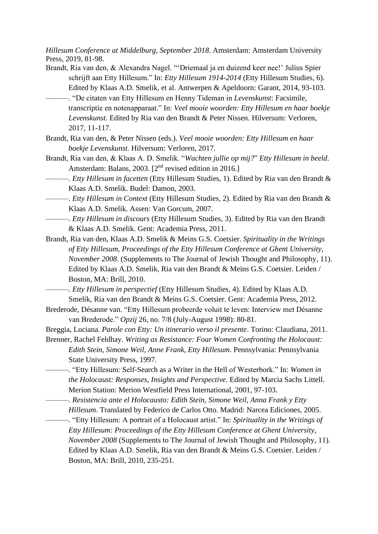*Hillesum Conference at Middelburg, September 2018*. Amsterdam: Amsterdam University Press, 2019, 81-98.

- Brandt, Ria van den, & Alexandra Nagel. "'Driemaal ja en duizend keer nee!' Julius Spier schrijft aan Etty Hillesum." In: *Etty Hillesum 1914-2014* (Etty Hillesum Studies, 6). Edited by Klaas A.D. Smelik, et al. Antwerpen & Apeldoorn: Garant, 2014, 93-103.
	- ———. "De citaten van Etty Hillesum en Henny Tideman in *Levenskunst*: Facsimile, transcriptie en notenapparaat." In: *Veel mooie woorden: Etty Hillesum en haar boekje Levenskunst.* Edited by Ria van den Brandt & Peter Nissen. Hilversum: Verloren, 2017, 11-117.
- Brandt, Ria van den, & Peter Nissen (eds.). *Veel mooie woorden: Etty Hillesum en haar boekje Levenskunst.* Hilversum: Verloren, 2017.
- Brandt, Ria van den, & Klaas A. D. Smelik. "*Wachten jullie op mij?*" *Etty Hillesum in beeld*. Amsterdam: Balans, 2003. [2<sup>nd</sup> revised edition in 2016.]
- ———. *Etty Hillesum in facetten* (Etty Hillesum Studies, 1). Edited by Ria van den Brandt & Klaas A.D. Smelik. Budel: Damon, 2003.
- ———. *Etty Hillesum in Context* (Etty Hillesum Studies, 2). Edited by Ria van den Brandt & Klaas A.D. Smelik. Assen: Van Gorcum, 2007.
- ———. *Etty Hillesum in discours* (Etty Hillesum Studies, 3). Edited by Ria van den Brandt & Klaas A.D. Smelik. Gent: Academia Press, 2011.
- Brandt, Ria van den, Klaas A.D. Smelik & Meins G.S. Coetsier. *Spirituality in the Writings of Etty Hillesum*, *Proceedings of the Etty Hillesum Conference at Ghent University, November 2008*. (Supplements to The Journal of Jewish Thought and Philosophy, 11). Edited by Klaas A.D. Smelik, Ria van den Brandt & Meins G.S. Coetsier. Leiden / Boston, MA: Brill, 2010.

———. *Etty Hillesum in perspectief* (Etty Hillesum Studies, 4). Edited by Klaas A.D. Smelik, Ria van den Brandt & Meins G.S. Coetsier. Gent: Academia Press, 2012.

Brederode, Désanne van. "Etty Hillesum probeerde voluit te leven: Interview met Désanne van Brederode." *Opzij* 26, no. 7/8 (July-August 1998): 80-81.

Breggia, Luciana. *Parole con Etty: Un itinerario verso il presente*. Torino: Claudiana, 2011.

- Brenner, Rachel Feldhay. *Writing as Resistance: Four Women Confronting the Holocaust: Edith Stein, Simone Weil, Anne Frank, Etty Hillesum*. Pennsylvania: Pennsylvania State University Press, 1997.
	- ———. "Etty Hillesum: Self-Search as a Writer in the Hell of Westerbork." In: *Women in the Holocaust: Responses, Insights and Perspective.* Edited by Marcia Sachs Littell. Merion Station: Merion Westfield Press International, 2001, 97-103.
- ———. *Resistencia ante el Holocausto: Edith Stein, Simone Weil, Anna Frank y Etty Hillesum*. Translated by Federico de Carlos Otto. Madrid: Narcea Ediciones, 2005. ———. "Etty Hillesum: A portrait of a Holocaust artist." In: *Spirituality in the Writings of Etty Hillesum: Proceedings of the Etty Hillesum Conference at Ghent University, November 2008* (Supplements to The Journal of Jewish Thought and Philosophy, 11).
	- Edited by Klaas A.D. Smelik, Ria van den Brandt & Meins G.S. Coetsier. Leiden / Boston, MA: Brill, 2010, 235-251.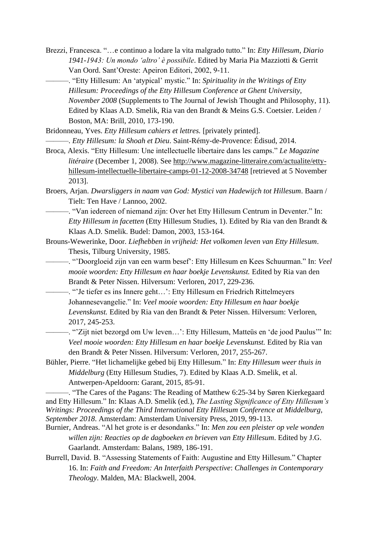- Brezzi, Francesca. "…e continuo a lodare la vita malgrado tutto." In: *Etty Hillesum, Diario 1941-1943: Un mondo 'altro' è possibile*. Edited by Maria Pia Mazziotti & Gerrit Van Oord. Sant'Oreste: Apeiron Editori, 2002, 9-11.
	- ———. "Etty Hillesum: An 'atypical' mystic." In: *Spirituality in the Writings of Etty Hillesum: Proceedings of the Etty Hillesum Conference at Ghent University, November 2008* (Supplements to The Journal of Jewish Thought and Philosophy, 11). Edited by Klaas A.D. Smelik, Ria van den Brandt & Meins G.S. Coetsier. Leiden / Boston, MA: Brill, 2010, 173-190.

Bridonneau, Yves. *Etty Hillesum cahiers et lettres.* [privately printed]. ———. *Etty Hillesum: la Shoah et Dieu*. Saint-Rémy-de-Provence: Édisud, 2014.

- Broca, Alexis. "Etty Hillesum: Une intellectuelle libertaire dans les camps." *Le Magazine litéraire* (December 1, 2008). See [http://www.magazine-litteraire.com/actualite/etty](http://www.magazine-litteraire.com/actualite/etty-hillesum-intellectuelle-libertaire-camps-01-12-2008-34748)[hillesum-intellectuelle-libertaire-camps-01-12-2008-34748](http://www.magazine-litteraire.com/actualite/etty-hillesum-intellectuelle-libertaire-camps-01-12-2008-34748) [retrieved at 5 November 2013].
- Broers, Arjan. *Dwarsliggers in naam van God: Mystici van Hadewijch tot Hillesum*. Baarn / Tielt: Ten Have / Lannoo, 2002.
- ———. "Van iedereen of niemand zijn: Over het Etty Hillesum Centrum in Deventer." In: *Etty Hillesum in facetten* (Etty Hillesum Studies, 1). Edited by Ria van den Brandt & Klaas A.D. Smelik. Budel: Damon, 2003, 153-164.
- Brouns-Wewerinke, Door*. Liefhebben in vrijheid: Het volkomen leven van Etty Hillesum*. Thesis, Tilburg University, 1985.
	- ———. "'Doorgloeid zijn van een warm besef': Etty Hillesum en Kees Schuurman." In: *Veel mooie woorden: Etty Hillesum en haar boekje Levenskunst.* Edited by Ria van den Brandt & Peter Nissen. Hilversum: Verloren, 2017, 229-236.
	- ———. "'Je tiefer es ins Innere geht…': Etty Hillesum en Friedrich Rittelmeyers Johannesevangelie." In: *Veel mooie woorden: Etty Hillesum en haar boekje Levenskunst.* Edited by Ria van den Brandt & Peter Nissen. Hilversum: Verloren, 2017, 245-253.
	- ———. "'Zijt niet bezorgd om Uw leven…': Etty Hillesum, Matteüs en 'de jood Paulus'" In: *Veel mooie woorden: Etty Hillesum en haar boekje Levenskunst.* Edited by Ria van den Brandt & Peter Nissen. Hilversum: Verloren, 2017, 255-267.
- Bühler, Pierre. "Het lichamelijke gebed bij Etty Hillesum." In: *Etty Hillesum weer thuis in Middelburg* (Etty Hillesum Studies, 7). Edited by Klaas A.D. Smelik, et al. Antwerpen-Apeldoorn: Garant, 2015, 85-91.

-. "The Cares of the Pagans: The Reading of Matthew 6:25-34 by Søren Kierkegaard and Etty Hillesum." In: Klaas A.D. Smelik (ed.), *The Lasting Significance of Etty Hillesum's Writings: Proceedings of the Third International Etty Hillesum Conference at Middelburg, September 2018*. Amsterdam: Amsterdam University Press, 2019, 99-113.

- Burnier, Andreas. "Al het grote is er desondanks." In: *Men zou een pleister op vele wonden willen zijn: Reacties op de dagboeken en brieven van Etty Hillesum*. Edited by J.G. Gaarlandt. Amsterdam: Balans, 1989, 186-191.
- Burrell, David. B. "Assessing Statements of Faith: Augustine and Etty Hillesum." Chapter 16. In: *Faith and Freedom: An Interfaith Perspective*: *Challenges in Contemporary Theology*. Malden, MA: Blackwell, 2004.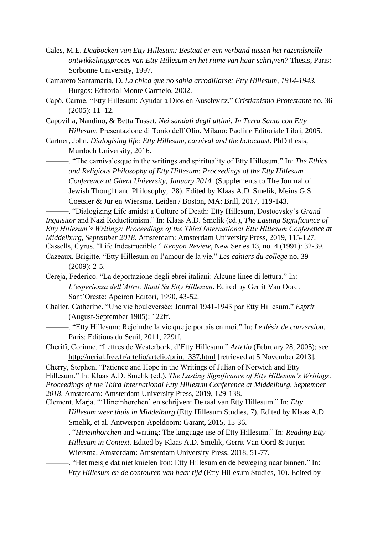- Cales, M.E. *Dagboeken van Etty Hillesum: Bestaat er een verband tussen het razendsnelle ontwikkelingsproces van Etty Hillesum en het ritme van haar schrijven?* Thesis, Paris: Sorbonne University, 1997.
- Camarero Santamaría, D. *La chica que no sabía arrodillarse: Etty Hillesum, 1914-1943.* Burgos: Editorial Monte Carmelo, 2002.
- Capó, Carme. "Etty Hillesum: Ayudar a Dios en Auschwitz." *Cristianismo Protestante* no. 36 (2005): 11–12.
- Capovilla, Nandino, & Betta Tusset. *Nei sandali degli ultimi: In Terra Santa con Etty Hillesum.* Presentazione di Tonio dell'Olio. Milano: Paoline Editoriale Libri, 2005.
- Cartner, John. *Dialogising life: Etty Hillesum, carnival and the holocaust*. PhD thesis, Murdoch University, 2016.
	- ———. "The carnivalesque in the writings and spirituality of Etty Hillesum." In: *The Ethics and Religious Philosophy of Etty Hillesum: Proceedings of the Etty Hillesum Conference at Ghent University, January 2014* (Supplements to The Journal of Jewish Thought and Philosophy, 28). Edited by Klaas A.D. Smelik, Meins G.S. Coetsier & Jurjen Wiersma. Leiden / Boston, MA: Brill, 2017, 119-143.

———. "Dialogizing Life amidst a Culture of Death: Etty Hillesum, Dostoevsky's *Grand Inquisitor* and Nazi Reductionism." In: Klaas A.D. Smelik (ed.), *The Lasting Significance of Etty Hillesum's Writings: Proceedings of the Third International Etty Hillesum Conference at Middelburg, September 2018*. Amsterdam: Amsterdam University Press, 2019, 115-127. Cassells, Cyrus. "Life Indestructible." *Kenyon Review,* New Series 13, no. 4 (1991): 32-39.

- Cazeaux, Brigitte. "Etty Hillesum ou l'amour de la vie." *Les cahiers du college* no. 39 (2009): 2-5.
- Cereja, Federico. "La deportazione degli ebrei italiani: Alcune linee di lettura." In: *L'esperienza dell'Altro: Studi Su Etty Hillesum*. Edited by Gerrit Van Oord. Sant'Oreste: Apeiron Editori, 1990, 43-52.
- Chalier, Catherine. "Une vie bouleversée: Journal 1941-1943 par Etty Hillesum." *Esprit* (August-September 1985): 122ff.
	- ———. "Etty Hillesum: Rejoindre la vie que je portais en moi." In: *Le désir de conversion*. Paris: Editions du Seuil, 2011, 229ff.

Cherifi, Corinne. "Lettres de Westerbork, d'Etty Hillesum." *Artelio* (February 28, 2005); see [http://nerial.free.fr/artelio/artelio/print\\_337.html](http://nerial.free.fr/artelio/artelio/print_337.html) [retrieved at 5 November 2013].

Cherry, Stephen. "Patience and Hope in the Writings of Julian of Norwich and Etty Hillesum." In: Klaas A.D. Smelik (ed.), *The Lasting Significance of Etty Hillesum's Writings: Proceedings of the Third International Etty Hillesum Conference at Middelburg, September 2018*. Amsterdam: Amsterdam University Press, 2019, 129-138.

- Clement, Marja. "'Hineinhorchen' en schrijven: De taal van Etty Hillesum." In: *Etty Hillesum weer thuis in Middelburg* (Etty Hillesum Studies, 7). Edited by Klaas A.D. Smelik, et al. Antwerpen-Apeldoorn: Garant, 2015, 15-36.
	- ———. "*Hineinhorchen* and writing: The language use of Etty Hillesum." In: *Reading Etty Hillesum in Context.* Edited by Klaas A.D. Smelik, Gerrit Van Oord & Jurjen Wiersma. Amsterdam: Amsterdam University Press, 2018, 51-77.

———. "Het meisje dat niet knielen kon: Etty Hillesum en de beweging naar binnen." In: *Etty Hillesum en de contouren van haar tijd* (Etty Hillesum Studies, 10). Edited by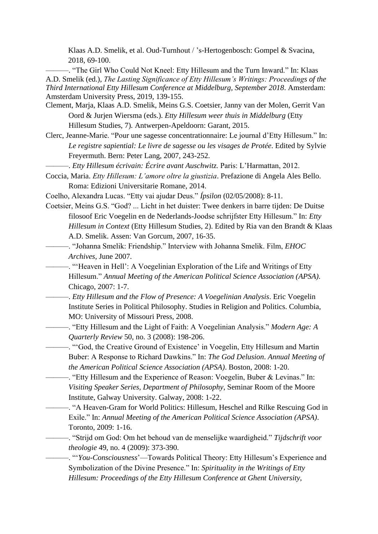Klaas A.D. Smelik, et al. Oud-Turnhout / 's-Hertogenbosch: Gompel & Svacina, 2018, 69-100.

———. "The Girl Who Could Not Kneel: Etty Hillesum and the Turn Inward." In: Klaas A.D. Smelik (ed.), *The Lasting Significance of Etty Hillesum's Writings: Proceedings of the Third International Etty Hillesum Conference at Middelburg, September 2018*. Amsterdam: Amsterdam University Press, 2019, 139-155.

- Clement, Marja, Klaas A.D. Smelik, Meins G.S. Coetsier, Janny van der Molen, Gerrit Van Oord & Jurjen Wiersma (eds.). *Etty Hillesum weer thuis in Middelburg* (Etty Hillesum Studies, 7)*.* Antwerpen-Apeldoorn: Garant, 2015.
- Clerc, Jeanne-Marie. "Pour une sagesse concentrationnaire: Le journal d'Etty Hillesum." In: *Le registre sapiential: Le livre de sagesse ou les visages de Protée*. Edited by Sylvie Freyermuth. Bern: Peter Lang, 2007, 243-252.

———. *Etty Hillesum écrivain: Écrire avant Auschwitz.* Paris: L'Harmattan, 2012.

- Coccia, Maria. *Etty Hillesum: L'amore oltre la giustizia*. Prefazione di Angela Ales Bello. Roma: Edizioni Universitarie Romane, 2014.
- Coelho, Alexandra Lucas. "Etty vai ajudar Deus." *Ípsilon* (02/05/2008): 8-11.
- Coetsier, Meins G.S. "God? ... Licht in het duister: Twee denkers in barre tijden: De Duitse filosoof Eric Voegelin en de Nederlands-Joodse schrijfster Etty Hillesum." In: *Etty Hillesum in Context* (Etty Hillesum Studies, 2). Edited by Ria van den Brandt & Klaas A.D. Smelik. Assen: Van Gorcum, 2007, 16-35.
- ———. "Johanna Smelik: Friendship." Interview with Johanna Smelik. Film, *EHOC Archives*, June 2007.
- ———. "'Heaven in Hell': A Voegelinian Exploration of the Life and Writings of Etty Hillesum." *Annual Meeting of the American Political Science Association (APSA)*. Chicago, 2007: 1-7.
- ———. *Etty Hillesum and the Flow of Presence: A Voegelinian Analysis*. Eric Voegelin Institute Series in Political Philosophy. Studies in Religion and Politics. Columbia, MO: University of Missouri Press, 2008.
	- ———. "Etty Hillesum and the Light of Faith: A Voegelinian Analysis." *Modern Age: A Quarterly Review* 50, no. 3 (2008): 198-206.
	- ———. "'God, the Creative Ground of Existence' in Voegelin, Etty Hillesum and Martin Buber: A Response to Richard Dawkins." In: *The God Delusion*. *Annual Meeting of the American Political Science Association (APSA)*. Boston, 2008: 1-20.
		- ———. "Etty Hillesum and the Experience of Reason: Voegelin, Buber & Levinas." In: *Visiting Speaker Series, Department of Philosophy*, Seminar Room of the Moore Institute, Galway University. Galway, 2008: 1-22.
- ———. "A Heaven-Gram for World Politics: Hillesum, Heschel and Rilke Rescuing God in Exile." In: *Annual Meeting of the American Political Science Association (APSA)*. Toronto, 2009: 1-16.
- ———. "Strijd om God: Om het behoud van de menselijke waardigheid." *Tijdschrift voor theologie* 49, no. 4 (2009): 373-390.
	- ———. "'*You-Consciousness*'—Towards Political Theory: Etty Hillesum's Experience and Symbolization of the Divine Presence." In: *Spirituality in the Writings of Etty Hillesum: Proceedings of the Etty Hillesum Conference at Ghent University,*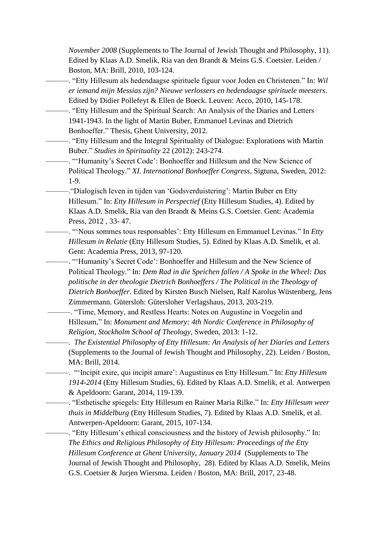*November 2008* (Supplements to The Journal of Jewish Thought and Philosophy, 11). Edited by Klaas A.D. Smelik, Ria van den Brandt & Meins G.S. Coetsier. Leiden / Boston, MA: Brill, 2010, 103-124.

- ———. "Etty Hillesum als hedendaagse spirituele figuur voor Joden en Christenen." In: *Wil er iemand mijn Messias zijn? Nieuwe verlossers en hedendaagse spirituele meesters*. Edited by Didier Pollefeyt & Ellen de Boeck. Leuven: Acco, 2010, 145-178.
- ———. "Etty Hillesum and the Spiritual Search: An Analysis of the Diaries and Letters 1941-1943. In the light of Martin Buber, Emmanuel Levinas and Dietrich Bonhoeffer." Thesis, Ghent University, 2012.
	- ———. "Etty Hillesum and the Integral Spirituality of Dialogue: Explorations with Martin Buber." *Studies in Spirituality* 22 (2012): 243-274.
	- ———. "'Humanity's Secret Code': Bonhoeffer and Hillesum and the New Science of Political Theology." *XI. International Bonhoeffer Congress*, Sigtuna, Sweden, 2012: 1-9.
- ———."Dialogisch leven in tijden van 'Godsverduistering': Martin Buber en Etty Hillesum." In: *Etty Hillesum in Perspectief* (Etty Hillesum Studies, 4). Edited by Klaas A.D. Smelik, Ria van den Brandt & Meins G.S. Coetsier. Gent: Academia Press, 2012 , 33- 47.
	- ———. "'Nous sommes tous responsables': Etty Hillesum en Emmanuel Levinas." In *Etty Hillesum in Relatie* (Etty Hillesum Studies, 5). Edited by Klaas A.D. Smelik, et al. Gent: Academia Press, 2013, 97-120.
	- ———. "'Humanity's Secret Code': Bonhoeffer and Hillesum and the New Science of Political Theology." In: *Dem Rad in die Speichen fallen / A Spoke in the Wheel: Das politische in der theologie Dietrich Bonhoeffers / The Political in the Theology of Dietrich Bonhoeffer*. Edited by Kirsten Busch Nielsen, Ralf Karolus Wüstenberg, Jens Zimmermann. Gütersloh: Gütersloher Verlagshaus, 2013, 203-219.
	- ———. "Time, Memory, and Restless Hearts: Notes on Augustine in Voegelin and Hillesum," In: *Monument and Memory: 4th Nordic Conference in Philosophy of Religion, Stockholm School of Theology,* Sweden, 2013: 1-12.
	- ———. *The Existential Philosophy of Etty Hillesum: An Analysis of her Diaries and Letters* (Supplements to the Journal of Jewish Thought and Philosophy, 22). Leiden / Boston, MA: Brill, 2014.
	- ———. "'Incipit exire, qui incipit amare': Augustinus en Etty Hillesum." In: *Etty Hillesum 1914-2014* (Etty Hillesum Studies, 6). Edited by Klaas A.D. Smelik, et al. Antwerpen & Apeldoorn: Garant, 2014, 119-139.
	- ———. "Esthetische spiegels: Etty Hillesum en Rainer Maria Rilke." In: *Etty Hillesum weer thuis in Middelburg* (Etty Hillesum Studies, 7). Edited by Klaas A.D. Smelik, et al. Antwerpen-Apeldoorn: Garant, 2015, 107-134.
	- ———. "Etty Hillesum's ethical consciousness and the history of Jewish philosophy." In: *The Ethics and Religious Philosophy of Etty Hillesum: Proceedings of the Etty Hillesum Conference at Ghent University, January 2014* (Supplements to The Journal of Jewish Thought and Philosophy, 28). Edited by Klaas A.D. Smelik, Meins G.S. Coetsier & Jurjen Wiersma. Leiden / Boston, MA: Brill, 2017, 23-48.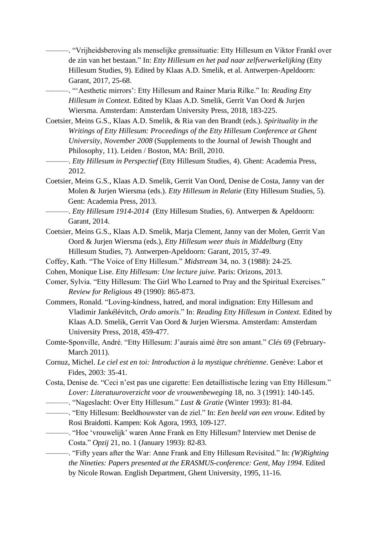- ———. "Vrijheidsberoving als menselijke grenssituatie: Etty Hillesum en Viktor Frankl over de zin van het bestaan." In: *Etty Hillesum en het pad naar zelfverwerkelijking* (Etty Hillesum Studies, 9). Edited by Klaas A.D. Smelik, et al. Antwerpen-Apeldoorn: Garant, 2017, 25-68.
- ———. "'Aesthetic mirrors': Etty Hillesum and Rainer Maria Rilke." In: *Reading Etty Hillesum in Context.* Edited by Klaas A.D. Smelik, Gerrit Van Oord & Jurjen Wiersma. Amsterdam: Amsterdam University Press, 2018, 183-225.
- Coetsier, Meins G.S., Klaas A.D. Smelik, & Ria van den Brandt (eds.). *Spirituality in the Writings of Etty Hillesum: Proceedings of the Etty Hillesum Conference at Ghent University, November 2008* (Supplements to the Journal of Jewish Thought and Philosophy, 11). Leiden / Boston, MA: Brill, 2010.
- ———. *Etty Hillesum in Perspectief* (Etty Hillesum Studies, 4). Ghent: Academia Press, 2012.
- Coetsier, Meins G.S., Klaas A.D. Smelik, Gerrit Van Oord, Denise de Costa, Janny van der Molen & Jurjen Wiersma (eds.). *Etty Hillesum in Relatie* (Etty Hillesum Studies, 5). Gent: Academia Press, 2013.
- ———. *Etty Hillesum 1914-2014* (Etty Hillesum Studies, 6). Antwerpen & Apeldoorn: Garant, 2014.
- Coetsier, Meins G.S., Klaas A.D. Smelik, Marja Clement, Janny van der Molen, Gerrit Van Oord & Jurjen Wiersma (eds.), *Etty Hillesum weer thuis in Middelburg* (Etty Hillesum Studies, 7)*.* Antwerpen-Apeldoorn: Garant, 2015, 37-49.
- Coffey, Kath. "The Voice of Etty Hillesum." *Midstream* 34, no. 3 (1988): 24-25.
- Cohen, Monique Lise. *Etty Hillesum: Une lecture juive.* Paris: Orizons, 2013*.*
- Comer, Sylvia. "Etty Hillesum: The Girl Who Learned to Pray and the Spiritual Exercises." *Review for Religious* 49 (1990): 865-873.
- Commers, Ronald. "Loving-kindness, hatred, and moral indignation: Etty Hillesum and Vladimir Jankélévitch, *Ordo amoris*." In: *Reading Etty Hillesum in Context.* Edited by Klaas A.D. Smelik, Gerrit Van Oord & Jurjen Wiersma. Amsterdam: Amsterdam University Press, 2018, 459-477.
- Comte-Sponville, André. "Etty Hillesum: J'aurais aimé être son amant." *Clés* 69 (February-March 2011).
- Cornuz, Michel. *Le ciel est en toi: Introduction à la mystique chrétienne*. Genève: Labor et Fides, 2003: 35-41.
- Costa, Denise de. "Ceci n'est pas une cigarette: Een detaillistische lezing van Etty Hillesum." *Lover: Literatuuroverzicht voor de vrouwenbeweging* 18, no. 3 (1991): 140-145.
	- ———. "Nageslacht: Over Etty Hillesum." *Lust & Gratie* (Winter 1993): 81-84.
- ———. "Etty Hillesum: Beeldhouwster van de ziel." In: *Een beeld van een vrouw*. Edited by Rosi Braidotti. Kampen: Kok Agora, 1993, 109-127.
	- ———. "Hoe 'vrouwelijk' waren Anne Frank en Etty Hillesum? Interview met Denise de Costa." *Opzij* 21, no. 1 (January 1993): 82-83.

———. "Fifty years after the War: Anne Frank and Etty Hillesum Revisited." In: *(W)Righting the Nineties: Papers presented at the ERASMUS-conference: Gent, May 1994*. Edited by Nicole Rowan. English Department, Ghent University, 1995, 11-16.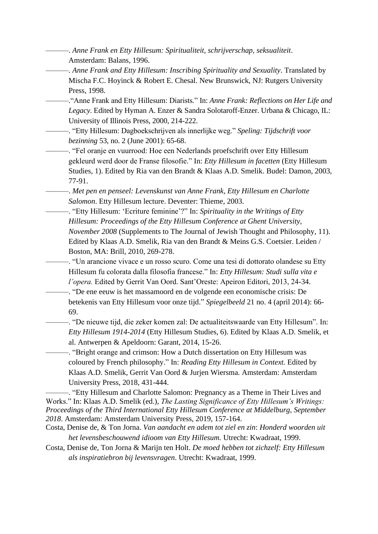- ———. *Anne Frank en Etty Hillesum: Spiritualiteit, schrijverschap, seksualiteit*. Amsterdam: Balans, 1996.
- ———. *Anne Frank and Etty Hillesum: Inscribing Spirituality and Sexuality*. Translated by Mischa F.C. Hoyinck & Robert E. Chesal. New Brunswick, NJ: Rutgers University Press, 1998.
- ———."Anne Frank and Etty Hillesum: Diarists*.*" In: *Anne Frank: Reflections on Her Life and Legacy*. Edited by Hyman A. Enzer & Sandra Solotaroff-Enzer. Urbana & Chicago, IL: University of Illinois Press, 2000, 214-222.
- ———. "Etty Hillesum: Dagboekschrijven als innerlijke weg." *Speling: Tijdschrift voor bezinning* 53, no. 2 (June 2001): 65-68.
- ———. "Fel oranje en vuurrood: Hoe een Nederlands proefschrift over Etty Hillesum gekleurd werd door de Franse filosofie." In: *Etty Hillesum in facetten* (Etty Hillesum Studies, 1). Edited by Ria van den Brandt & Klaas A.D. Smelik. Budel: Damon, 2003, 77-91.
- ———. *Met pen en penseel: Levenskunst van Anne Frank, Etty Hillesum en Charlotte Salomon*. Etty Hillesum lecture. Deventer: Thieme, 2003.
- ———. "Etty Hillesum: 'Ecriture feminine'?" In: *Spirituality in the Writings of Etty Hillesum: Proceedings of the Etty Hillesum Conference at Ghent University, November 2008* (Supplements to The Journal of Jewish Thought and Philosophy, 11). Edited by Klaas A.D. Smelik, Ria van den Brandt & Meins G.S. Coetsier. Leiden / Boston, MA: Brill, 2010, 269-278.
	- ———. "Un arancione vivace e un rosso scuro. Come una tesi di dottorato olandese su Etty Hillesum fu colorata dalla filosofia francese." In: *Etty Hillesum: Studi sulla vita e l'opera.* Edited by Gerrit Van Oord. Sant'Oreste: Apeiron Editori, 2013, 24-34.
- ———. "De ene eeuw is het massamoord en de volgende een economische crisis: De betekenis van Etty Hillesum voor onze tijd." *Spiegelbeeld* 21 no. 4 (april 2014): 66- 69.
- ———. "De nieuwe tijd, die zeker komen zal: De actualiteitswaarde van Etty Hillesum". In: *Etty Hillesum 1914-2014* (Etty Hillesum Studies, 6). Edited by Klaas A.D. Smelik, et al. Antwerpen & Apeldoorn: Garant, 2014, 15-26.

———. "Bright orange and crimson: How a Dutch dissertation on Etty Hillesum was coloured by French philosophy." In: *Reading Etty Hillesum in Context.* Edited by Klaas A.D. Smelik, Gerrit Van Oord & Jurjen Wiersma. Amsterdam: Amsterdam University Press, 2018, 431-444.

———. "Etty Hillesum and Charlotte Salomon: Pregnancy as a Theme in Their Lives and Works." In: Klaas A.D. Smelik (ed.), *The Lasting Significance of Etty Hillesum's Writings: Proceedings of the Third International Etty Hillesum Conference at Middelburg, September 2018*. Amsterdam: Amsterdam University Press, 2019, 157-164.

- Costa, Denise de, & Ton Jorna. *Van aandacht en adem tot ziel en zin*: *Honderd woorden uit het levensbeschouwend idioom van Etty Hillesum.* Utrecht: Kwadraat, 1999.
- Costa, Denise de, Ton Jorna & Marijn ten Holt. *De moed hebben tot zichzelf: Etty Hillesum als inspiratiebron bij levensvragen*. Utrecht: Kwadraat, 1999.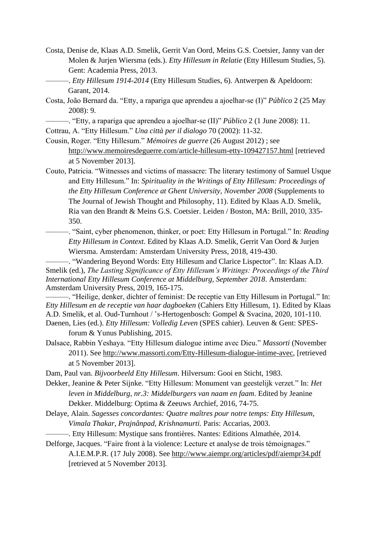- Costa, Denise de, Klaas A.D. Smelik, Gerrit Van Oord, Meins G.S. Coetsier, Janny van der Molen & Jurjen Wiersma (eds.). *Etty Hillesum in Relatie* (Etty Hillesum Studies, 5). Gent: Academia Press, 2013.
	- ———. *Etty Hillesum 1914-2014* (Etty Hillesum Studies, 6). Antwerpen & Apeldoorn: Garant, 2014.
- Costa, João Bernard da. "Etty, a rapariga que aprendeu a ajoelhar-se (I)" *Público* 2 (25 May 2008): 9.
- ———. "Etty, a rapariga que aprendeu a ajoelhar-se (II)" *Público* 2 (1 June 2008): 11. Cottrau, A. "Etty Hillesum." *Una città per il dialogo* 70 (2002): 11-32.
- Cousin, Roger. "Etty Hillesum." *Mémoires de guerre* (26 August 2012) ; see <http://www.memoiresdeguerre.com/article-hillesum-etty-109427157.html> [retrieved at 5 November 2013].
- Couto, Patricia. "Witnesses and victims of massacre: The literary testimony of Samuel Usque and Etty Hillesum." In: *Spirituality in the Writings of Etty Hillesum: Proceedings of the Etty Hillesum Conference at Ghent University, November 2008* (Supplements to The Journal of Jewish Thought and Philosophy, 11). Edited by Klaas A.D. Smelik, Ria van den Brandt & Meins G.S. Coetsier. Leiden / Boston, MA: Brill, 2010, 335- 350.
	- ———. "Saint, cyber phenomenon, thinker, or poet: Etty Hillesum in Portugal." In: *Reading Etty Hillesum in Context.* Edited by Klaas A.D. Smelik, Gerrit Van Oord & Jurjen Wiersma. Amsterdam: Amsterdam University Press, 2018, 419-430.

———. "Wandering Beyond Words: Etty Hillesum and Clarice Lispector". In: Klaas A.D. Smelik (ed.), *The Lasting Significance of Etty Hillesum's Writings: Proceedings of the Third International Etty Hillesum Conference at Middelburg, September 2018*. Amsterdam: Amsterdam University Press, 2019, 165-175.

———. "Heilige, denker, dichter of feminist: De receptie van Etty Hillesum in Portugal." In: *Etty Hillesum en de receptie van haar dagboeken* (Cahiers Etty Hillesum, 1). Edited by Klaas A.D. Smelik, et al. Oud-Turnhout / 's-Hertogenbosch: Gompel & Svacina, 2020, 101-110. Daenen, Lies (ed.). *Etty Hillesum: Volledig Leven* (SPES cahier). Leuven & Gent: SPES-

forum & Yunus Publishing, 2015.

- Dalsace, Rabbin Yeshaya. "Etty Hillesum dialogue intime avec Dieu." *Massorti* (November 2011). See [http://www.massorti.com/Etty-Hillesum-dialogue-intime-avec,](http://www.massorti.com/Etty-Hillesum-dialogue-intime-avec) [retrieved at 5 November 2013].
- Dam, Paul van. *Bijvoorbeeld Etty Hillesum*. Hilversum: Gooi en Sticht, 1983.
- Dekker, Jeanine & Peter Sijnke. "Etty Hillesum: Monument van geestelijk verzet." In: *Het leven in Middelburg, nr.3: Middelburgers van naam en faam*. Edited by Jeanine Dekker. Middelburg: Optima & Zeeuws Archief, 2016, 74-75.
- Delaye, Alain. *Sagesses concordantes: Quatre maîtres pour notre temps: Etty Hillesum, Vimala Thakar, Prajnânpad, Krishnamurti.* Paris: Accarias, 2003.

———. Etty Hillesum: Mystique sans frontières. Nantes: Editions Almathée, 2014.

Delforge, Jacques. "Faire front à la violence: Lecture et analyse de trois témoignages." A.I.E.M.P.R. (17 July 2008). See <http://www.aiempr.org/articles/pdf/aiempr34.pdf> [retrieved at 5 November 2013].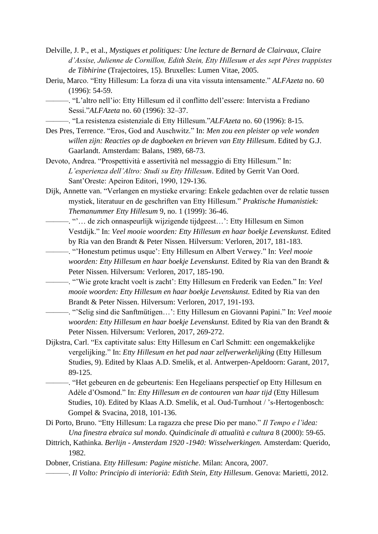- Delville, J. P., et al., *Mystiques et politiques: Une lecture de Bernard de Clairvaux, Claire d'Assise, Julienne de Cornillon, Edith Stein, Etty Hillesum et des sept Pères trappistes de Tibhirine* (Trajectoires, 15). Bruxelles: Lumen Vitae, 2005.
- Deriu, Marco. "Etty Hillesum: La forza di una vita vissuta intensamente." *ALFAzeta* no. 60 (1996): 54-59.
- ———. "L'altro nell'io: Etty Hillesum ed il conflitto dell'essere: Intervista a Frediano Sessi."*ALFAzeta* no. 60 (1996): 32–37.
	- ———. "La resistenza esistenziale di Etty Hillesum."*ALFAzeta* no. 60 (1996): 8-15.
- Des Pres, Terrence. "Eros, God and Auschwitz." In: *Men zou een pleister op vele wonden willen zijn: Reacties op de dagboeken en brieven van Etty Hillesum*. Edited by G.J. Gaarlandt. Amsterdam: Balans, 1989, 68-73.
- Devoto, Andrea. "Prospettività e assertività nel messaggio di Etty Hillesum." In: *L'esperienza dell'Altro: Studi su Etty Hillesum*. Edited by Gerrit Van Oord. Sant'Oreste: Apeiron Editori, 1990, 129-136.
- Dijk, Annette van. "Verlangen en mystieke ervaring: Enkele gedachten over de relatie tussen mystiek, literatuur en de geschriften van Etty Hillesum." *Praktische Humanistiek: Themanummer Etty Hillesum* 9, no. 1 (1999): 36-46.
	- ———. "'… de zich onnaspeurlijk wijzigende tijdgeest…': Etty Hillesum en Simon Vestdijk." In: *Veel mooie woorden: Etty Hillesum en haar boekje Levenskunst.* Edited by Ria van den Brandt & Peter Nissen. Hilversum: Verloren, 2017, 181-183.
	- ———. "'Honestum petimus usque': Etty Hillesum en Albert Verwey." In: *Veel mooie woorden: Etty Hillesum en haar boekje Levenskunst.* Edited by Ria van den Brandt & Peter Nissen. Hilversum: Verloren, 2017, 185-190.
		- ———. "'Wie grote kracht voelt is zacht': Etty Hillesum en Frederik van Eeden." In: *Veel mooie woorden: Etty Hillesum en haar boekje Levenskunst.* Edited by Ria van den Brandt & Peter Nissen. Hilversum: Verloren, 2017, 191-193.
	- ———. "'Selig sind die Sanftmütigen…': Etty Hillesum en Giovanni Papini." In: *Veel mooie woorden: Etty Hillesum en haar boekje Levenskunst.* Edited by Ria van den Brandt & Peter Nissen. Hilversum: Verloren, 2017, 269-272.
- Dijkstra, Carl. "Ex captivitate salus: Etty Hillesum en Carl Schmitt: een ongemakkelijke vergelijking." In: *Etty Hillesum en het pad naar zelfverwerkelijking* (Etty Hillesum Studies, 9). Edited by Klaas A.D. Smelik, et al. Antwerpen-Apeldoorn: Garant, 2017, 89-125.
	- ———. "Het gebeuren en de gebeurtenis: Een Hegeliaans perspectief op Etty Hillesum en Adèle d'Osmond." In: *Etty Hillesum en de contouren van haar tijd* (Etty Hillesum Studies, 10). Edited by Klaas A.D. Smelik, et al. Oud-Turnhout / 's-Hertogenbosch: Gompel & Svacina, 2018, 101-136.
- Di Porto, Bruno. "Etty Hillesum: La ragazza che prese Dio per mano." *Il Tempo e l'idea: Una finestra ebraica sul mondo. Quindicinale di attualità e cultura* 8 (2000): 59-65.
- Dittrich, Kathinka. *Berlijn - Amsterdam 1920 -1940: Wisselwerkingen.* Amsterdam: Querido, 1982.

Dobner, Cristiana. *Etty Hillesum: Pagine mistiche*. Milan: Ancora, 2007.

———. *Il Volto: Principio di interiorià: Edith Stein, Etty Hillesum*. Genova: Marietti, 2012.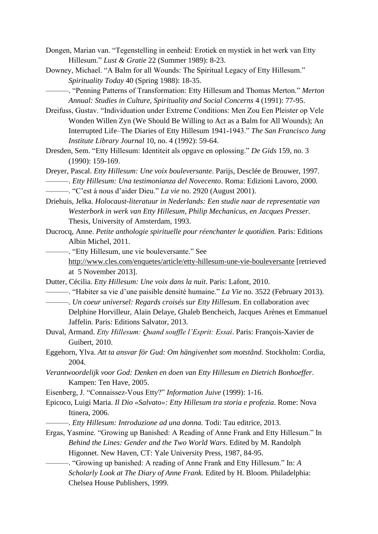- Dongen, Marian van. "Tegenstelling in eenheid: Erotiek en mystiek in het werk van Etty Hillesum." *Lust & Gratie* 22 (Summer 1989): 8-23.
- Downey, Michael. "A Balm for all Wounds: The Spiritual Legacy of Etty Hillesum." *Spirituality Today* 40 (Spring 1988): 18-35.

———. "Penning Patterns of Transformation: Etty Hillesum and Thomas Merton." *Merton Annual: Studies in Culture, Spirituality and Social Concerns* 4 (1991): 77-95.

- Dreifuss, Gustav. "Individuation under Extreme Conditions: Men Zou Een Pleister op Vele Wonden Willen Zyn (We Should Be Willing to Act as a Balm for All Wounds); An Interrupted Life–The Diaries of Etty Hillesum 1941-1943." *The San Francisco Jung Institute Library Journal* 10, no. 4 (1992): 59-64.
- Dresden, Sem. "Etty Hillesum: Identiteit als opgave en oplossing." *De Gids* 159, no. 3 (1990): 159-169.

Dreyer, Pascal. *Etty Hillesum: Une voix bouleversante*. Parijs, Desclée de Brouwer, 1997. ———. *Etty Hillesum: Una testimonianza del Novecento*. Roma: Edizioni Lavoro, 2000.

———. "C'est à nous d'aider Dieu." *La vie* no. 2920 (August 2001).

- Driehuis, Jelka. *Holocaust-literatuur in Nederlands: Een studie naar de representatie van Westerbork in werk van Etty Hillesum, Philip Mechanicus, en Jacques Presser.* Thesis, University of Amsterdam, 1993.
- Ducrocq, Anne. *Petite anthologie spirituelle pour réenchanter le quotidien.* Paris: Editions Albin Michel, 2011.

———. "Etty Hillesum, une vie bouleversante." See

- <http://www.cles.com/enquetes/article/etty-hillesum-une-vie-bouleversante> [retrieved at 5 November 2013].
- Dutter, Cécilia. *Etty Hillesum: Une voix dans la nuit*. Paris: Lafont, 2010.
- ———. "Habiter sa vie d'une paisible densité humaine." *La Vie* no. 3522 (February 2013).
- ———. *Un coeur universel: Regards croisés sur Etty Hillesum*. En collaboration avec Delphine Horvilleur, Alain Delaye, Ghaleb Bencheich, Jacques Arènes et Emmanuel Jaffelin. Paris: Editions Salvator, 2013.
- Duval, Armand. *Etty Hillesum: Quand souffle l'Esprit: Essai*. Paris: François-Xavier de Guibert, 2010.
- Eggehorn, Ylva. *Att ta ansvar för Gud: Om hängivenhet som motstånd*. Stockholm: Cordia, 2004.
- *Verantwoordelijk voor God: Denken en doen van Etty Hillesum en Dietrich Bonhoeffer*. Kampen: Ten Have, 2005.
- Eisenberg, J. "Connaissez-Vous Etty?" *Information Juive* (1999): 1-16.
- Epicoco, Luigi Maria. *Il Dio «Salvato»: Etty Hillesum tra storia e profezia*. Rome: Nova Itinera, 2006.
	- ———. *Etty Hillesum: Introduzione ad una donna.* Todi: Tau editrice, 2013.
- Ergas, Yasmine. "Growing up Banished: A Reading of Anne Frank and Etty Hillesum." In *Behind the Lines: Gender and the Two World Wars*. Edited by M. Randolph Higonnet. New Haven, CT: Yale University Press, 1987, 84-95.
	- ———. "Growing up banished: A reading of Anne Frank and Etty Hillesum." In: *A Scholarly Look at The Diary of Anne Frank*. Edited by H. Bloom. Philadelphia: Chelsea House Publishers, 1999.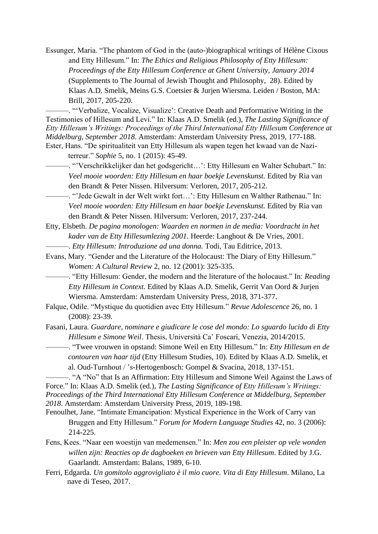Essunger, Maria. "The phantom of God in the (auto-)biographical writings of Hélène Cixous and Etty Hillesum." In: *The Ethics and Religious Philosophy of Etty Hillesum: Proceedings of the Etty Hillesum Conference at Ghent University, January 2014*  (Supplements to The Journal of Jewish Thought and Philosophy, 28). Edited by Klaas A.D. Smelik, Meins G.S. Coetsier & Jurjen Wiersma. Leiden / Boston, MA: Brill, 2017, 205-220.

———. "'Verbalize, Vocalize, Visualize': Creative Death and Performative Writing in the Testimonies of Hillesum and Levi." In: Klaas A.D. Smelik (ed.), *The Lasting Significance of Etty Hillesum's Writings: Proceedings of the Third International Etty Hillesum Conference at Middelburg, September 2018*. Amsterdam: Amsterdam University Press, 2019, 177-188. Ester, Hans. "De spiritualiteit van Etty Hillesum als wapen tegen het kwaad van de Nazi-

terreur." *Sophie* 5, no. 1 (2015): 45-49.

———. "'Verschrikkelijker dan het godsgericht…': Etty Hillesum en Walter Schubart." In: *Veel mooie woorden: Etty Hillesum en haar boekje Levenskunst.* Edited by Ria van den Brandt & Peter Nissen. Hilversum: Verloren, 2017, 205-212.

———. "'Jede Gewalt in der Welt wirkt fort…': Etty Hillesum en Walther Rathenau." In: *Veel mooie woorden: Etty Hillesum en haar boekje Levenskunst.* Edited by Ria van den Brandt & Peter Nissen. Hilversum: Verloren, 2017, 237-244.

Etty, Elsbeth. *De pagina monologen: Waarden en normen in de media: Voordracht in het kader van de Etty Hillesumlezing 2001*. Heerde: Langhout & De Vries, 2001.

———. *Etty Hillesum: Introduzione ad una donna.* Todi, Tau Editrice, 2013.

Evans, Mary. "Gender and the Literature of the Holocaust: The Diary of Etty Hillesum." *Women: A Cultural Review* 2, no. 12 (2001): 325-335.

———. "Etty Hillesum: Gender, the modern and the literature of the holocaust." In: *Reading Etty Hillesum in Context.* Edited by Klaas A.D. Smelik, Gerrit Van Oord & Jurjen Wiersma. Amsterdam: Amsterdam University Press, 2018, 371-377.

Falque, Odile. "Mystique du quotidien avec Etty Hillesum." *Revue Adolescence* 26, no. 1 (2008): 23-39.

Fasani, Laura. *Guardare, nominare e giudicare le cose del mondo: Lo sguardo lucido di Etty Hillesum e Simone Weil*. Thesis, Università Ca' Foscari, Venezia, 2014/2015.

———. "Twee vrouwen in opstand: Simone Weil en Etty Hillesum." In: *Etty Hillesum en de contouren van haar tijd* (Etty Hillesum Studies, 10). Edited by Klaas A.D. Smelik, et al. Oud-Turnhout / 's-Hertogenbosch: Gompel & Svacina, 2018, 137-151.

———. "A "No" that Is an Affirmation: Etty Hillesum and Simone Weil Against the Laws of Force." In: Klaas A.D. Smelik (ed.), *The Lasting Significance of Etty Hillesum's Writings: Proceedings of the Third International Etty Hillesum Conference at Middelburg, September 2018*. Amsterdam: Amsterdam University Press, 2019, 189-198.

- Fenoulhet, Jane. "Intimate Emancipation: Mystical Experience in the Work of Carry van Bruggen and Etty Hillesum." *Forum for Modern Language Studies* 42, no. 3 (2006): 214-225.
- Fens, Kees. "Naar een woestijn van medemensen." In: *Men zou een pleister op vele wonden willen zijn: Reacties op de dagboeken en brieven van Etty Hillesum*. Edited by J.G. Gaarlandt. Amsterdam: Balans, 1989, 6-10.
- Ferri, Edgarda. *Un gomitolo aggrovigliato è il mio cuore. Vita di Etty Hillesum*. Milano, La nave di Teseo, 2017.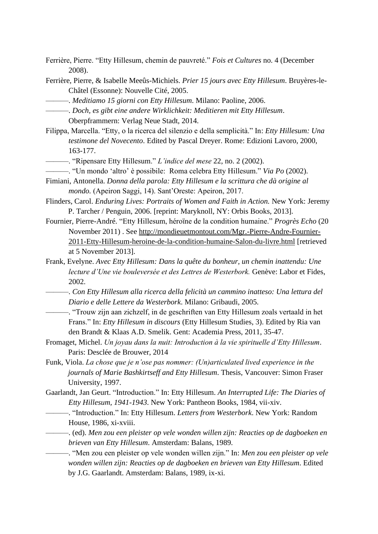- Ferrière, Pierre. "Etty Hillesum, chemin de pauvreté." *Fois et Cultures* no. 4 (December 2008).
- Ferrière, Pierre, & Isabelle Meeûs-Michiels. *Prier 15 jours avec Etty Hillesum*. Bruyères-le-Châtel (Essonne): Nouvelle Cité, 2005.
- ———. *Meditiamo 15 giorni con Etty Hillesum*. Milano: Paoline, 2006.
- ———. *Doch, es gibt eine andere Wirklichkeit: Meditieren mit Etty Hillesum*. Oberpframmern: Verlag Neue Stadt, 2014.
- Filippa, Marcella. "Etty, o la ricerca del silenzio e della semplicità." In: *Etty Hillesum: Una testimone del Novecento*. Edited by Pascal Dreyer. Rome: Edizioni Lavoro, 2000, 163-177.
- ———. "Ripensare Etty Hillesum." *L'indice del mese* 22, no. 2 (2002).
- ———. "Un mondo 'altro' è possibile: Roma celebra Etty Hillesum." *Via Po* (2002).
- Fimiani, Antonella. *Donna della parola: Etty Hillesum e la scrittura che dà origine al mondo.* (Apeiron Saggi, 14). Sant'Oreste: Apeiron, 2017.
- Flinders, Carol. *Enduring Lives: Portraits of Women and Faith in Action.* New York: Jeremy P. Tarcher / Penguin, 2006. [reprint: Maryknoll, NY: Orbis Books, 2013].
- Fournier, Pierre-André. "Etty Hillesum, héroïne de la condition humaine." *Progrès Echo* (20 November 2011) . See [http://mondieuetmontout.com/Mgr.-Pierre-Andre-Fournier-](http://mondieuetmontout.com/Mgr.-Pierre-Andre-Fournier-2011-Etty-Hillesum-heroine-de-la-condition-humaine-Salon-du-livre.html)[2011-Etty-Hillesum-heroine-de-la-condition-humaine-Salon-du-livre.html](http://mondieuetmontout.com/Mgr.-Pierre-Andre-Fournier-2011-Etty-Hillesum-heroine-de-la-condition-humaine-Salon-du-livre.html) [retrieved at 5 November 2013].
- Frank, Evelyne. *Avec Etty Hillesum: Dans la quête du bonheur, un chemin inattendu: Une lecture d'Une vie bouleversée et des Lettres de Westerbork.* Genève: Labor et Fides, 2002.
	- ———. *Con Etty Hillesum alla ricerca della felicità un cammino inatteso: Una lettura del Diario e delle Lettere da Westerbork*. Milano: Gribaudi, 2005.
- ———. "Trouw zijn aan zichzelf, in de geschriften van Etty Hillesum zoals vertaald in het Frans." In: *Etty Hillesum in discours* (Etty Hillesum Studies, 3). Edited by Ria van den Brandt & Klaas A.D. Smelik. Gent: Academia Press, 2011, 35-47.
- Fromaget, Michel. *Un joyau dans la nuit: Introduction à la vie spirituelle d'Etty Hillesum*. Paris: Desclée de Brouwer, 2014
- Funk, Viola. *La chose que je n'ose pas nommer: (Un)articulated lived experience in the journals of Marie Bashkirtseff and Etty Hillesum*. Thesis, Vancouver: Simon Fraser University, 1997.
- Gaarlandt, Jan Geurt. "Introduction." In: Etty Hillesum. *An Interrupted Life: The Diaries of Etty Hillesum, 1941-1943*. New York: Pantheon Books, 1984, vii-xiv.
- ———. "Introduction." In: Etty Hillesum. *Letters from Westerbork*. New York: Random House, 1986, xi-xviii.
	- ———. (ed). *Men zou een pleister op vele wonden willen zijn: Reacties op de dagboeken en brieven van Etty Hillesum*. Amsterdam: Balans, 1989.

———. "Men zou een pleister op vele wonden willen zijn." In: *Men zou een pleister op vele wonden willen zijn: Reacties op de dagboeken en brieven van Etty Hillesum*. Edited by J.G. Gaarlandt. Amsterdam: Balans, 1989, ix-xi.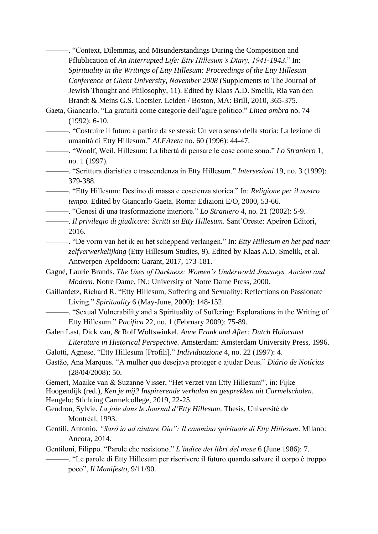———. "Context, Dilemmas, and Misunderstandings During the Composition and Pflublication of *An Interrupted Life: Etty Hillesum's Diary, 1941-1943*." In: *Spirituality in the Writings of Etty Hillesum: Proceedings of the Etty Hillesum Conference at Ghent University, November 2008* (Supplements to The Journal of Jewish Thought and Philosophy, 11). Edited by Klaas A.D. Smelik, Ria van den Brandt & Meins G.S. Coetsier. Leiden / Boston, MA: Brill, 2010, 365-375.

Gaeta, Giancarlo. "La gratuità come categorie dell'agire politico." *Linea ombra* no. 74 (1992): 6-10.

———. "Costruire il futuro a partire da se stessi: Un vero senso della storia: La lezione di umanità di Etty Hillesum." *ALFAzeta* no. 60 (1996): 44-47.

———. "Woolf, Weil, Hillesum: La libertà di pensare le cose come sono." *Lo Straniero* 1, no. 1 (1997).

———. "Scrittura diaristica e trascendenza in Etty Hillesum." *Intersezioni* 19, no. 3 (1999): 379-388.

———. "Etty Hillesum: Destino di massa e coscienza storica." In: *Religione per il nostro tempo.* Edited by Giancarlo Gaeta. Roma: Edizioni E/O, 2000, 53-66.

———. "Genesi di una trasformazione interiore." *Lo Straniero* 4, no. 21 (2002): 5-9.

———. *Il privilegio di giudicare: Scritti su Etty Hillesum*. Sant'Oreste: Apeiron Editori, 2016.

———. "De vorm van het ik en het scheppend verlangen." In: *Etty Hillesum en het pad naar zelfverwerkelijking* (Etty Hillesum Studies, 9). Edited by Klaas A.D. Smelik, et al. Antwerpen-Apeldoorn: Garant, 2017, 173-181.

Gagné, Laurie Brands. *The Uses of Darkness: Women's Underworld Journeys, Ancient and Modern.* Notre Dame, IN.: University of Notre Dame Press, 2000.

Gaillardetz, Richard R. "Etty Hillesum, Suffering and Sexuality: Reflections on Passionate Living." *Spirituality* 6 (May-June, 2000): 148-152.

———. "Sexual Vulnerability and a Spirituality of Suffering: Explorations in the Writing of Etty Hillesum." *Pacifica* 22, no. 1 (February 2009): 75-89.

Galen Last, Dick van, & Rolf Wolfswinkel. *Anne Frank and After: Dutch Holocaust Literature in Historical Perspective.* Amsterdam: Amsterdam University Press, 1996.

Galotti, Agnese. "Etty Hillesum [Profili]." *Individuazione* 4, no. 22 (1997): 4.

Gastão, Ana Marques. "A mulher que desejava proteger e ajudar Deus." *Diário de Notícias* (28/04/2008): 50.

Gemert, Maaike van & Suzanne Visser, "Het verzet van Etty Hillesum"', in: Fijke

Hoogendijk (red.), *Ken je mij? Inspirerende verhalen en gesprekken uit Carmelscholen*. Hengelo: Stichting Carmelcollege, 2019, 22-25.

- Gendron, Sylvie. *La joie dans le Journal d'Etty Hillesum*. Thesis, Université de Montréal, 1993.
- Gentili, Antonio. *"Sarò io ad aiutare Dio": Il cammino spirituale di Etty Hillesum*. Milano: Ancora, 2014.
- Gentiloni, Filippo. "Parole che resistono." *L'indice dei libri del mese* 6 (June 1986): 7.
- ———. "Le parole di Etty Hillesum per riscrivere il futuro quando salvare il corpo è troppo poco", *Il Manifesto*, 9/11/90.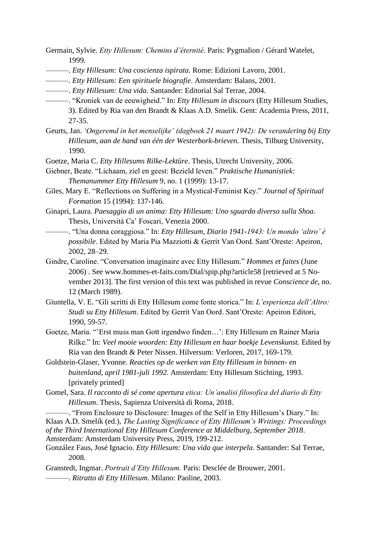Germain, Sylvie. *Etty Hillesum: Chemins d'éternité*. Paris: Pygmalion / Gérard Watelet, 1999.

- ———. *Etty Hillesum: Una coscienza ispirata.* Rome: Edizioni Lavoro, 2001.
- ———. *Etty Hillesum: Een spirituele biografie*. Amsterdam: Balans, 2001.
- ———. *Etty Hillesum: Una vida.* Santander: Editorial Sal Terrae, 2004.
- ———. "Kroniek van de eeuwigheid." In: *Etty Hillesum in discours* (Etty Hillesum Studies, 3). Edited by Ria van den Brandt & Klaas A.D. Smelik. Gent: Academia Press, 2011, 27-35.
- Geurts, Jan. *'Ongeremd in het menselijke' (dagboek 21 maart 1942): De verandering bij Etty Hillesum, aan de hand van één der Westerbork-brieven.* Thesis, Tilburg University, 1990.
- Goetze, Maria C. *Etty Hillesums Rilke-Lektüre*. Thesis, Utrecht University, 2006.
- Giebner, Beate. "Lichaam, ziel en geest: Bezield leven." *Praktische Humanistiek: Themanummer Etty Hillesum* 9, no. 1 (1999): 13-17.
- Giles, Mary E. "Reflections on Suffering in a Mystical-Feminist Key." *Journal of Spiritual Formation* 15 (1994): 137-146.
- Ginapri, Laura. *Paesaggio di un anima: Etty Hillesum: Uno sguardo diverso sulla Shoa*. Thesis, Università Ca' Foscari, Venezia 2000.
	- ———. "Una donna coraggiosa." In: *Etty Hillesum, Diario 1941-1943: Un mondo 'altro' è possibile*. Edited by Maria Pia Mazziotti & Gerrit Van Oord. Sant'Oreste: Apeiron, 2002, 28–29.
- Gindre, Caroline. "Conversation imaginaire avec Etty Hillesum." *Hommes et faites* (June 2006) . See www.hommes-et-faits.com/Dial/spip.php?article58 [retrieved at 5 November 2013]. The first version of this text was published in revue *Conscience de*, no. 12 (March 1989).
- Giuntella, V. E. "Gli scritti di Etty Hillesum come fonte storica." In: *L'esperienza dell'Altro: Studi su Etty Hillesum*. Edited by Gerrit Van Oord. Sant'Oreste: Apeiron Editori, 1990, 59-57.
- Goetze, Maria. "'Erst muss man Gott irgendwo finden…': Etty Hillesum en Rainer Maria Rilke." In: Veel mooie woorden: Etty Hillesum en haar boekje Levenskunst. Edited by Ria van den Brandt & Peter Nissen. Hilversum: Verloren, 2017, 169-179.
- Goldstein-Glaser, Yvonne. *Reacties op de werken van Etty Hillesum in binnen- en buitenland, april 1981-juli 1992.* Amsterdam: Etty Hillesum Stichting, 1993. [privately printed]
- Gomel, Sara. *Il racconto di sé come apertura etica: Un'analisi filosofica del diario di Etty Hillesum*. Thesis, Sapienza Università di Roma, 2018.
- ———. "From Enclosure to Disclosure: Images of the Self in Etty Hillesum's Diary." In: Klaas A.D. Smelik (ed.), *The Lasting Significance of Etty Hillesum's Writings: Proceedings of the Third International Etty Hillesum Conference at Middelburg, September 2018*. Amsterdam: Amsterdam University Press, 2019, 199-212.
- González Faus, José Ignacio. *Etty Hillesum: Una vida que interpela*. Santander: Sal Terrae, 2008.
- Granstedt, Ingmar. *Portrait d'Etty Hillesum.* Paris: Desclée de Brouwer, 2001. ———. *Ritratto di Etty Hillesum*. Milano: Paoline, 2003.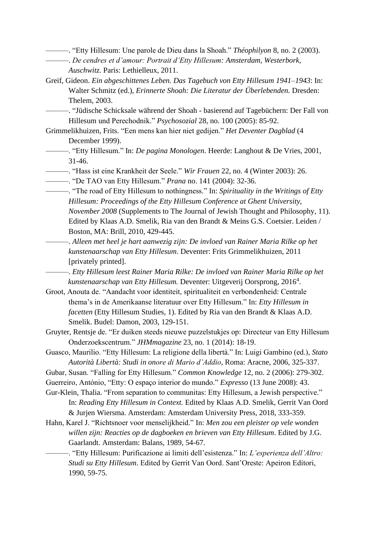———. "Etty Hillesum: Une parole de Dieu dans la Shoah." *Théophilyon* 8, no. 2 (2003).

- ———. *De cendres et d'amour: Portrait d'Etty Hillesum: Amsterdam, Westerbork, Auschwitz.* Paris: Lethielleux, 2011.
- Greif, Gideon. *Ein abgeschittenes Leben. Das Tagebuch von Etty Hillesum 1941–1943*: In: Walter Schmitz (ed.), *Erinnerte Shoah: Die Literatur der Überlebenden.* Dresden: Thelem, 2003.
	- ———. "Jüdische Schicksale während der Shoah basierend auf Tagebüchern: Der Fall von Hillesum und Perechodnik." *Psychosozial* 28, no. 100 (2005): 85-92.
- Grimmelikhuizen, Frits. "Een mens kan hier niet gedijen." *Het Deventer Dagblad* (4 December 1999).
	- ———. "Etty Hillesum." In: *De pagina Monologen*. Heerde: Langhout & De Vries, 2001, 31-46.

———. "Hass ist eine Krankheit der Seele." *Wir Frauen* 22, no. 4 (Winter 2003): 26.

———. "De TAO van Etty Hillesum." *Prana* no. 141 (2004): 32-36.

- ———. "The road of Etty Hillesum to nothingness." In: *Spirituality in the Writings of Etty Hillesum: Proceedings of the Etty Hillesum Conference at Ghent University, November 2008* (Supplements to The Journal of Jewish Thought and Philosophy, 11). Edited by Klaas A.D. Smelik, Ria van den Brandt & Meins G.S. Coetsier. Leiden / Boston, MA: Brill, 2010, 429-445.
	- ———. *Alleen met heel je hart aanwezig zijn: De invloed van Rainer Maria Rilke op het kunstenaarschap van Etty Hillesum*. Deventer: Frits Grimmelikhuizen, 2011 [privately printed].
	- ———. *Etty Hillesum leest Rainer Maria Rilke: De invloed van Rainer Maria Rilke op het kunstenaarschap van Etty Hillesum.* Deventer: Uitgeverij Oorsprong, 2016<sup>4</sup> .
- Groot, Anouta de. "Aandacht voor identiteit, spiritualiteit en verbondenheid: Centrale thema's in de Amerikaanse literatuur over Etty Hillesum." In: *Etty Hillesum in facetten* (Etty Hillesum Studies, 1). Edited by Ria van den Brandt & Klaas A.D. Smelik. Budel: Damon, 2003, 129-151.
- Gruyter, Rentsje de. "Er duiken steeds nieuwe puzzelstukjes op: Directeur van Etty Hillesum Onderzoekscentrum." *JHMmagazine* 23, no. 1 (2014): 18-19.
- Guasco, Maurilio. "Etty Hillesum: La religione della libertà." In: Luigi Gambino (ed.), *Stato Autorità Libertà: Studi in onore di Mario d'Addio*, Roma: Aracne, 2006, 325-337.
- Gubar, Susan. "Falling for Etty Hillesum." *Common Knowledge* 12, no. 2 (2006): 279-302.
- Guerreiro, António, "Etty: O espaço interior do mundo." *Expresso* (13 June 2008): 43.
- Gur-Klein, Thalia. "From separation to communitas: Etty Hillesum, a Jewish perspective." In: *Reading Etty Hillesum in Context.* Edited by Klaas A.D. Smelik, Gerrit Van Oord & Jurjen Wiersma. Amsterdam: Amsterdam University Press, 2018, 333-359.
- Hahn, Karel J. "Richtsnoer voor menselijkheid." In: *Men zou een pleister op vele wonden willen zijn: Reacties op de dagboeken en brieven van Etty Hillesum*. Edited by J.G. Gaarlandt. Amsterdam: Balans, 1989, 54-67.
	- ———. "Etty Hillesum: Purificazione ai limiti dell'esistenza." In: *L'esperienza dell'Altro: Studi su Etty Hillesum*. Edited by Gerrit Van Oord. Sant'Oreste: Apeiron Editori, 1990, 59-75.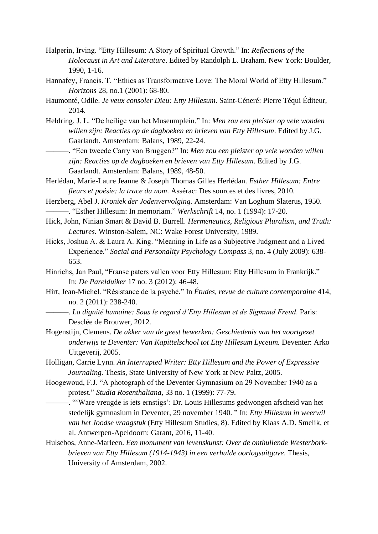- Halperin, Irving. "Etty Hillesum: A Story of Spiritual Growth." In: *Reflections of the Holocaust in Art and Literature*. Edited by Randolph L. Braham. New York: Boulder, 1990, 1-16.
- Hannafey, Francis. T. "Ethics as Transformative Love: The Moral World of Etty Hillesum." *Horizons* 28, no.1 (2001): 68-80.
- Haumonté, Odile. *Je veux consoler Dieu: Etty Hillesum*. Saint-Céneré: Pierre Téqui Éditeur, 2014.
- Heldring, J. L. "De heilige van het Museumplein." In: *Men zou een pleister op vele wonden willen zijn: Reacties op de dagboeken en brieven van Etty Hillesum*. Edited by J.G. Gaarlandt. Amsterdam: Balans, 1989, 22-24.
	- ———. "Een tweede Carry van Bruggen?" In: *Men zou een pleister op vele wonden willen zijn: Reacties op de dagboeken en brieven van Etty Hillesum*. Edited by J.G. Gaarlandt. Amsterdam: Balans, 1989, 48-50.
- Herlédan, Marie-Laure Jeanne & Joseph Thomas Gilles Herlédan. *Esther Hillesum: Entre fleurs et poésie: la trace du nom*. Assérac: Des sources et des livres, 2010.
- Herzberg, Abel J. *Kroniek der Jodenvervolging.* Amsterdam: Van Loghum Slaterus, 1950. ———. "Esther Hillesum: In memoriam." *Werkschrift* 14, no. 1 (1994): 17-20.
- Hick, John, Ninian Smart & David B. Burrell. *Hermeneutics, Religious Pluralism, and Truth: Lectures.* Winston-Salem, NC: Wake Forest University, 1989.
- Hicks, Joshua A. & Laura A. King. "Meaning in Life as a Subjective Judgment and a Lived Experience." *Social and Personality Psychology Compass* 3, no. 4 (July 2009): 638- 653.
- Hinrichs, Jan Paul, "Franse paters vallen voor Etty Hillesum: Etty Hillesum in Frankrijk." In: *De Parelduiker* 17 no. 3 (2012): 46-48.
- Hirt, Jean-Michel. "Résistance de la psyché." In *Études, revue de culture contemporaine* 414, no. 2 (2011): 238-240.
- ———. *La dignité humaine: Sous le regard d'Etty Hillesum et de Sigmund Freud*. Paris: Desclée de Brouwer, 2012.
- Hogenstijn, Clemens. *De akker van de geest bewerken: Geschiedenis van het voortgezet onderwijs te Deventer: Van Kapittelschool tot Etty Hillesum Lyceum.* Deventer: Arko Uitgeverij, 2005.
- Holligan, Carrie Lynn. *An Interrupted Writer: Etty Hillesum and the Power of Expressive Journaling.* Thesis, State University of New York at New Paltz, 2005.
- Hoogewoud, F.J. "A photograph of the Deventer Gymnasium on 29 November 1940 as a protest." *Studia Rosenthaliana,* 33 no. 1 (1999): 77-79.
	- ———. "'Ware vreugde is iets ernstigs': Dr. Louis Hillesums gedwongen afscheid van het stedelijk gymnasium in Deventer, 29 november 1940. " In: *Etty Hillesum in weerwil van het Joodse vraagstuk* (Etty Hillesum Studies, 8). Edited by Klaas A.D. Smelik, et al. Antwerpen-Apeldoorn: Garant, 2016, 11-40.
- Hulsebos, Anne-Marleen. *Een monument van levenskunst: Over de onthullende Westerborkbrieven van Etty Hillesum (1914-1943) in een verhulde oorlogsuitgave*. Thesis, University of Amsterdam, 2002.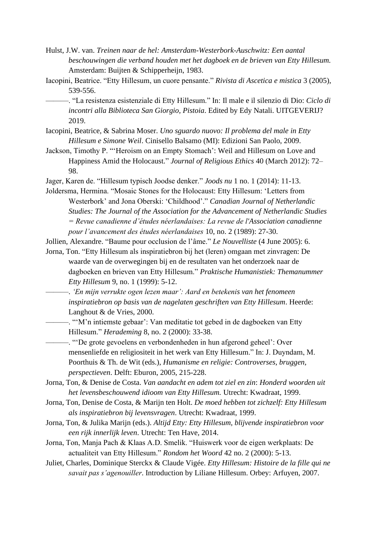- Hulst, J.W. van. *Treinen naar de hel: Amsterdam-Westerbork-Auschwitz: Een aantal beschouwingen die verband houden met het dagboek en de brieven van Etty Hillesum.*  Amsterdam: Buijten & Schipperheijn, 1983.
- Iacopini, Beatrice. "Etty Hillesum, un cuore pensante." *Rivista di Ascetica e mistica* 3 (2005), 539-556.
	- ———. "La resistenza esistenziale di Etty Hillesum." In: Il male e il silenzio di Dio: *Ciclo di incontri alla Biblioteca San Giorgio, Pistoia*. Edited by Edy Natali. UITGEVERIJ? 2019.
- Iacopini, Beatrice, & Sabrina Moser. *Uno sguardo nuovo: Il problema del male in Etty Hillesum e Simone Weil*. Cinisello Balsamo (MI): Edizioni San Paolo, 2009.
- Jackson, Timothy P. "'Heroism on an Empty Stomach': Weil and Hillesum on Love and Happiness Amid the Holocaust." *Journal of Religious Ethics* 40 (March 2012): 72– 98.
- Jager, Karen de. "Hillesum typisch Joodse denker." *Joods nu* 1 no. 1 (2014): 11-13.

Joldersma, Hermina. "Mosaic Stones for the Holocaust: Etty Hillesum: 'Letters from Westerbork' and Jona Oberski: 'Childhood'." *Canadian Journal of Netherlandic Studies: The Journal of the Association for the Advancement of Netherlandic Studies = Revue canadienne d'études néerlandaises: La revue de l'Association canadienne pour l'avancement des études néerlandaises* 10, no. 2 (1989): 27-30.

Jollien, Alexandre. "Baume pour occlusion de l'âme." *Le Nouvelliste* (4 June 2005): 6.

Jorna, Ton. "Etty Hillesum als inspiratiebron bij het (leren) omgaan met zinvragen: De waarde van de overwegingen bij en de resultaten van het onderzoek naar de dagboeken en brieven van Etty Hillesum." *Praktische Humanistiek: Themanummer Etty Hillesum* 9, no. 1 (1999): 5-12.

———. *'En mijn verrukte ogen lezen maar': Aard en betekenis van het fenomeen inspiratiebron op basis van de nagelaten geschriften van Etty Hillesum*. Heerde: Langhout & de Vries, 2000.

———. "'M'n intiemste gebaar': Van meditatie tot gebed in de dagboeken van Etty Hillesum." *Herademing* 8, no. 2 (2000): 33-38.

———. "'De grote gevoelens en verbondenheden in hun afgerond geheel': Over mensenliefde en religiositeit in het werk van Etty Hillesum." In: J. Duyndam, M. Poorthuis & Th. de Wit (eds.), *Humanisme en religie: Controverses, bruggen, perspectieven*. Delft: Eburon, 2005, 215-228.

- Jorna, Ton, & Denise de Costa. *Van aandacht en adem tot ziel en zin*: *Honderd woorden uit het levensbeschouwend idioom van Etty Hillesum.* Utrecht: Kwadraat, 1999.
- Jorna, Ton, Denise de Costa, & Marijn ten Holt. *De moed hebben tot zichzelf: Etty Hillesum als inspiratiebron bij levensvragen*. Utrecht: Kwadraat, 1999.
- Jorna, Ton, & Julika Marijn (eds.). *Altijd Etty: Etty Hillesum, blijvende inspiratiebron voor een rijk innerlijk leven*. Utrecht: Ten Have, 2014.
- Jorna, Ton, Manja Pach & Klaas A.D. Smelik. "Huiswerk voor de eigen werkplaats: De actualiteit van Etty Hillesum." *Rondom het Woord* 42 no. 2 (2000): 5-13.
- Juliet, Charles, Dominique Sterckx & Claude Vigée. *Etty Hillesum: Histoire de la fille qui ne savait pas s'agenouiller*. Introduction by Liliane Hillesum. Orbey: Arfuyen, 2007.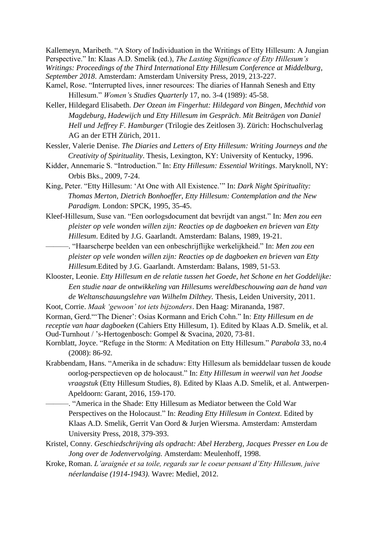Kallemeyn, Maribeth. "A Story of Individuation in the Writings of Etty Hillesum: A Jungian Perspective." In: Klaas A.D. Smelik (ed.), *The Lasting Significance of Etty Hillesum's Writings: Proceedings of the Third International Etty Hillesum Conference at Middelburg, September 2018*. Amsterdam: Amsterdam University Press, 2019, 213-227.

- Kamel, Rose. "Interrupted lives, inner resources: The diaries of Hannah Senesh and Etty Hillesum." *Women's Studies Quarterly* 17, no. 3-4 (1989): 45-58.
- Keller, Hildegard Elisabeth. *Der Ozean im Fingerhut: Hildegard von Bingen, Mechthid von Magdeburg, Hadewijch und Etty Hillesum im Gespräch*. *Mit Beiträgen von Daniel Hell und Jeffrey F. Hamburger* (Trilogie des Zeitlosen 3). Zürich: Hochschulverlag AG an der ETH Zürich, 2011.
- Kessler, Valerie Denise. *The Diaries and Letters of Etty Hillesum: Writing Journeys and the Creativity of Spirituality*. Thesis, Lexington, KY: University of Kentucky, 1996.
- Kidder, Annemarie S. "Introduction." In: *Etty Hillesum: Essential Writings*. Maryknoll, NY: Orbis Bks., 2009, 7-24.
- King, Peter. "Etty Hillesum: 'At One with All Existence.'" In: *Dark Night Spirituality: Thomas Merton, Dietrich Bonhoeffer, Etty Hillesum: Contemplation and the New Paradigm.* London: SPCK, 1995, 35-45.
- Kleef-Hillesum, Suse van. "Een oorlogsdocument dat bevrijdt van angst." In: *Men zou een pleister op vele wonden willen zijn: Reacties op de dagboeken en brieven van Etty Hillesum*. Edited by J.G. Gaarlandt. Amsterdam: Balans, 1989, 19-21.
	- ———. "Haarscherpe beelden van een onbeschrijflijke werkelijkheid." In: *Men zou een pleister op vele wonden willen zijn: Reacties op de dagboeken en brieven van Etty Hillesum*.Edited by J.G. Gaarlandt. Amsterdam: Balans, 1989, 51-53.
- Klooster, Leonie. *Etty Hillesum en de relatie tussen het Goede, het Schone en het Goddelijke: Een studie naar de ontwikkeling van Hillesums wereldbeschouwing aan de hand van de Weltanschauungslehre van Wilhelm Dilthey.* Thesis, Leiden University, 2011.
- Koot, Corrie. *Maak 'gewoon' tot iets bijzonders*. Den Haag: Mirananda, 1987.

Korman, Gerd."'The Diener': Osias Kormann and Erich Cohn." In: *Etty Hillesum en de receptie van haar dagboeken* (Cahiers Etty Hillesum, 1). Edited by Klaas A.D. Smelik, et al. Oud-Turnhout / 's-Hertogenbosch: Gompel & Svacina, 2020, 73-81.

- Kornblatt, Joyce. "Refuge in the Storm: A Meditation on Etty Hillesum." *Parabola* 33, no.4 (2008): 86-92.
- Krabbendam, Hans. "Amerika in de schaduw: Etty Hillesum als bemiddelaar tussen de koude oorlog-perspectieven op de holocaust." In: *Etty Hillesum in weerwil van het Joodse vraagstuk* (Etty Hillesum Studies, 8). Edited by Klaas A.D. Smelik, et al. Antwerpen-Apeldoorn: Garant, 2016, 159-170.
	- -. "America in the Shade: Etty Hillesum as Mediator between the Cold War Perspectives on the Holocaust." In: *Reading Etty Hillesum in Context.* Edited by Klaas A.D. Smelik, Gerrit Van Oord & Jurjen Wiersma. Amsterdam: Amsterdam University Press, 2018, 379-393.
- Kristel, Conny. *Geschiedschrijving als opdracht: Abel Herzberg, Jacques Presser en Lou de Jong over de Jodenvervolging.* Amsterdam: Meulenhoff, 1998.
- Kroke, Roman. *L'araignée et sa toile, regards sur le coeur pensant d'Etty Hillesum, juive néerlandaise (1914-1943).* Wavre: Mediel, 2012.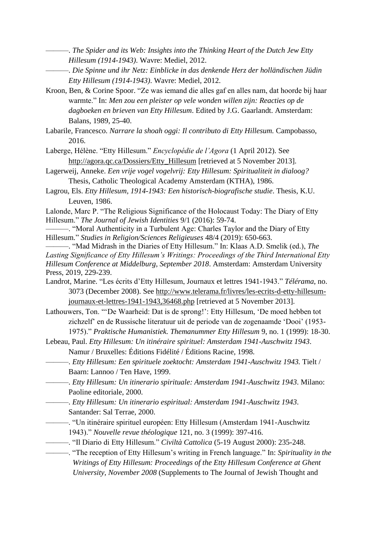- ———. *The Spider and its Web: Insights into the Thinking Heart of the Dutch Jew Etty Hillesum (1914-1943)*. Wavre: Mediel, 2012.
- ———. *Die Spinne und ihr Netz: Einblicke in das denkende Herz der holländischen Jüdin Etty Hillesum (1914-1943)*. Wavre: Mediel, 2012.
- Kroon, Ben, & Corine Spoor. "Ze was iemand die alles gaf en alles nam, dat hoorde bij haar warmte." In: *Men zou een pleister op vele wonden willen zijn: Reacties op de dagboeken en brieven van Etty Hillesum*. Edited by J.G. Gaarlandt. Amsterdam: Balans, 1989, 25-40.
- Labarile, Francesco. *Narrare la shoah oggi: Il contributo di Etty Hillesum*. Campobasso, 2016.
- Laberge, Hélène. "Etty Hillesum." *Encyclopédie de l'Agora* (1 April 2012). See [http://agora.qc.ca/Dossiers/Etty\\_Hillesum](http://agora.qc.ca/Dossiers/Etty_Hillesum) [retrieved at 5 November 2013].
- Lagerweij, Anneke. *Een vrije vogel vogelvrij: Etty Hillesum: Spiritualiteit in dialoog?* Thesis, Catholic Theological Academy Amsterdam (KTHA), 1986.
- Lagrou, Els. *Etty Hillesum, 1914-1943: Een historisch-biografische studie*. Thesis, K.U. Leuven, 1986.
- Lalonde, Marc P. "The Religious Significance of the Holocaust Today: The Diary of Etty Hillesum." *The Journal of Jewish Identities* 9/1 (2016): 59-74.
- ———. "Moral Authenticity in a Turbulent Age: Charles Taylor and the Diary of Etty Hillesum*.*" *Studies in Religion/Sciences Religieuses* 48/4 (2019): 650-663.
- ———. "Mad Midrash in the Diaries of Etty Hillesum." In: Klaas A.D. Smelik (ed.), *The Lasting Significance of Etty Hillesum's Writings: Proceedings of the Third International Etty Hillesum Conference at Middelburg, September 2018*. Amsterdam: Amsterdam University Press, 2019, 229-239.
- Landrot, Marine. "Les écrits d'Etty Hillesum, Journaux et lettres 1941-1943." *Télérama*, no. 3073 (December 2008). See [http://www.telerama.fr/livres/les-ecrits-d-etty-hillesum](http://www.telerama.fr/livres/les-ecrits-d-etty-hillesum-journaux-et-lettres-1941-1943,36468.php)[journaux-et-lettres-1941-1943,36468.php](http://www.telerama.fr/livres/les-ecrits-d-etty-hillesum-journaux-et-lettres-1941-1943,36468.php) [retrieved at 5 November 2013].
- Lathouwers, Ton. "'De Waarheid: Dat is de sprong!': Etty Hillesum, 'De moed hebben tot zichzelf' en de Russische literatuur uit de periode van de zogenaamde 'Dooi' (1953- 1975)." *Praktische Humanistiek. Themanummer Etty Hillesum* 9, no. 1 (1999): 18-30.
- Lebeau, Paul. *Etty Hillesum: Un itinéraire spirituel: Amsterdam 1941-Auschwitz 1943*. Namur / Bruxelles: Éditions Fidélité / Éditions Racine, 1998.
- ———. *Etty Hillesum: Een spirituele zoektocht: Amsterdam 1941-Auschwitz 1943.* Tielt / Baarn: Lannoo / Ten Have, 1999.
- ———. *Etty Hillesum: Un itinerario spirituale: Amsterdam 1941-Auschwitz 1943*. Milano: Paoline editoriale, 2000.
- ———. *Etty Hillesum: Un itinerario espiritual: Amsterdam 1941-Auschwitz 1943*. Santander: Sal Terrae, 2000.
- ———. "Un itinéraire spirituel européen: Etty Hillesum (Amsterdam 1941-Auschwitz 1943)." *Nouvelle revue théologique* 121, no. 3 (1999): 397-416.
- ———. "Il Diario di Etty Hillesum." *Civiltà Cattolica* (5-19 August 2000): 235-248.
	- ———. "The reception of Etty Hillesum's writing in French language." In: *Spirituality in the Writings of Etty Hillesum: Proceedings of the Etty Hillesum Conference at Ghent University, November 2008* (Supplements to The Journal of Jewish Thought and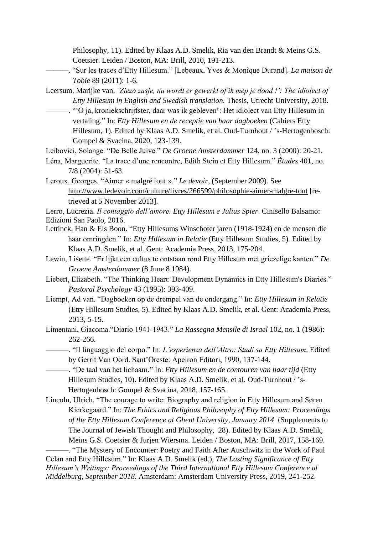Philosophy, 11). Edited by Klaas A.D. Smelik, Ria van den Brandt & Meins G.S. Coetsier. Leiden / Boston, MA: Brill, 2010, 191-213.

- ———. "Sur les traces d'Etty Hillesum." [Lebeaux, Yves & Monique Durand]. *La maison de Tobie* 89 (2011): 1-6.
- Leersum, Marijke van. *'Ziezo zusje, nu wordt er gewerkt of ik mep je dood !': The idiolect of Etty Hillesum in English and Swedish translation.* Thesis, Utrecht University, 2018.
- ———. "'O ja, kroniekschrijfster, daar was ik gebleven': Het idiolect van Etty Hillesum in vertaling." In: *Etty Hillesum en de receptie van haar dagboeken* (Cahiers Etty Hillesum, 1). Edited by Klaas A.D. Smelik, et al. Oud-Turnhout / 's-Hertogenbosch: Gompel & Svacina, 2020, 123-139.

Leibovici, Solange. "De Belle Juive." *De Groene Amsterdammer* 124, no. 3 (2000): 20-21.

- Léna, Marguerite. "La trace d'une rencontre, Edith Stein et Etty Hillesum." *Études* 401, no. 7/8 (2004): 51-63.
- Leroux, Georges. "Aimer « malgré tout »." *Le devoir*, (September 2009). See <http://www.ledevoir.com/culture/livres/266599/philosophie-aimer-malgre-tout> [retrieved at 5 November 2013].

- Lettinck, Han & Els Boon. "Etty Hillesums Winschoter jaren (1918-1924) en de mensen die haar omringden." In: *Etty Hillesum in Relatie* (Etty Hillesum Studies, 5). Edited by Klaas A.D. Smelik, et al. Gent: Academia Press, 2013, 175-204.
- Lewin, Lisette. "Er lijkt een cultus te ontstaan rond Etty Hillesum met griezelige kanten." *De Groene Amsterdammer* (8 June 8 1984).
- Liebert, Elizabeth. "The Thinking Heart: Development Dynamics in Etty Hillesum's Diaries." *Pastoral Psychology* 43 (1995): 393-409.
- Liempt, Ad van. "Dagboeken op de drempel van de ondergang." In: *Etty Hillesum in Relatie*  (Etty Hillesum Studies, 5). Edited by Klaas A.D. Smelik, et al. Gent: Academia Press, 2013, 5-15.
- Limentani, Giacoma."Diario 1941-1943." *La Rassegna Mensile di Israel* 102, no. 1 (1986): 262-266.

———. "Il linguaggio del corpo." In: *L'esperienza dell'Altro: Studi su Etty Hillesum*. Edited by Gerrit Van Oord. Sant'Oreste: Apeiron Editori, 1990, 137-144.

———. "De taal van het lichaam." In: *Etty Hillesum en de contouren van haar tijd* (Etty Hillesum Studies, 10). Edited by Klaas A.D. Smelik, et al. Oud-Turnhout / 's-Hertogenbosch: Gompel & Svacina, 2018, 157-165.

Lincoln, Ulrich. "The courage to write: Biography and religion in Etty Hillesum and Søren Kierkegaard." In: *The Ethics and Religious Philosophy of Etty Hillesum: Proceedings of the Etty Hillesum Conference at Ghent University, January 2014* (Supplements to The Journal of Jewish Thought and Philosophy, 28). Edited by Klaas A.D. Smelik, Meins G.S. Coetsier & Jurjen Wiersma. Leiden / Boston, MA: Brill, 2017, 158-169.

-. "The Mystery of Encounter: Poetry and Faith After Auschwitz in the Work of Paul Celan and Etty Hillesum." In: Klaas A.D. Smelik (ed.), *The Lasting Significance of Etty Hillesum's Writings: Proceedings of the Third International Etty Hillesum Conference at Middelburg, September 2018*. Amsterdam: Amsterdam University Press, 2019, 241-252.

Lerro, Lucrezia. *Il contaggio dell'amore. Etty Hillesum e Julius Spier*. Cinisello Balsamo: Edizioni San Paolo, 2016.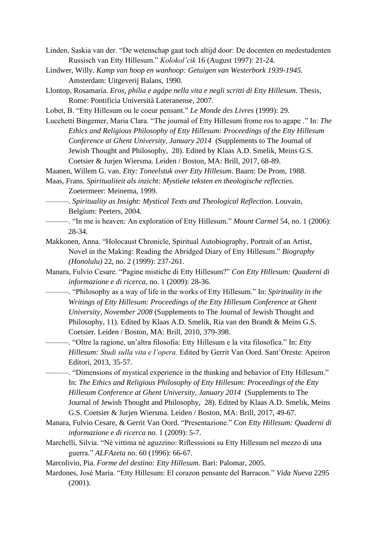- Linden, Saskia van der. "De wetenschap gaat toch altijd door: De docenten en medestudenten Russisch van Etty Hillesum." *Kolokol'cik* 16 (August 1997): 21-24.
- Lindwer, Willy. *Kamp van hoop en wanhoop: Getuigen van Westerbork 1939-1945.*  Amsterdam: Uitgeverij Balans, 1990.
- Llontop, Rosamaría. *Eros, philia e agápe nella vita e negli scritti di Etty Hillesum*. Thesis, Rome: Pontificia Università Lateranense, 2007.
- Lobet, B. "Etty Hillesum ou le coeur pensant." *Le Monde des Livres* (1999): 29.
- Lucchetti Bingemer, Maria Clara. "The journal of Etty Hillesum frome ros to agape ." In: *The Ethics and Religious Philosophy of Etty Hillesum: Proceedings of the Etty Hillesum Conference at Ghent University, January 2014* (Supplements to The Journal of Jewish Thought and Philosophy, 28). Edited by Klaas A.D. Smelik, Meins G.S. Coetsier & Jurjen Wiersma. Leiden / Boston, MA: Brill, 2017, 68-89.
- Maanen, Willem G. van. *Etty: Toneelstuk over Etty Hillesum*. Baarn: De Prom, 1988.
- Maas, Frans. *Spiritualiteit als inzicht: Mystieke teksten en theologische reflecties.*  Zoetermeer: Meinema, 1999.
- ———. *Spirituality as Insight: Mystical Texts and Theological Reflection.* Louvain, Belgium: Peeters, 2004.
- ———. "In me is heaven: An exploration of Etty Hillesum." *Mount Carmel* 54, no. 1 (2006): 28-34.
- Makkonen, Anna. "Holocaust Chronicle, Spiritual Autobiography, Portrait of an Artist, Novel in the Making: Reading the Abridged Diary of Etty Hillesum." *Biography (Honolulu)* 22, no. 2 (1999): 237-261.
- Manara, Fulvio Cesare. "Pagine mistiche di Etty Hillesum?" *Con Etty Hillesum: Quaderni di informazione e di ricerca*, no. 1 (2009): 28-36.
	- ———. "Philosophy as a way of life in the works of Etty Hillesum." In: *Spirituality in the Writings of Etty Hillesum: Proceedings of the Etty Hillesum Conference at Ghent University, November 2008* (Supplements to The Journal of Jewish Thought and Philosophy, 11). Edited by Klaas A.D. Smelik, Ria van den Brandt & Meins G.S. Coetsier. Leiden / Boston, MA: Brill, 2010, 379-398.
		- ———. "Oltre la ragione, un'altra filosofia: Etty Hillesum e la vita filosofica." In: *Etty Hillesum: Studi sulla vita e l'opera.* Edited by Gerrit Van Oord. Sant'Oreste: Apeiron Editori, 2013, 35-57.
		- ———. "Dimensions of mystical experience in the thinking and behavior of Etty Hillesum." In: *The Ethics and Religious Philosophy of Etty Hillesum: Proceedings of the Etty Hillesum Conference at Ghent University, January 2014* (Supplements to The Journal of Jewish Thought and Philosophy, 28). Edited by Klaas A.D. Smelik, Meins G.S. Coetsier & Jurjen Wiersma. Leiden / Boston, MA: Brill, 2017, 49-67.
- Manara, Fulvio Cesare, & Gerrit Van Oord. "Presentazione." *Con Etty Hillesum: Quaderni di informazione e di ricerca* no. 1 (2009): 5-7.
- Marchelli, Silvia. "Né vittima né aguzzino: Riflesssioni su Etty Hillesum nel mezzo di una guerra." *ALFAzeta* no. 60 (1996): 66-67.
- Marcolivio, Pia. *Forme del destino: Etty Hillesum.* Bari: Palomar, 2005.
- Mardones, José María. "Etty Hillesum: El corazon pensante del Barracon." *Vida Nueva* 2295 (2001).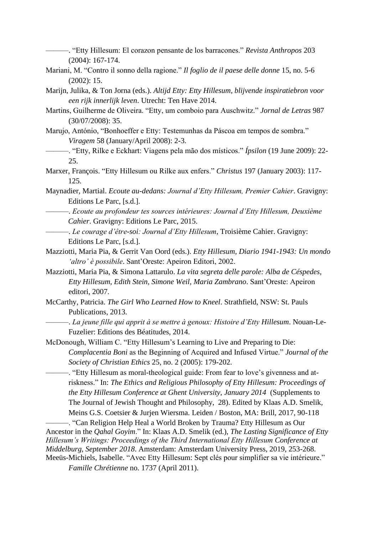———. "Etty Hillesum: El corazon pensante de los barracones." *Revista Anthropos* 203 (2004): 167-174.

Mariani, M. "Contro il sonno della ragione." *Il foglio de il paese delle donne* 15, no. 5-6 (2002): 15.

Marijn, Julika, & Ton Jorna (eds.). *Altijd Etty: Etty Hillesum, blijvende inspiratiebron voor een rijk innerlijk leven*. Utrecht: Ten Have 2014.

Martins, Guilherme de Oliveira. "Etty, um comboio para Auschwitz." *Jornal de Letras* 987 (30/07/2008): 35.

Marujo, António, "Bonhoeffer e Etty: Testemunhas da Páscoa em tempos de sombra." *Viragem* 58 (January/April 2008): 2-3.

———. "Etty, Rilke e Eckhart: Viagens pela mão dos místicos." *Ípsilon* (19 June 2009): 22- 25.

Marxer, François. "Etty Hillesum ou Rilke aux enfers." *Christus* 197 (January 2003): 117- 125.

Maynadier, Martial. *Ecoute au-dedans: Journal d'Etty Hillesum, Premier Cahier*. Gravigny: Editions Le Parc, [s.d.].

- ———. *Ecoute au profondeur tes sources intérieures: Journal d'Etty Hillesum, Deuxième Cahier*. Gravigny: Editions Le Parc, 2015.
	- ———. *Le courage d'être-soi: Journal d'Etty Hillesum*, Troisième Cahier. Gravigny: Editions Le Parc, [s.d.].

Mazziotti, Maria Pia, & Gerrit Van Oord (eds.). *Etty Hillesum, Diario 1941-1943: Un mondo 'altro' è possibile*. Sant'Oreste: Apeiron Editori, 2002.

Mazziotti, Maria Pia, & Simona Lattarulo. *La vita segreta delle parole: Alba de Céspedes, Etty Hillesum, Edith Stein, Simone Weil, Maria Zambrano*. Sant'Oreste: Apeiron editori, 2007.

- McCarthy, Patricia. *The Girl Who Learned How to Kneel*. Strathfield, NSW: St. Pauls Publications, 2013.
	- ———. *La jeune fille qui apprit à se mettre à genoux: Histoire d'Etty Hillesum*. Nouan-Le-Fuzelier: Editions des Béatitudes, 2014.

McDonough, William C. "Etty Hillesum's Learning to Live and Preparing to Die: *Complacentia Boni* as the Beginning of Acquired and Infused Virtue." *Journal of the Society of Christian Ethics* 25, no. 2 (2005): 179-202.

———. "Etty Hillesum as moral-theological guide: From fear to love's givenness and atriskness." In: *The Ethics and Religious Philosophy of Etty Hillesum: Proceedings of the Etty Hillesum Conference at Ghent University, January 2014* (Supplements to The Journal of Jewish Thought and Philosophy, 28). Edited by Klaas A.D. Smelik, Meins G.S. Coetsier & Jurjen Wiersma. Leiden / Boston, MA: Brill, 2017, 90-118

-. "Can Religion Help Heal a World Broken by Trauma? Etty Hillesum as Our Ancestor in the *Qahal Goyim*." In: Klaas A.D. Smelik (ed.), *The Lasting Significance of Etty Hillesum's Writings: Proceedings of the Third International Etty Hillesum Conference at Middelburg, September 2018*. Amsterdam: Amsterdam University Press, 2019, 253-268. Meeüs-Michiels, Isabelle. "Avec Etty Hillesum: Sept clés pour simplifier sa vie intérieure." *Famille Chrétienne* no. 1737 (April 2011).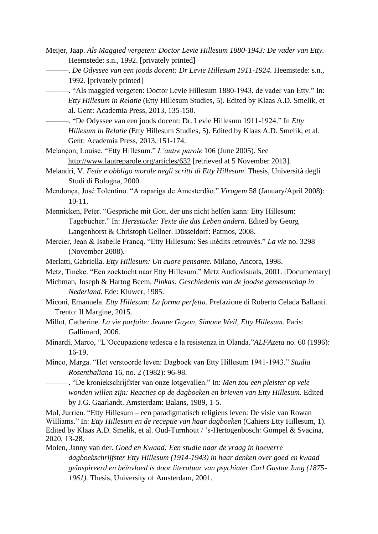- Meijer, Jaap. *Als Maggied vergeten: Doctor Levie Hillesum 1880-1943: De vader van Etty.*  Heemstede: s.n., 1992. [privately printed]
	- ———. *De Odyssee van een joods docent: Dr Levie Hillesum 1911-1924.* Heemstede: s.n., 1992. [privately printed]
	- ———. "Als maggied vergeten: Doctor Levie Hillesum 1880-1943, de vader van Etty." In: *Etty Hillesum in Relatie* (Etty Hillesum Studies, 5). Edited by Klaas A.D. Smelik, et al. Gent: Academia Press, 2013, 135-150.
		- ———. "De Odyssee van een joods docent: Dr. Levie Hillesum 1911-1924." In *Etty Hillesum in Relatie* (Etty Hillesum Studies, 5). Edited by Klaas A.D. Smelik, et al. Gent: Academia Press, 2013, 151-174.
- Melançon, Louise. "Etty Hillesum." *L'autre parole* 106 (June 2005). See <http://www.lautreparole.org/articles/632> [retrieved at 5 November 2013].
- Melandri, V. *Fede e obbligo morale negli scritti di Etty Hillesum*. Thesis, Università degli Studi di Bologna, 2000.
- Mendonça, José Tolentino. "A rapariga de Amesterdão." *Viragem* 58 (January/April 2008): 10-11.
- Mennicken, Peter. "Gespräche mit Gott, der uns nicht helfen kann: Etty Hillesum: Tagebücher." In: *Herzstücke: Texte die das Leben ändern*. Edited by Georg Langenhorst & Christoph Gellner. Düsseldorf: Patmos, 2008.
- Mercier, Jean & Isabelle Francq. "Etty Hillesum: Ses inédits retrouvés." *La vie* no. 3298 (November 2008).
- Merlatti, Gabriella. *Etty Hillesum: Un cuore pensante.* Milano, Ancora, 1998.
- Metz, Tineke. "Een zoektocht naar Etty Hillesum." Metz Audiovisuals, 2001. [Documentary]
- Michman, Joseph & Hartog Beem. *Pinkas: Geschiedenis van de joodse gemeenschap in Nederland.* Ede: Kluwer, 1985.
- Miconi, Emanuela. *Etty Hillesum: La forma perfetta*. Prefazione di Roberto Celada Ballanti. Trento: Il Margine, 2015.
- Millot, Catherine. *La vie parfaite: Jeanne Guyon, Simone Weil, Etty Hillesum*. Paris: Gallimard, 2006.
- Minardi, Marco, "L'Occupazione tedesca e la resistenza in Olanda."*ALFAzeta* no. 60 (1996): 16-19.
- Minco, Marga. "Het verstoorde leven: Dagboek van Etty Hillesum 1941-1943." *Studia Rosenthaliana* 16, no. 2 (1982): 96-98.
	- ———. "De kroniekschrijfster van onze lotgevallen." In: *Men zou een pleister op vele wonden willen zijn: Reacties op de dagboeken en brieven van Etty Hillesum*. Edited by J.G. Gaarlandt. Amsterdam: Balans, 1989, 1-5.

Mol, Jurrien. "Etty Hillesum – een paradigmatisch religieus leven: De visie van Rowan Williams." In: *Etty Hillesum en de receptie van haar dagboeken* (Cahiers Etty Hillesum, 1). Edited by Klaas A.D. Smelik, et al. Oud-Turnhout / 's-Hertogenbosch: Gompel & Svacina, 2020, 13-28.

Molen, Janny van der. *Goed en Kwaad: Een studie naar de vraag in hoeverre dagboekschrijfster Etty Hillesum (1914-1943) in haar denken over goed en kwaad geïnspireerd en beïnvloed is door literatuur van psychiater Carl Gustav Jung (1875- 1961).* Thesis, University of Amsterdam, 2001.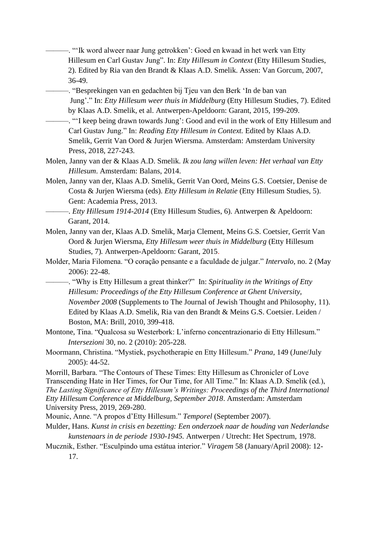———. "'Ik word alweer naar Jung getrokken': Goed en kwaad in het werk van Etty Hillesum en Carl Gustav Jung". In: *Etty Hillesum in Context* (Etty Hillesum Studies, 2). Edited by Ria van den Brandt & Klaas A.D. Smelik. Assen: Van Gorcum, 2007, 36-49.

- ———. "Besprekingen van en gedachten bij Tjeu van den Berk 'In de ban van Jung'." In: *Etty Hillesum weer thuis in Middelburg* (Etty Hillesum Studies, 7). Edited by Klaas A.D. Smelik, et al. Antwerpen-Apeldoorn: Garant, 2015, 199-209.
	- ———. "'I keep being drawn towards Jung': Good and evil in the work of Etty Hillesum and Carl Gustav Jung." In: *Reading Etty Hillesum in Context.* Edited by Klaas A.D. Smelik, Gerrit Van Oord & Jurjen Wiersma. Amsterdam: Amsterdam University Press, 2018, 227-243.
- Molen, Janny van der & Klaas A.D. Smelik. *Ik zou lang willen leven: Het verhaal van Etty Hillesum*. Amsterdam: Balans, 2014.
- Molen, Janny van der, Klaas A.D. Smelik, Gerrit Van Oord, Meins G.S. Coetsier, Denise de Costa & Jurjen Wiersma (eds). *Etty Hillesum in Relatie* (Etty Hillesum Studies, 5). Gent: Academia Press, 2013.
- ———. *Etty Hillesum 1914-2014* (Etty Hillesum Studies, 6). Antwerpen & Apeldoorn: Garant, 2014.
- Molen, Janny van der, Klaas A.D. Smelik, Marja Clement, Meins G.S. Coetsier, Gerrit Van Oord & Jurjen Wiersma, *Etty Hillesum weer thuis in Middelburg* (Etty Hillesum Studies, 7)*.* Antwerpen-Apeldoorn: Garant, 2015.
- Molder, Maria Filomena. "O coração pensante e a faculdade de julgar." *Intervalo*, no. 2 (May 2006): 22-48.
	- ———. "Why is Etty Hillesum a great thinker?" In: *Spirituality in the Writings of Etty Hillesum: Proceedings of the Etty Hillesum Conference at Ghent University, November 2008* (Supplements to The Journal of Jewish Thought and Philosophy, 11). Edited by Klaas A.D. Smelik, Ria van den Brandt & Meins G.S. Coetsier. Leiden / Boston, MA: Brill, 2010, 399-418.
- Montone, Tina. "Qualcosa su Westerbork: L'inferno concentrazionario di Etty Hillesum." *Intersezioni* 30, no. 2 (2010): 205-228.
- Moormann, Christina. "Mystiek, psychotherapie en Etty Hillesum." *Prana*, 149 (June/July 2005): 44-52.
- Morrill, Barbara. "The Contours of These Times: Etty Hillesum as Chronicler of Love Transcending Hate in Her Times, for Our Time, for All Time." In: Klaas A.D. Smelik (ed.), *The Lasting Significance of Etty Hillesum's Writings: Proceedings of the Third International Etty Hillesum Conference at Middelburg, September 2018*. Amsterdam: Amsterdam University Press, 2019, 269-280.
- Mounic, Anne. "A propos d'Etty Hillesum." *Temporel* (September 2007).
- Mulder, Hans. *Kunst in crisis en bezetting: Een onderzoek naar de houding van Nederlandse kunstenaars in de periode 1930-1945.* Antwerpen / Utrecht: Het Spectrum, 1978.
- Mucznik, Esther. "Esculpindo uma estátua interior." *Viragem* 58 (January/April 2008): 12- 17.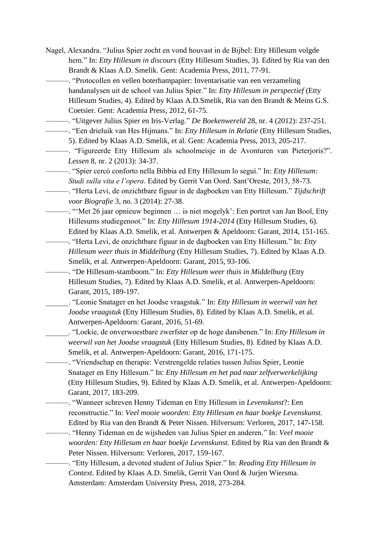- Nagel, Alexandra. "Julius Spier zocht en vond houvast in de Bijbel: Etty Hillesum volgde hem." In: *Etty Hillesum in discours* (Etty Hillesum Studies, 3). Edited by Ria van den Brandt & Klaas A.D. Smelik. Gent: Academia Press, 2011, 77-91.
	- ———. "Protocollen en vellen boterhampapier: Inventarisatie van een verzameling handanalysen uit de school van Julius Spier." In: *Etty Hillesum in perspectief* (Etty Hillesum Studies, 4). Edited by Klaas A.D.Smelik, Ria van den Brandt & Meins G.S. Coetsier. Gent: Academia Press, 2012, 61-75.
	- ———. "Uitgever Julius Spier en Iris-Verlag." *De Boekenwereld* 28, nr. 4 (2012): 237-251.
	- ———. "Een drieluik van Hes Hijmans." In: *Etty Hillesum in Relatie* (Etty Hillesum Studies,
		- 5). Edited by Klaas A.D. Smelik, et al. Gent: Academia Press, 2013, 205-217.
- ———. "Figureerde Etty Hillesum als schoolmeisje in de Avonturen van Pieterjoris?". *Lessen* 8, nr. 2 (2013): 34-37.
	- ———. "Spier cercò conforto nella Bibbia ed Etty Hillesum lo seguì." In: *Etty Hillesum: Studi sulla vita e l'opera*. Edited by Gerrit Van Oord. Sant'Oreste, 2013, 58-73.
- ———. "Herta Levi, de onzichtbare figuur in de dagboeken van Etty Hillesum." *Tijdschrift voor Biografie* 3, no. 3 (2014): 27-38.
	- ———. "'Met 26 jaar opnieuw beginnen … is niet mogelyk': Een portret van Jan Bool, Etty Hillesums studiegenoot." In: *Etty Hillesum 1914-2014* (Etty Hillesum Studies, 6). Edited by Klaas A.D. Smelik, et al. Antwerpen & Apeldoorn: Garant, 2014, 151-165.
	- ———. "Herta Levi, de onzichtbare figuur in de dagboeken van Etty Hillesum." In: *Etty Hillesum weer thuis in Middelburg* (Etty Hillesum Studies, 7). Edited by Klaas A.D. Smelik, et al. Antwerpen-Apeldoorn: Garant, 2015, 93-106.
		- ———. "De Hillesum-stamboom." In: *Etty Hillesum weer thuis in Middelburg* (Etty Hillesum Studies, 7). Edited by Klaas A.D. Smelik, et al. Antwerpen-Apeldoorn: Garant, 2015, 189-197.

\_\_\_\_\_\_. "Leonie Snatager en het Joodse vraagstuk." In: *Etty Hillesum in weerwil van het Joodse vraagstuk* (Etty Hillesum Studies, 8). Edited by Klaas A.D. Smelik, et al. Antwerpen-Apeldoorn: Garant, 2016, 51-69.

\_\_\_\_\_\_. "Loekie, de onverwoestbare zwerfster op de hoge dansbenen." In: *Etty Hillesum in weerwil van het Joodse vraagstuk* (Etty Hillesum Studies, 8). Edited by Klaas A.D. Smelik, et al. Antwerpen-Apeldoorn: Garant, 2016, 171-175.

———. "Vriendschap en therapie: Verstrengelde relaties tussen Julius Spier, Leonie Snatager en Etty Hillesum." In: *Etty Hillesum en het pad naar zelfverwerkelijking* (Etty Hillesum Studies, 9). Edited by Klaas A.D. Smelik, et al. Antwerpen-Apeldoorn: Garant, 2017, 183-209.

- ———. "Wanneer schreven Henny Tideman en Etty Hillesum in *Levenskunst*?: Een reconstructie." In: *Veel mooie woorden: Etty Hillesum en haar boekje Levenskunst.*  Edited by Ria van den Brandt & Peter Nissen. Hilversum: Verloren, 2017, 147-158.
- ———. "Henny Tideman en de wijsheden van Julius Spier en anderen." In: *Veel mooie woorden: Etty Hillesum en haar boekje Levenskunst.* Edited by Ria van den Brandt & Peter Nissen. Hilversum: Verloren, 2017, 159-167.
	- ———. "Etty Hillesum, a devoted student of Julius Spier." In: *Reading Etty Hillesum in Context.* Edited by Klaas A.D. Smelik, Gerrit Van Oord & Jurjen Wiersma. Amsterdam: Amsterdam University Press, 2018, 273-284.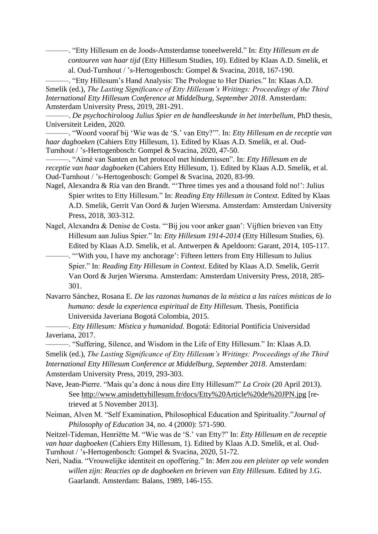———. "Etty Hillesum en de Joods-Amsterdamse toneelwereld." In: *Etty Hillesum en de contouren van haar tijd* (Etty Hillesum Studies, 10). Edited by Klaas A.D. Smelik, et al. Oud-Turnhout / 's-Hertogenbosch: Gompel & Svacina, 2018, 167-190.

———. "Etty Hillesum's Hand Analysis: The Prologue to Her Diaries." In: Klaas A.D. Smelik (ed.), *The Lasting Significance of Etty Hillesum's Writings: Proceedings of the Third International Etty Hillesum Conference at Middelburg, September 2018*. Amsterdam: Amsterdam University Press, 2019, 281-291.

———. *De psychochiroloog Julius Spier en de handleeskunde in het interbellum*, PhD thesis, Universiteit Leiden, 2020.

———. "Woord vooraf bij 'Wie was de 'S.' van Etty?'". In: *Etty Hillesum en de receptie van haar dagboeken* (Cahiers Etty Hillesum, 1). Edited by Klaas A.D. Smelik, et al. Oud-Turnhout / 's-Hertogenbosch: Gompel & Svacina, 2020, 47-50.

———. "Aimé van Santen en het protocol met hindernissen". In: *Etty Hillesum en de receptie van haar dagboeken* (Cahiers Etty Hillesum, 1). Edited by Klaas A.D. Smelik, et al. Oud-Turnhout / 's-Hertogenbosch: Gompel & Svacina, 2020, 83-99.

Nagel, Alexandra & Ria van den Brandt. "'Three times yes and a thousand fold no!': Julius Spier writes to Etty Hillesum." In: *Reading Etty Hillesum in Context.* Edited by Klaas A.D. Smelik, Gerrit Van Oord & Jurjen Wiersma. Amsterdam: Amsterdam University Press, 2018, 303-312.

Nagel, Alexandra & Denise de Costa. "'Bij jou voor anker gaan': Vijftien brieven van Etty Hillesum aan Julius Spier." In: *Etty Hillesum 1914-2014* (Etty Hillesum Studies, 6). Edited by Klaas A.D. Smelik, et al. Antwerpen & Apeldoorn: Garant, 2014, 105-117.

-. "With you, I have my anchorage': Fifteen letters from Etty Hillesum to Julius Spier." In: *Reading Etty Hillesum in Context.* Edited by Klaas A.D. Smelik, Gerrit Van Oord & Jurjen Wiersma. Amsterdam: Amsterdam University Press, 2018, 285- 301.

Navarro Sánchez, Rosana E. *De las razonas humanas de la mística a las raíces místicas de lo humano: desde la experienca espiritual de Etty Hillesum.* Thesis, Pontificia Universida Javeriana Bogotá Colombia, 2015.

———. *Etty Hillesum: Mística y humanidad.* Bogotá: Editorial Pontificia Universidad Javeriana, 2017.

———. "Suffering, Silence, and Wisdom in the Life of Etty Hillesum." In: Klaas A.D. Smelik (ed.), *The Lasting Significance of Etty Hillesum's Writings: Proceedings of the Third International Etty Hillesum Conference at Middelburg, September 2018*. Amsterdam: Amsterdam University Press, 2019, 293-303.

Nave, Jean-Pierre. "Mais qu'a donc à nous dire Etty Hillesum?" *La Croix* (20 April 2013). See <http://www.amisdettyhillesum.fr/docs/Etty%20Article%20de%20JPN.jpg> [retrieved at 5 November 2013].

Neiman, Alven M. "Self Examination, Philosophical Education and Spirituality."*Journal of Philosophy of Education* 34, no. 4 (2000): 571-590.

Neitzel-Tideman, Henriëtte M. "Wie was de 'S.' van Etty?" In: *Etty Hillesum en de receptie van haar dagboeken* (Cahiers Etty Hillesum, 1). Edited by Klaas A.D. Smelik, et al. Oud-Turnhout / 's-Hertogenbosch: Gompel & Svacina, 2020, 51-72.

Neri, Nadia. "Vrouwelijke identiteit en opoffering." In: *Men zou een pleister op vele wonden willen zijn: Reacties op de dagboeken en brieven van Etty Hillesum*. Edited by J.G. Gaarlandt. Amsterdam: Balans, 1989, 146-155.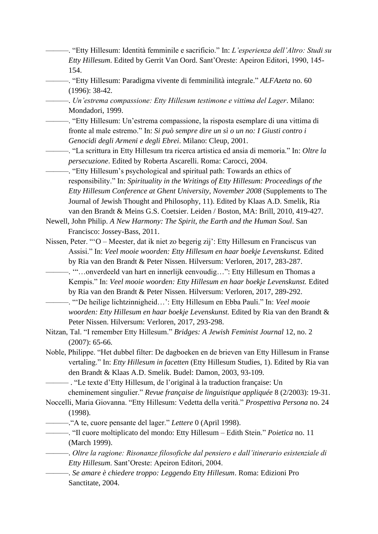- ———. "Etty Hillesum: Identità femminile e sacrificio." In: *L'esperienza dell'Altro: Studi su Etty Hillesum*. Edited by Gerrit Van Oord. Sant'Oreste: Apeiron Editori, 1990, 145- 154.
- ———. "Etty Hillesum: Paradigma vivente di femminilità integrale." *ALFAzeta* no. 60 (1996): 38-42.
- ———. *Un'estrema compassione: Etty Hillesum testimone e vittima del Lager*. Milano: Mondadori, 1999.
- ———. "Etty Hillesum: Un'estrema compassione, la risposta esemplare di una vittima di fronte al male estremo." In: *Si può sempre dire un sì o un no: I Giusti contro i Genocidi degli Armeni e degli Ebrei*. Milano: Cleup, 2001.
- ———. "La scrittura in Etty Hillesum tra ricerca artistica ed ansia di memoria." In: *Oltre la persecuzione*. Edited by Roberta Ascarelli. Roma: Carocci, 2004.
- ———. "Etty Hillesum's psychological and spiritual path: Towards an ethics of responsibility." In: *Spirituality in the Writings of Etty Hillesum: Proceedings of the Etty Hillesum Conference at Ghent University, November 2008* (Supplements to The Journal of Jewish Thought and Philosophy, 11). Edited by Klaas A.D. Smelik, Ria van den Brandt & Meins G.S. Coetsier. Leiden / Boston, MA: Brill, 2010, 419-427.
- Newell, John Philip. *A New Harmony: The Spirit, the Earth and the Human Soul*. San Francisco: Jossey-Bass, 2011.
- Nissen, Peter. "'O Meester, dat ik niet zo begerig zij': Etty Hillesum en Franciscus van Assisi." In: *Veel mooie woorden: Etty Hillesum en haar boekje Levenskunst.* Edited by Ria van den Brandt & Peter Nissen. Hilversum: Verloren, 2017, 283-287.
	- ———. '"…onverdeeld van hart en innerlijk eenvoudig…": Etty Hillesum en Thomas a Kempis." In: *Veel mooie woorden: Etty Hillesum en haar boekje Levenskunst.* Edited by Ria van den Brandt & Peter Nissen. Hilversum: Verloren, 2017, 289-292.
	- ———. "'De heilige lichtzinnigheid…': Etty Hillesum en Ebba Pauli." In: *Veel mooie woorden: Etty Hillesum en haar boekje Levenskunst.* Edited by Ria van den Brandt & Peter Nissen. Hilversum: Verloren, 2017, 293-298.
- Nitzan, Tal. "I remember Etty Hillesum." *Bridges: A Jewish Feminist Journal* 12, no. 2 (2007): 65-66.
- Noble, Philippe. "Het dubbel filter: De dagboeken en de brieven van Etty Hillesum in Franse vertaling." In: *Etty Hillesum in facetten* (Etty Hillesum Studies, 1). Edited by Ria van den Brandt & Klaas A.D. Smelik. Budel: Damon, 2003, 93-109.

——— . "Le texte d'Etty Hillesum, de l'original à la traduction française: Un cheminement singulier." *Revue française de linguistique appliquée* 8 (2/2003): 19-31.

- Noccelli, Maria Giovanna. "Etty Hillesum: Vedetta della verità." *Prospettiva Persona* no. 24 (1998).
- ———."A te, cuore pensante del lager." *Lettere* 0 (April 1998).
	- ———. "Il cuore moltiplicato del mondo: Etty Hillesum Edith Stein." *Poietica* no. 11 (March 1999).
- ———. *Oltre la ragione: Risonanze filosofiche dal pensiero e dall'itinerario esistenziale di Etty Hillesum*. Sant'Oreste: Apeiron Editori, 2004.
- ———. *Se amare è chiedere troppo: Leggendo Etty Hillesum*. Roma: Edizioni Pro Sanctitate, 2004.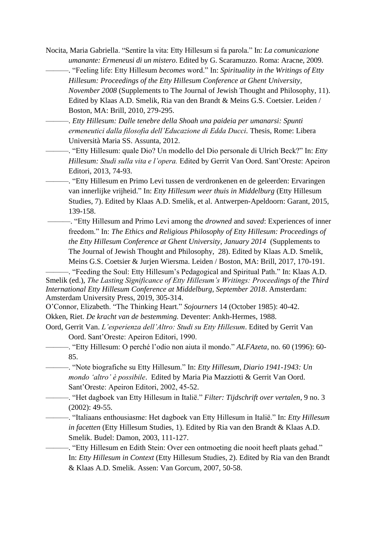Nocita, Maria Gabriella. "Sentire la vita: Etty Hillesum si fa parola." In: *La comunicazione umanante: Ermeneusi di un mistero*. Edited by G. Scaramuzzo. Roma: Aracne, 2009.

———. "Feeling life: Etty Hillesum *becomes* word." In: *Spirituality in the Writings of Etty Hillesum: Proceedings of the Etty Hillesum Conference at Ghent University, November 2008* (Supplements to The Journal of Jewish Thought and Philosophy, 11). Edited by Klaas A.D. Smelik, Ria van den Brandt & Meins G.S. Coetsier. Leiden / Boston, MA: Brill, 2010, 279-295.

———. *Etty Hillesum: Dalle tenebre della Shoah una paideia per umanarsi: Spunti ermeneutici dalla filosofia dell'Educazione di Edda Ducci.* Thesis, Rome: Libera Università Maria SS. Assunta, 2012.

———. "Etty Hillesum: quale Dio? Un modello del Dio personale di Ulrich Beck?" In: *Etty Hillesum: Studi sulla vita e l'opera.* Edited by Gerrit Van Oord. Sant'Oreste: Apeiron Editori, 2013, 74-93.

———. "Etty Hillesum en Primo Levi tussen de verdronkenen en de geleerden: Ervaringen van innerlijke vrijheid." In: *Etty Hillesum weer thuis in Middelburg* (Etty Hillesum Studies, 7). Edited by Klaas A.D. Smelik, et al. Antwerpen-Apeldoorn: Garant, 2015, 139-158.

———. "Etty Hillesum and Primo Levi among the *drowned* and *saved*: Experiences of inner freedom." In: *The Ethics and Religious Philosophy of Etty Hillesum: Proceedings of the Etty Hillesum Conference at Ghent University, January 2014* (Supplements to The Journal of Jewish Thought and Philosophy, 28). Edited by Klaas A.D. Smelik, Meins G.S. Coetsier & Jurjen Wiersma. Leiden / Boston, MA: Brill, 2017, 170-191.

-. "Feeding the Soul: Etty Hillesum's Pedagogical and Spiritual Path." In: Klaas A.D. Smelik (ed.), *The Lasting Significance of Etty Hillesum's Writings: Proceedings of the Third International Etty Hillesum Conference at Middelburg, September 2018*. Amsterdam: Amsterdam University Press, 2019, 305-314.

O'Connor, Elizabeth. "The Thinking Heart." *Sojourners* 14 (October 1985): 40-42.

Okken, Riet. *De kracht van de bestemming.* Deventer: Ankh-Hermes, 1988.

- Oord, Gerrit Van. *L'esperienza dell'Altro: Studi su Etty Hillesum*. Edited by Gerrit Van Oord. Sant'Oreste: Apeiron Editori, 1990.
- ———. "Etty Hillesum: O perché l'odio non aiuta il mondo." *ALFAzeta*, no*.* 60 (1996): 60- 85.
- ———. "Note biografiche su Etty Hillesum." In: *Etty Hillesum, Diario 1941-1943: Un mondo 'altro' è possibile*. Edited by Maria Pia Mazziotti & Gerrit Van Oord. Sant'Oreste: Apeiron Editori, 2002, 45-52.
	- ———. "Het dagboek van Etty Hillesum in Italië." *Filter: Tijdschrift over vertalen*, 9 no. 3 (2002): 49-55.

———. "Italiaans enthousiasme: Het dagboek van Etty Hillesum in Italië." In: *Etty Hillesum in facetten* (Etty Hillesum Studies, 1). Edited by Ria van den Brandt & Klaas A.D. Smelik. Budel: Damon, 2003, 111-127.

———. "Etty Hillesum en Edith Stein: Over een ontmoeting die nooit heeft plaats gehad." In: *Etty Hillesum in Context* (Etty Hillesum Studies, 2). Edited by Ria van den Brandt & Klaas A.D. Smelik. Assen: Van Gorcum, 2007, 50-58.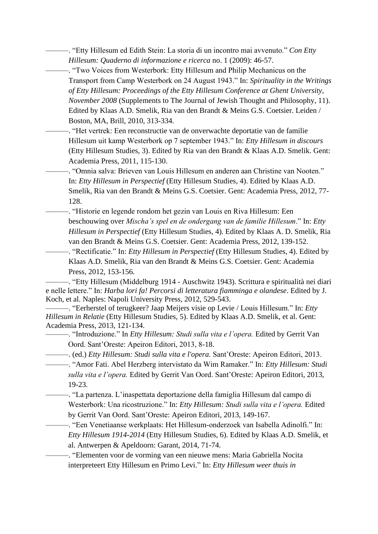———. "Etty Hillesum ed Edith Stein: La storia di un incontro mai avvenuto." *Con Etty Hillesum: Quaderno di informazione e ricerca* no. 1 (2009): 46-57.

———. "Two Voices from Westerbork: Etty Hillesum and Philip Mechanicus on the Transport from Camp Westerbork on 24 August 1943." In: *Spirituality in the Writings of Etty Hillesum: Proceedings of the Etty Hillesum Conference at Ghent University, November 2008* (Supplements to The Journal of Jewish Thought and Philosophy, 11). Edited by Klaas A.D. Smelik, Ria van den Brandt & Meins G.S. Coetsier. Leiden / Boston, MA, Brill, 2010, 313-334.

———. "Het vertrek: Een reconstructie van de onverwachte deportatie van de familie Hillesum uit kamp Westerbork op 7 september 1943." In: *Etty Hillesum in discours*  (Etty Hillesum Studies, 3). Edited by Ria van den Brandt & Klaas A.D. Smelik. Gent: Academia Press, 2011, 115-130.

———. "Omnia salva: Brieven van Louis Hillesum en anderen aan Christine van Nooten." In: *Etty Hillesum in Perspectief* (Etty Hillesum Studies, 4). Edited by Klaas A.D. Smelik, Ria van den Brandt & Meins G.S. Coetsier. Gent: Academia Press, 2012, 77- 128.

———. "Historie en legende rondom het gezin van Louis en Riva Hillesum: Een beschouwing over *Mischa's spel en de ondergang van de familie Hillesum*." In: *Etty Hillesum in Perspectief* (Etty Hillesum Studies, 4). Edited by Klaas A. D. Smelik, Ria van den Brandt & Meins G.S. Coetsier. Gent: Academia Press, 2012, 139-152.

———. "Rectificatie." In: *Etty Hillesum in Perspectief* (Etty Hillesum Studies, 4). Edited by Klaas A.D. Smelik, Ria van den Brandt & Meins G.S. Coetsier. Gent: Academia Press, 2012, 153-156.

———. "Etty Hillesum (Middelburg 1914 - Auschwitz 1943). Scrittura e spiritualità nei diari e nelle lettere." In: *Harba lori fa! Percorsi di letteratura fiamminga e olandese*. Edited by J. Koch, et al. Naples: Napoli University Press, 2012, 529-543.

———. "Eerherstel of terugkeer? Jaap Meijers visie op Levie / Louis Hillesum." In: *Etty Hillesum in Relatie* (Etty Hillesum Studies, 5). Edited by Klaas A.D. Smelik, et al. Gent: Academia Press, 2013, 121-134.

———. "Introduzione." In *Etty Hillesum: Studi sulla vita e l'opera.* Edited by Gerrit Van Oord. Sant'Oreste: Apeiron Editori, 2013, 8-18.

———. (ed.) *Etty Hillesum: Studi sulla vita e l'opera.* Sant'Oreste: Apeiron Editori, 2013.

———. "Amor Fati. Abel Herzberg intervistato da Wim Ramaker." In: *Etty Hillesum: Studi sulla vita e l'opera.* Edited by Gerrit Van Oord. Sant'Oreste: Apeiron Editori, 2013, 19-23.

———. "La partenza. L'inaspettata deportazione della famiglia Hillesum dal campo di Westerbork: Una ricostruzione." In: *Etty Hillesum: Studi sulla vita e l'opera.* Edited by Gerrit Van Oord. Sant'Oreste: Apeiron Editori, 2013, 149-167.

———. "Een Venetiaanse werkplaats: Het Hillesum-onderzoek van Isabella Adinolfi." In: *Etty Hillesum 1914-2014* (Etty Hillesum Studies, 6). Edited by Klaas A.D. Smelik, et al. Antwerpen & Apeldoorn: Garant, 2014, 71-74.

———. "Elementen voor de vorming van een nieuwe mens: Maria Gabriella Nocita interpreteert Etty Hillesum en Primo Levi." In: *Etty Hillesum weer thuis in*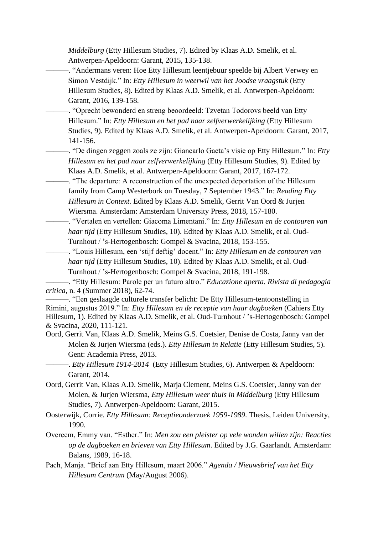*Middelburg* (Etty Hillesum Studies, 7). Edited by Klaas A.D. Smelik, et al. Antwerpen-Apeldoorn: Garant, 2015, 135-138.

-. "Andermans veren: Hoe Etty Hillesum leentjebuur speelde bij Albert Verwey en Simon Vestdijk." In: *Etty Hillesum in weerwil van het Joodse vraagstuk* (Etty Hillesum Studies, 8). Edited by Klaas A.D. Smelik, et al. Antwerpen-Apeldoorn: Garant, 2016, 139-158.

———. "Oprecht bewonderd en streng beoordeeld: Tzvetan Todorovs beeld van Etty Hillesum." In: *Etty Hillesum en het pad naar zelfverwerkelijking* (Etty Hillesum Studies, 9). Edited by Klaas A.D. Smelik, et al. Antwerpen-Apeldoorn: Garant, 2017, 141-156.

———. "De dingen zeggen zoals ze zijn: Giancarlo Gaeta's visie op Etty Hillesum." In: *Etty Hillesum en het pad naar zelfverwerkelijking* (Etty Hillesum Studies, 9). Edited by Klaas A.D. Smelik, et al. Antwerpen-Apeldoorn: Garant, 2017, 167-172.

———. "The departure: A reconstruction of the unexpected deportation of the Hillesum family from Camp Westerbork on Tuesday, 7 September 1943." In: *Reading Etty Hillesum in Context.* Edited by Klaas A.D. Smelik, Gerrit Van Oord & Jurjen Wiersma. Amsterdam: Amsterdam University Press, 2018, 157-180.

———. "Vertalen en vertellen: Giacoma Limentani." In: *Etty Hillesum en de contouren van haar tijd* (Etty Hillesum Studies, 10). Edited by Klaas A.D. Smelik, et al. Oud-Turnhout / 's-Hertogenbosch: Gompel & Svacina, 2018, 153-155.

———. "Louis Hillesum, een 'stijf deftig' docent." In: *Etty Hillesum en de contouren van haar tijd* (Etty Hillesum Studies, 10). Edited by Klaas A.D. Smelik, et al. Oud-Turnhout / 's-Hertogenbosch: Gompel & Svacina, 2018, 191-198.

———. "Etty Hillesum: Parole per un futuro altro." *Educazione aperta. Rivista di pedagogia critica*, n. 4 (Summer 2018), 62-74.

———. "Een geslaagde culturele transfer belicht: De Etty Hillesum-tentoonstelling in Rimini, augustus 2019." In: *Etty Hillesum en de receptie van haar dagboeken* (Cahiers Etty Hillesum, 1). Edited by Klaas A.D. Smelik, et al. Oud-Turnhout / 's-Hertogenbosch: Gompel & Svacina, 2020, 111-121.

Oord, Gerrit Van, Klaas A.D. Smelik, Meins G.S. Coetsier, Denise de Costa, Janny van der Molen & Jurjen Wiersma (eds.). *Etty Hillesum in Relatie* (Etty Hillesum Studies, 5). Gent: Academia Press, 2013.

———. *Etty Hillesum 1914-2014* (Etty Hillesum Studies, 6). Antwerpen & Apeldoorn: Garant, 2014.

Oord, Gerrit Van, Klaas A.D. Smelik, Marja Clement, Meins G.S. Coetsier, Janny van der Molen, & Jurjen Wiersma, *Etty Hillesum weer thuis in Middelburg* (Etty Hillesum Studies, 7). Antwerpen-Apeldoorn: Garant, 2015.

Oosterwijk, Corrie. *Etty Hillesum: Receptieonderzoek 1959-1989*. Thesis, Leiden University, 1990.

- Overeem, Emmy van. "Esther." In: *Men zou een pleister op vele wonden willen zijn: Reacties op de dagboeken en brieven van Etty Hillesum*. Edited by J.G. Gaarlandt. Amsterdam: Balans, 1989, 16-18.
- Pach, Manja. "Brief aan Etty Hillesum, maart 2006." *Agenda / Nieuwsbrief van het Etty Hillesum Centrum* (May/August 2006).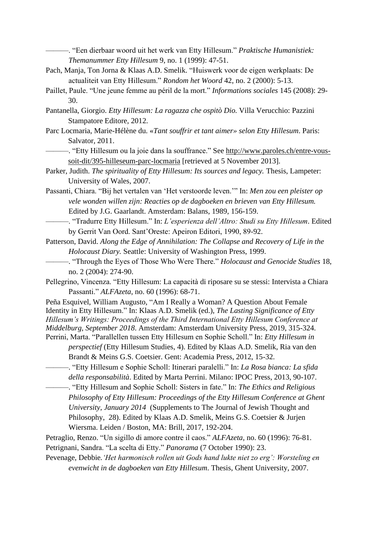———. "Een dierbaar woord uit het werk van Etty Hillesum." *Praktische Humanistiek: Themanummer Etty Hillesum* 9, no. 1 (1999): 47-51.

- Pach, Manja, Ton Jorna & Klaas A.D. Smelik. "Huiswerk voor de eigen werkplaats: De actualiteit van Etty Hillesum." *Rondom het Woord* 42, no. 2 (2000): 5-13.
- Paillet, Paule. "Une jeune femme au péril de la mort." *Informations sociales* 145 (2008): 29- 30.
- Pantanella, Giorgio. *Etty Hillesum: La ragazza che ospitò Dio.* Villa Verucchio: Pazzini Stampatore Editore, 2012.
- Parc Locmaria, Marie-Hélène du. «*Tant souffrir et tant aimer» selon Etty Hillesum*. Paris: Salvator, 2011.
	- ———. "Etty Hillesum ou la joie dans la souffrance." See [http://www.paroles.ch/entre-vous](http://www.paroles.ch/entre-vous-soit-dit/395-hilleseum-parc-locmaria)[soit-dit/395-hilleseum-parc-locmaria](http://www.paroles.ch/entre-vous-soit-dit/395-hilleseum-parc-locmaria) [retrieved at 5 November 2013].
- Parker, Judith. *The spirituality of Etty Hillesum: Its sources and legacy.* Thesis, Lampeter: University of Wales, 2007.
- Passanti, Chiara. "Bij het vertalen van 'Het verstoorde leven.'" In: *Men zou een pleister op vele wonden willen zijn: Reacties op de dagboeken en brieven van Etty Hillesum.*  Edited by J.G. Gaarlandt. Amsterdam: Balans, 1989, 156-159.
- ———. "Tradurre Etty Hillesum." In: *L'esperienza dell'Altro: Studi su Etty Hillesum*. Edited by Gerrit Van Oord. Sant'Oreste: Apeiron Editori, 1990, 89-92.
- Patterson, David. *Along the Edge of Annihilation: The Collapse and Recovery of Life in the Holocaust Diary.* Seattle: University of Washington Press, 1999.
	- ———. "Through the Eyes of Those Who Were There." *Holocaust and Genocide Studies* 18, no. 2 (2004): 274-90.
- Pellegrino, Vincenza. "Etty Hillesum: La capacità di riposare su se stessi: Intervista a Chiara Passanti." *ALFAzeta*, no. 60 (1996): 68-71.
- Peña Esquivel, William Augusto, "Am I Really a Woman? A Question About Female Identity in Etty Hillesum." In: Klaas A.D. Smelik (ed.), *The Lasting Significance of Etty Hillesum's Writings: Proceedings of the Third International Etty Hillesum Conference at Middelburg, September 2018*. Amsterdam: Amsterdam University Press, 2019, 315-324. Perrini, Marta. "Parallellen tussen Etty Hillesum en Sophie Scholl." In: *Etty Hillesum in* 
	- *perspectief* (Etty Hillesum Studies, 4). Edited by Klaas A.D. Smelik, Ria van den Brandt & Meins G.S. Coetsier. Gent: Academia Press, 2012, 15-32.
- ———. "Etty Hillesum e Sophie Scholl: Itinerari paralelli." In: *La Rosa bianca: La sfida della responsabilità*. Edited by Marta Perrini. Milano: IPOC Press, 2013, 90-107.
	- ———. "Etty Hillesum and Sophie Scholl: Sisters in fate." In: *The Ethics and Religious Philosophy of Etty Hillesum: Proceedings of the Etty Hillesum Conference at Ghent University, January 2014* (Supplements to The Journal of Jewish Thought and Philosophy, 28). Edited by Klaas A.D. Smelik, Meins G.S. Coetsier & Jurjen Wiersma. Leiden / Boston, MA: Brill, 2017, 192-204.
- Petraglio, Renzo. "Un sigillo di amore contre il caos." *ALFAzeta,* no. 60 (1996): 76-81.
- Petrignani, Sandra. "La scelta di Etty." *Panorama* (7 October 1990): 23.
- Pevenage, Debbie*.'Het harmonisch rollen uit Gods hand lukte niet zo erg': Worsteling en evenwicht in de dagboeken van Etty Hillesum*. Thesis, Ghent University, 2007.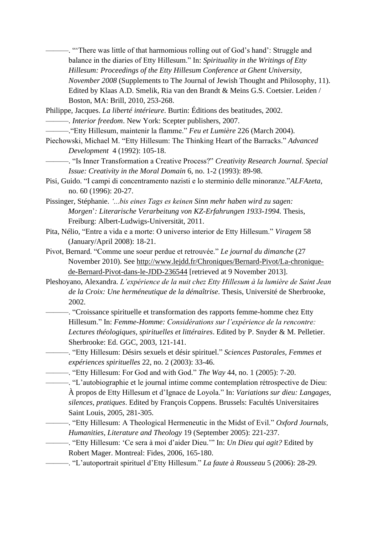———. "'There was little of that harmomious rolling out of God's hand': Struggle and balance in the diaries of Etty Hillesum." In: *Spirituality in the Writings of Etty Hillesum: Proceedings of the Etty Hillesum Conference at Ghent University, November 2008* (Supplements to The Journal of Jewish Thought and Philosophy, 11). Edited by Klaas A.D. Smelik, Ria van den Brandt & Meins G.S. Coetsier. Leiden / Boston, MA: Brill, 2010, 253-268.

Philippe, Jacques. *La liberté intérieure*. Burtin: Éditions des beatitudes, 2002.

———. *Interior freedom*. New York: Scepter publishers, 2007.

———."Etty Hillesum, maintenir la flamme." *Feu et Lumière* 226 (March 2004).

Piechowski, Michael M. "Etty Hillesum: The Thinking Heart of the Barracks." *Advanced Development* 4 (1992): 105-18.

———. "Is Inner Transformation a Creative Process?" *Creativity Research Journal. Special Issue: Creativity in the Moral Domain* 6, no. 1-2 (1993): 89-98.

Pisi, Guido. "I campi di concentramento nazisti e lo sterminio delle minoranze."*ALFAzeta,*  no. 60 (1996): 20-27.

Pissinger, Stéphanie. *'...bis eines Tags es keinen Sinn mehr haben wird zu sagen: Morgen*'*: Literarische Verarbeitung von KZ-Erfahrungen 1933-1994.* Thesis, Freiburg: Albert-Ludwigs-Universität, 2011.

Pita, Nélio, "Entre a vida e a morte: O universo interior de Etty Hillesum." *Viragem* 58 (January/April 2008): 18-21.

Pivot, Bernard. "Comme une soeur perdue et retrouvée." *Le journal du dimanche* (27 November 2010). See [http://www.lejdd.fr/Chroniques/Bernard-Pivot/La-chronique](http://www.lejdd.fr/Chroniques/Bernard-Pivot/La-chronique-de-Bernard-Pivot-dans-le-JDD-236544)[de-Bernard-Pivot-dans-le-JDD-236544](http://www.lejdd.fr/Chroniques/Bernard-Pivot/La-chronique-de-Bernard-Pivot-dans-le-JDD-236544) [retrieved at 9 November 2013].

Pleshoyano, Alexandra. *L'expérience de la nuit chez Etty Hillesum à la lumière de Saint Jean de la Croix: Une herméneutique de la démaîtrise*. Thesis, Université de Sherbrooke, 2002.

———. "Croissance spirituelle et transformation des rapports femme-homme chez Etty Hillesum." In: *Femme-Homme: Considérations sur l'expérience de la rencontre: Lectures théologiques, spirituelles et littéraires*. Edited by P. Snyder & M. Pelletier. Sherbrooke: Ed. GGC, 2003, 121-141.

———. "Etty Hillesum: Désirs sexuels et désir spirituel." *Sciences Pastorales, Femmes et expériences spirituelles* 22, no. 2 (2003): 33-46.

———. "Etty Hillesum: For God and with God." *The Way* 44, no. 1 (2005): 7-20.

———. "L'autobiographie et le journal intime comme contemplation rétrospective de Dieu: À propos de Etty Hillesum et d'Ignace de Loyola." In: *Variations sur dieu: Langages, silences, pratiques*. Edited by François Coppens. Brussels: Facultés Universitaires Saint Louis, 2005, 281-305.

———. "Etty Hillesum: A Theological Hermeneutic in the Midst of Evil." *Oxford Journals, Humanities, Literature and Theology* 19 (September 2005): 221-237.

———. "Etty Hillesum: 'Ce sera à moi d'aider Dieu.'" In: *Un Dieu qui agit?* Edited by Robert Mager. Montreal: Fides, 2006, 165-180.

———. "L'autoportrait spirituel d'Etty Hillesum." *La faute à Rousseau* 5 (2006): 28-29.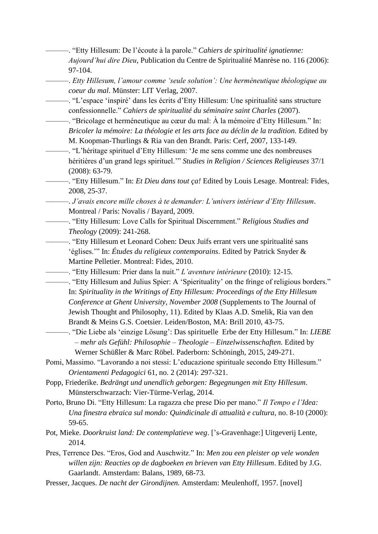———. "Etty Hillesum: De l'écoute à la parole." *Cahiers de spiritualité ignatienne: Aujourd'hui dire Dieu*, Publication du Centre de Spiritualité Manrèse no. 116 (2006): 97-104.

- ———. *Etty Hillesum, l'amour comme 'seule solution': Une herméneutique théologique au coeur du mal*. Münster: LIT Verlag, 2007.
- ———. "L'espace 'inspiré' dans les écrits d'Etty Hillesum: Une spiritualité sans structure confessionnelle." *Cahiers de spiritualité du séminaire saint Charles* (2007).
	- ———. "Bricolage et herméneutique au cœur du mal: À la mémoire d'Etty Hillesum." In: *Bricoler la mémoire: La théologie et les arts face au déclin de la tradition.* Edited by M. Koopman-Thurlings & Ria van den Brandt. Paris: Cerf, 2007, 133-149.
	- ———. "L'héritage spirituel d'Etty Hillesum: 'Je me sens comme une des nombreuses héritières d'un grand legs spirituel.'" *Studies in Religion / Sciences Religieuses* 37/1 (2008): 63-79.
	- ———. "Etty Hillesum." In: *Et Dieu dans tout ça!* Edited by Louis Lesage. Montreal: Fides, 2008, 25-37.
	- ———. *J'avais encore mille choses à te demander: L'univers intérieur d'Etty Hillesum*. Montreal / Paris: Novalis / Bayard, 2009.
- ———. "Etty Hillesum: Love Calls for Spiritual Discernment." *Religious Studies and Theology* (2009): 241-268.
	- ———. "Etty Hillesum et Leonard Cohen: Deux Juifs errant vers une spiritualité sans 'églises.'" In: *Études du religieux contemporains*. Edited by Patrick Snyder & Martine Pelletier. Montreal: Fides, 2010.
	- ———. "Etty Hillesum: Prier dans la nuit." *L'aventure intérieure* (2010): 12-15.
	- ———. "Etty Hillesum and Julius Spier: A 'Spierituality' on the fringe of religious borders." In: *Spirituality in the Writings of Etty Hillesum: Proceedings of the Etty Hillesum Conference at Ghent University, November 2008* (Supplements to The Journal of Jewish Thought and Philosophy, 11). Edited by Klaas A.D. Smelik, Ria van den Brandt & Meins G.S. Coetsier. Leiden/Boston, MA: Brill 2010, 43-75.
		- ———. "Die Liebe als 'einzige Lösung': Das spirituelle Erbe der Etty Hillesum." In: *LIEBE – mehr als Gefühl: Philosophie – Theologie – Einzelwissenschaften.* Edited by Werner Schüßler & Marc Röbel. Paderborn: Schöningh, 2015, 249-271.
- Pomi, Massimo. "Lavorando a noi stessi: L'educazione spirituale secondo Etty Hillesum." *Orientamenti Pedagogici* 61, no. 2 (2014): 297-321.
- Popp, Friederike. *Bedrängt und unendlich geborgen: Begegnungen mit Etty Hillesum*. Münsterschwarzach: Vier-Türme-Verlag, 2014.
- Porto, Bruno Di. "Etty Hillesum: La ragazza che prese Dio per mano." *Il Tempo e l'Idea: Una finestra ebraica sul mondo: Quindicinale di attualità e cultura,* no. 8-10 (2000): 59-65.
- Pot, Mieke. *Doorkruist land: De contemplatieve weg*. ['s-Gravenhage:] Uitgeverij Lente, 2014.
- Pres, Terrence Des. "Eros, God and Auschwitz." In: *Men zou een pleister op vele wonden willen zijn: Reacties op de dagboeken en brieven van Etty Hillesum*. Edited by J.G. Gaarlandt. Amsterdam: Balans, 1989, 68-73.
- Presser, Jacques. *De nacht der Girondijnen.* Amsterdam: Meulenhoff, 1957. [novel]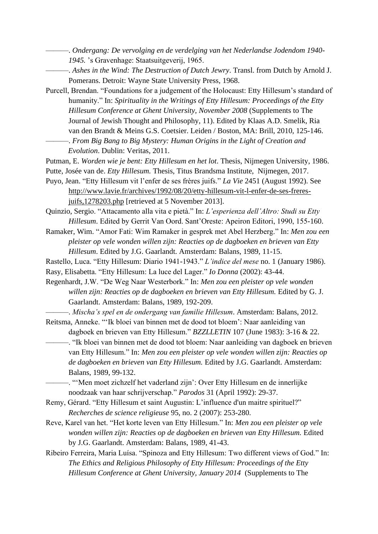- ———. *Ondergang: De vervolging en de verdelging van het Nederlandse Jodendom 1940- 1945.* 's Gravenhage: Staatsuitgeverij, 1965.
	- ———. *Ashes in the Wind: The Destruction of Dutch Jewry*. Transl. from Dutch by Arnold J. Pomerans. Detroit: Wayne State University Press, 1968.
- Purcell, Brendan. "Foundations for a judgement of the Holocaust: Etty Hillesum's standard of humanity." In: *Spirituality in the Writings of Etty Hillesum: Proceedings of the Etty Hillesum Conference at Ghent University, November 2008* (Supplements to The Journal of Jewish Thought and Philosophy, 11). Edited by Klaas A.D. Smelik, Ria van den Brandt & Meins G.S. Coetsier. Leiden / Boston, MA: Brill, 2010, 125-146. ———. *From Big Bang to Big Mystery: Human Origins in the Light of Creation and* 
	- *Evolution*. Dublin: Veritas, 2011.

Putman, E. *Worden wie je bent: Etty Hillesum en het lot*. Thesis, Nijmegen University, 1986.

- Putte, Josée van de. *Etty Hillesum.* Thesis, Titus Brandsma Institute, Nijmegen, 2017.
- Puyo, Jean. "Etty Hillesum vit l'enfer de ses frères juifs." *La Vie* 2451 (August 1992). See [http://www.lavie.fr/archives/1992/08/20/etty-hillesum-vit-l-enfer-de-ses-freres](http://www.lavie.fr/archives/1992/08/20/etty-hillesum-vit-l-enfer-de-ses-freres-juifs,1278203.php)[juifs,1278203.php](http://www.lavie.fr/archives/1992/08/20/etty-hillesum-vit-l-enfer-de-ses-freres-juifs,1278203.php) [retrieved at 5 November 2013].
- Quinzio, Sergio. "Attacamento alla vita e pietà." In: *L'esperienza dell'Altro: Studi su Etty Hillesum*. Edited by Gerrit Van Oord. Sant'Oreste: Apeiron Editori, 1990, 155-160.
- Ramaker, Wim. "Amor Fati: Wim Ramaker in gesprek met Abel Herzberg." In: *Men zou een pleister op vele wonden willen zijn: Reacties op de dagboeken en brieven van Etty Hillesum*. Edited by J.G. Gaarlandt. Amsterdam: Balans, 1989, 11-15.
- Rastello, Luca. "Etty Hillesum: Diario 1941-1943." *L'indice del mese* no. 1 (January 1986).
- Rasy, Elisabetta. "Etty Hillesum: La luce del Lager." *Io Donna* (2002): 43-44.
- Regenhardt, J.W. "De Weg Naar Westerbork." In: *Men zou een pleister op vele wonden willen zijn: Reacties op de dagboeken en brieven van Etty Hillesum.* Edited by G. J. Gaarlandt. Amsterdam: Balans, 1989, 192-209.
- ———. *Mischa's spel en de ondergang van familie Hillesum*. Amsterdam: Balans, 2012. Reitsma, Anneke. "'Ik bloei van binnen met de dood tot bloem': Naar aanleiding van
	- dagboek en brieven van Etty Hillesum." *BZZLLETIN* 107 (June 1983): 3-16 & 22. ———. "Ik bloei van binnen met de dood tot bloem: Naar aanleiding van dagboek en brieven van Etty Hillesum." In: *Men zou een pleister op vele wonden willen zijn: Reacties op de dagboeken en brieven van Etty Hillesum.* Edited by J.G. Gaarlandt. Amsterdam: Balans, 1989, 99-132.

———. "'Men moet zichzelf het vaderland zijn': Over Etty Hillesum en de innerlijke noodzaak van haar schrijverschap." *Parodos* 31 (April 1992): 29-37.

- Remy, Gérard. "Etty Hillesum et saint Augustin: L'influence d'un maitre spirituel?" *Recherches de science religieuse* 95, no. 2 (2007): 253-280.
- Reve, Karel van het. "Het korte leven van Etty Hillesum." In: *Men zou een pleister op vele wonden willen zijn: Reacties op de dagboeken en brieven van Etty Hillesum.* Edited by J.G. Gaarlandt. Amsterdam: Balans, 1989, 41-43.
- Ribeiro Ferreira, Maria Luísa. "Spinoza and Etty Hillesum: Two different views of God." In: *The Ethics and Religious Philosophy of Etty Hillesum: Proceedings of the Etty Hillesum Conference at Ghent University, January 2014* (Supplements to The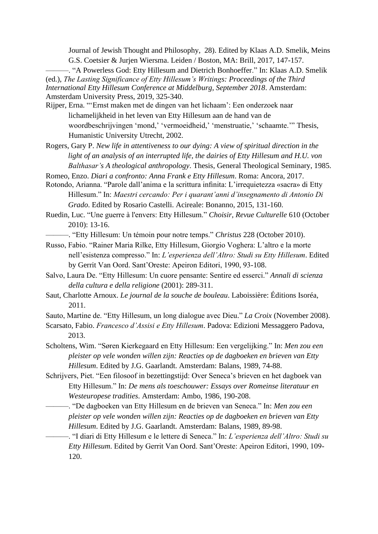Journal of Jewish Thought and Philosophy, 28). Edited by Klaas A.D. Smelik, Meins G.S. Coetsier & Jurjen Wiersma. Leiden / Boston, MA: Brill, 2017, 147-157.

-. "A Powerless God: Etty Hillesum and Dietrich Bonhoeffer." In: Klaas A.D. Smelik (ed.), *The Lasting Significance of Etty Hillesum's Writings: Proceedings of the Third International Etty Hillesum Conference at Middelburg, September 2018*. Amsterdam: Amsterdam University Press, 2019, 325-340.

Rijper, Erna. "'Ernst maken met de dingen van het lichaam': Een onderzoek naar lichamelijkheid in het leven van Etty Hillesum aan de hand van de woordbeschrijvingen 'mond,' 'vermoeidheid,' 'menstruatie,' 'schaamte.'" Thesis, Humanistic University Utrecht, 2002.

Rogers, Gary P. *New life in attentiveness to our dying: A view of spiritual direction in the light of an analysis of an interrupted life, the dairies of Etty Hillesum and H.U. von Balthasar's A theological anthropology*. Thesis, General Theological Seminary, 1985.

Romeo, Enzo. *Diari a confronto: Anna Frank e Etty Hillesum*. Roma: Ancora, 2017.

Rotondo, Arianna. "Parole dall'anima e la scrittura infinita: L'irrequietezza «sacra» di Etty Hillesum." In: *Maestri cercando: Per i quarant'anni d'insegnamento di Antonio Di Grado*. Edited by Rosario Castelli. Acireale: Bonanno, 2015, 131-160.

Ruedin, Luc. "Une guerre à l'envers: Etty Hillesum." *Choisir, Revue Culturelle* 610 (October 2010): 13-16.

———. "Etty Hillesum: Un témoin pour notre temps." *Christus* 228 (October 2010).

Russo, Fabio. "Rainer Maria Rilke, Etty Hillesum, Giorgio Voghera: L'altro e la morte nell'esistenza compresso." In: *L'esperienza dell'Altro: Studi su Etty Hillesum*. Edited by Gerrit Van Oord. Sant'Oreste: Apeiron Editori, 1990, 93-108.

- Salvo, Laura De. "Etty Hillesum: Un cuore pensante: Sentire ed esserci." *Annali di scienza della cultura e della religione* (2001): 289-311.
- Saut, Charlotte Arnoux. *Le journal de la souche de bouleau*. Laboissière: Éditions Isoréa, 2011.

Sauto, Martine de. "Etty Hillesum, un long dialogue avec Dieu." *La Croix* (November 2008).

- Scarsato, Fabio. *Francesco d'Assisi e Etty Hillesum*. Padova: Edizioni Messaggero Padova, 2013.
- Scholtens, Wim. "Søren Kierkegaard en Etty Hillesum: Een vergelijking." In: *Men zou een pleister op vele wonden willen zijn: Reacties op de dagboeken en brieven van Etty Hillesum*. Edited by J.G. Gaarlandt. Amsterdam: Balans, 1989, 74-88.

Schrijvers, Piet. "Een filosoof in bezettingstijd: Over Seneca's brieven en het dagboek van Etty Hillesum." In: *De mens als toeschouwer: Essays over Romeinse literatuur en Westeuropese tradities*. Amsterdam: Ambo, 1986*,* 190-208.

———. "De dagboeken van Etty Hillesum en de brieven van Seneca." In: *Men zou een pleister op vele wonden willen zijn: Reacties op de dagboeken en brieven van Etty Hillesum*. Edited by J.G. Gaarlandt. Amsterdam: Balans, 1989, 89-98.

———. "I diari di Etty Hillesum e le lettere di Seneca." In: *L'esperienza dell'Altro: Studi su Etty Hillesum*. Edited by Gerrit Van Oord. Sant'Oreste: Apeiron Editori, 1990, 109- 120.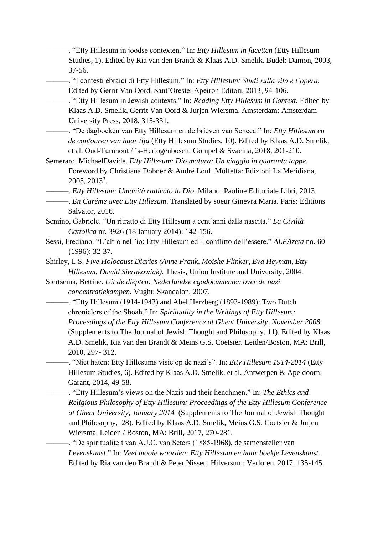———. "Etty Hillesum in joodse contexten." In: *Etty Hillesum in facetten* (Etty Hillesum Studies, 1). Edited by Ria van den Brandt & Klaas A.D. Smelik. Budel: Damon, 2003, 37-56.

———. "I contesti ebraici di Etty Hillesum." In: *Etty Hillesum: Studi sulla vita e l'opera.*  Edited by Gerrit Van Oord. Sant'Oreste: Apeiron Editori, 2013, 94-106.

———. "Etty Hillesum in Jewish contexts." In: *Reading Etty Hillesum in Context.* Edited by Klaas A.D. Smelik, Gerrit Van Oord & Jurjen Wiersma. Amsterdam: Amsterdam University Press, 2018, 315-331.

———. "De dagboeken van Etty Hillesum en de brieven van Seneca." In: *Etty Hillesum en de contouren van haar tijd* (Etty Hillesum Studies, 10). Edited by Klaas A.D. Smelik, et al. Oud-Turnhout / 's-Hertogenbosch: Gompel & Svacina, 2018, 201-210.

Semeraro, MichaelDavide. *Etty Hillesum: Dio matura: Un viaggio in quaranta tappe.*  Foreword by Christiana Dobner & André Louf*.* Molfetta: Edizioni La Meridiana, 2005, 2013<sup>3</sup> .

———. *Etty Hillesum: Umanità radicato in Dio*. Milano: Paoline Editoriale Libri, 2013.

———. *En Carême avec Etty Hillesum*. Translated by soeur Ginevra Maria. Paris: Editions Salvator, 2016.

- Semino, Gabriele. "Un ritratto di Etty Hillesum a cent'anni dalla nascita." *La Civiltà Cattolica* nr. 3926 (18 January 2014): 142-156.
- Sessi, Frediano. "L'altro nell'io: Etty Hillesum ed il conflitto dell'essere." *ALFAzeta* no. 60 (1996): 32-37.
- Shirley, I. S. *Five Holocaust Diaries (Anne Frank, Moishe Flinker, Eva Heyman, Etty Hillesum, Dawid Sierakowiak)*. Thesis, Union Institute and University, 2004.

Siertsema, Bettine. *Uit de diepten: Nederlandse egodocumenten over de nazi concentratiekampen.* Vught: Skandalon, 2007.

———. "Etty Hillesum (1914-1943) and Abel Herzberg (1893-1989): Two Dutch chroniclers of the Shoah." In: *Spirituality in the Writings of Etty Hillesum: Proceedings of the Etty Hillesum Conference at Ghent University, November 2008*  (Supplements to The Journal of Jewish Thought and Philosophy, 11). Edited by Klaas A.D. Smelik, Ria van den Brandt & Meins G.S. Coetsier. Leiden/Boston, MA: Brill, 2010, 297- 312.

———. "Niet haten: Etty Hillesums visie op de nazi's". In: *Etty Hillesum 1914-2014* (Etty Hillesum Studies, 6). Edited by Klaas A.D. Smelik, et al. Antwerpen & Apeldoorn: Garant, 2014, 49-58.

———. "Etty Hillesum's views on the Nazis and their henchmen." In: *The Ethics and Religious Philosophy of Etty Hillesum: Proceedings of the Etty Hillesum Conference at Ghent University, January 2014* (Supplements to The Journal of Jewish Thought and Philosophy, 28). Edited by Klaas A.D. Smelik, Meins G.S. Coetsier & Jurjen Wiersma. Leiden / Boston, MA: Brill, 2017, 270-281.

———. "De spiritualiteit van A.J.C. van Seters (1885-1968), de samensteller van *Levenskunst*." In: *Veel mooie woorden: Etty Hillesum en haar boekje Levenskunst.*  Edited by Ria van den Brandt & Peter Nissen. Hilversum: Verloren, 2017, 135-145.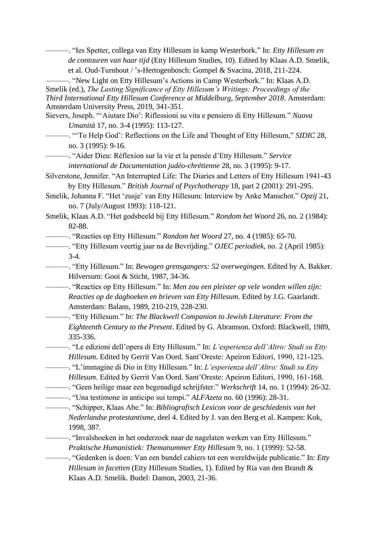———. "Ies Spetter, collega van Etty Hillesum in kamp Westerbork." In: *Etty Hillesum en de contouren van haar tijd* (Etty Hillesum Studies, 10). Edited by Klaas A.D. Smelik, et al. Oud-Turnhout / 's-Hertogenbosch: Gompel & Svacina, 2018, 211-224.

———. "New Light on Etty Hillesum's Actions in Camp Westerbork." In: Klaas A.D.

Smelik (ed.), *The Lasting Significance of Etty Hillesum's Writings: Proceedings of the Third International Etty Hillesum Conference at Middelburg, September 2018*. Amsterdam: Amsterdam University Press, 2019, 341-351.

Sievers, Joseph. "'Aiutare Dio': Riflessioni su vita e pensiero di Etty Hillesum." *Nuova Umanità* 17, no. 3-4 (1995): 113-127.

———. "'To Help God': Reflections on the Life and Thought of Etty Hillesum," *SIDIC* 28, no. 3 (1995): 9-16.

———. "Aider Dieu: Réflexion sur la vie et la pensée d'Etty Hillesum." *Service* 

*international de Documentation judéo-chrétienne* 28, no. 3 (1995): 9-17.

- Silverstone, Jennifer. "An Interrupted Life: The Diaries and Letters of Etty Hillesum 1941-43 by Etty Hillesum." *British Journal of Psychotherapy* 18, part 2 (2001): 291-295.
- Smelik, Johanna F. "Het 'zusje' van Etty Hillesum: Interview by Anke Manschot." *Opzij* 21, no. 7 (July/August 1993): 118-121.
- Smelik, Klaas A.D. "Het godsbeeld bij Etty Hillesum." *Rondom het Woord* 26, no. 2 (1984): 82-88.

———. "Reacties op Etty Hillesum." *Rondom het Woord* 27, no. 4 (1985): 65-70.

———. "Etty Hillesum veertig jaar na de Bevrijding." *OJEC periodiek*, no. 2 (April 1985): 3-4.

———. "Etty Hillesum." In: *Bewogen grensgangers: 52 overwegingen*. Edited by A. Bakker. Hilversum: Gooi & Sticht, 1987, 34-36.

———. "Reacties op Etty Hillesum." In: *Men zou een pleister op vele wonden willen zijn: Reacties op de dagboeken en brieven van Etty Hillesum*. Edited by J.G. Gaarlandt. Amsterdam: Balans, 1989, 210-219, 228-230.

———. "Etty Hillesum." In: *The Blackwell Companion to Jewish Literature: From the Eighteenth Century to the Present*. Edited by G. Abramson. Oxford: Blackwell, 1989, 335-336.

———. "Le edizioni dell'opera di Etty Hillesum." In: *L'esperienza dell'Altro: Studi su Etty Hillesum*. Edited by Gerrit Van Oord. Sant'Oreste: Apeiron Editori, 1990, 121-125.

———. "L'immagine di Dio in Etty Hillesum." In: *L'esperienza dell'Altro: Studi su Etty* 

*Hillesum*. Edited by Gerrit Van Oord. Sant'Oreste: Apeiron Editori, 1990, 161-168.

———. "Geen heilige maar een begenadigd schrijfster." *Werkschrift* 14, no. 1 (1994): 26-32.

———. "Una testimone in anticipo sui tempi." *ALFAzeta* no. 60 (1996): 28-31.

———. "Schipper, Klaas Abe." In: *Bibliografisch Lexicon voor de geschiedenis van het Nederlandse protestantisme*, deel 4. Edited by J. van den Berg et al. Kampen: Kok, 1998, 387.

———. "Invalshoeken in het onderzoek naar de nagelaten werken van Etty Hillesum." *Praktische Humanistiek: Themanummer Etty Hillesum* 9, no. 1 (1999): 52-58.

———. "Gedenken is doen: Van een bundel cahiers tot een wereldwijde publicatie." In: *Etty Hillesum in facetten* (Etty Hillesum Studies, 1). Edited by Ria van den Brandt & Klaas A.D. Smelik. Budel: Damon, 2003, 21-36.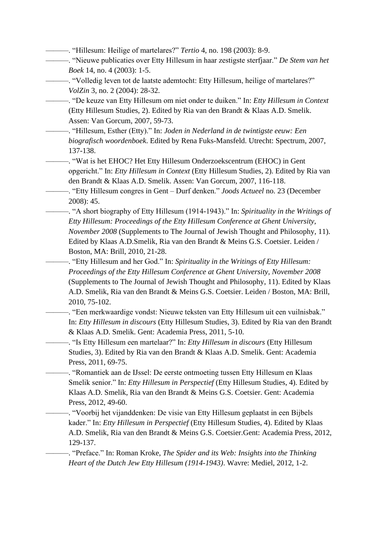———. "Hillesum: Heilige of martelares?" *Tertio* 4, no. 198 (2003): 8-9.

———. "Nieuwe publicaties over Etty Hillesum in haar zestigste sterfjaar." *De Stem van het Boek* 14, no. 4 (2003): 1-5.

———. "Volledig leven tot de laatste ademtocht: Etty Hillesum, heilige of martelares?" *VolZin* 3, no. 2 (2004): 28-32.

———. "De keuze van Etty Hillesum om niet onder te duiken." In: *Etty Hillesum in Context* (Etty Hillesum Studies, 2). Edited by Ria van den Brandt & Klaas A.D. Smelik. Assen: Van Gorcum, 2007, 59-73.

———. "Hillesum, Esther (Etty)." In: *Joden in Nederland in de twintigste eeuw: Een biografisch woordenboek*. Edited by Rena Fuks-Mansfeld. Utrecht: Spectrum, 2007, 137-138.

———. "Wat is het EHOC? Het Etty Hillesum Onderzoekscentrum (EHOC) in Gent opgericht." In: *Etty Hillesum in Context* (Etty Hillesum Studies, 2). Edited by Ria van den Brandt & Klaas A.D. Smelik. Assen: Van Gorcum, 2007, 116-118.

———. "Etty Hillesum congres in Gent – Durf denken." *Joods Actueel* no. 23 (December 2008): 45.

———. "A short biography of Etty Hillesum (1914-1943)." In: *Spirituality in the Writings of Etty Hillesum: Proceedings of the Etty Hillesum Conference at Ghent University, November 2008* (Supplements to The Journal of Jewish Thought and Philosophy, 11). Edited by Klaas A.D.Smelik, Ria van den Brandt & Meins G.S. Coetsier. Leiden / Boston, MA: Brill, 2010, 21-28.

———. "Etty Hillesum and her God." In: *Spirituality in the Writings of Etty Hillesum: Proceedings of the Etty Hillesum Conference at Ghent University, November 2008*  (Supplements to The Journal of Jewish Thought and Philosophy, 11). Edited by Klaas A.D. Smelik, Ria van den Brandt & Meins G.S. Coetsier. Leiden / Boston, MA: Brill, 2010, 75-102.

———. "Een merkwaardige vondst: Nieuwe teksten van Etty Hillesum uit een vuilnisbak." In: *Etty Hillesum in discours* (Etty Hillesum Studies, 3). Edited by Ria van den Brandt & Klaas A.D. Smelik. Gent: Academia Press, 2011, 5-10.

———. "Is Etty Hillesum een martelaar?" In: *Etty Hillesum in discours* (Etty Hillesum Studies, 3). Edited by Ria van den Brandt & Klaas A.D. Smelik. Gent: Academia Press, 2011, 69-75.

———. "Romantiek aan de IJssel: De eerste ontmoeting tussen Etty Hillesum en Klaas Smelik senior." In: *Etty Hillesum in Perspectief* (Etty Hillesum Studies, 4). Edited by Klaas A.D. Smelik, Ria van den Brandt & Meins G.S. Coetsier. Gent: Academia Press, 2012, 49-60.

———. "Voorbij het vijanddenken: De visie van Etty Hillesum geplaatst in een Bijbels kader." In: *Etty Hillesum in Perspectief* (Etty Hillesum Studies, 4). Edited by Klaas A.D. Smelik, Ria van den Brandt & Meins G.S. Coetsier.Gent: Academia Press, 2012, 129-137.

———. "Preface." In: Roman Kroke, *The Spider and its Web: Insights into the Thinking Heart of the Dutch Jew Etty Hillesum (1914-1943)*. Wavre: Mediel, 2012, 1-2.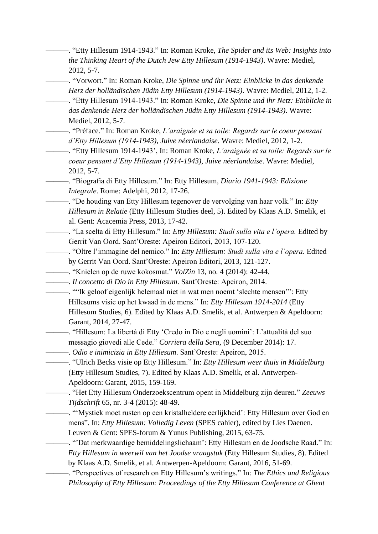- ———. "Etty Hillesum 1914-1943." In: Roman Kroke, *The Spider and its Web: Insights into the Thinking Heart of the Dutch Jew Etty Hillesum (1914-1943)*. Wavre: Mediel, 2012, 5-7.
- ———. "Vorwort." In: Roman Kroke, *Die Spinne und ihr Netz: Einblicke in das denkende Herz der holländischen Jüdin Etty Hillesum (1914-1943)*. Wavre: Mediel, 2012, 1-2.
- ———. "Etty Hillesum 1914-1943." In: Roman Kroke, *Die Spinne und ihr Netz: Einblicke in das denkende Herz der holländischen Jüdin Etty Hillesum (1914-1943)*. Wavre: Mediel, 2012, 5-7.
	- ———. "Préface." In: Roman Kroke, *L'araignée et sa toile: Regards sur le coeur pensant d'Etty Hillesum (1914-1943), Juive néerlandaise*. Wavre: Mediel, 2012, 1-2.
- ———. "Etty Hillesum 1914-1943', In: Roman Kroke, *L'araignée et sa toile: Regards sur le coeur pensant d'Etty Hillesum (1914-1943), Juive néerlandaise*. Wavre: Mediel, 2012, 5-7.
	- ———. "Biografia di Etty Hillesum." In: Etty Hillesum, *Diario 1941-1943: Edizione Integrale*. Rome: Adelphi, 2012, 17-26.
	- ———. "De houding van Etty Hillesum tegenover de vervolging van haar volk." In: *Etty Hillesum in Relatie* (Etty Hillesum Studies deel, 5). Edited by Klaas A.D. Smelik, et al. Gent: Acacemia Press, 2013, 17-42.
	- ———. "La scelta di Etty Hillesum." In: *Etty Hillesum: Studi sulla vita e l'opera.* Edited by Gerrit Van Oord. Sant'Oreste: Apeiron Editori, 2013, 107-120.
	- ———. "Oltre l'immagine del nemico." In: *Etty Hillesum: Studi sulla vita e l'opera.* Edited by Gerrit Van Oord. Sant'Oreste: Apeiron Editori, 2013, 121-127.
- ———. "Knielen op de ruwe kokosmat." *VolZin* 13, no. 4 (2014): 42-44.
- ———. *Il concetto di Dio in Etty Hillesum*. Sant'Oreste: Apeiron, 2014.
	- ———. ""Ik geloof eigenlijk helemaal niet in wat men noemt 'slechte mensen'": Etty Hillesums visie op het kwaad in de mens." In: *Etty Hillesum 1914-2014* (Etty Hillesum Studies, 6). Edited by Klaas A.D. Smelik, et al. Antwerpen & Apeldoorn: Garant, 2014, 27-47.
	- ———. "Hillesum: La libertà di Etty 'Credo in Dio e negli uomini': L'attualità del suo messagio giovedi alle Cede." *Corriera della Sera*, (9 December 2014): 17.
		- ———. *Odio e inimicizia in Etty Hillesum*. Sant'Oreste: Apeiron, 2015.
- ———. "Ulrich Becks visie op Etty Hillesum." In: *Etty Hillesum weer thuis in Middelburg* (Etty Hillesum Studies, 7). Edited by Klaas A.D. Smelik, et al. Antwerpen-Apeldoorn: Garant, 2015, 159-169.
	- ———. "Het Etty Hillesum Onderzoekscentrum opent in Middelburg zijn deuren." *Zeeuws Tijdschrift* 65, nr. 3-4 (2015): 48-49.
	- ———. "'Mystiek moet rusten op een kristalheldere eerlijkheid': Etty Hillesum over God en mens". In: *Etty Hillesum: Volledig Leven* (SPES cahier), edited by Lies Daenen. Leuven & Gent: SPES-forum & Yunus Publishing, 2015, 63-75.
	- ———. "'Dat merkwaardige bemiddelingslichaam': Etty Hillesum en de Joodsche Raad." In: *Etty Hillesum in weerwil van het Joodse vraagstuk* (Etty Hillesum Studies, 8). Edited by Klaas A.D. Smelik, et al. Antwerpen-Apeldoorn: Garant, 2016, 51-69.
	- ———. "Perspectives of research on Etty Hillesum's writings." In: *The Ethics and Religious Philosophy of Etty Hillesum: Proceedings of the Etty Hillesum Conference at Ghent*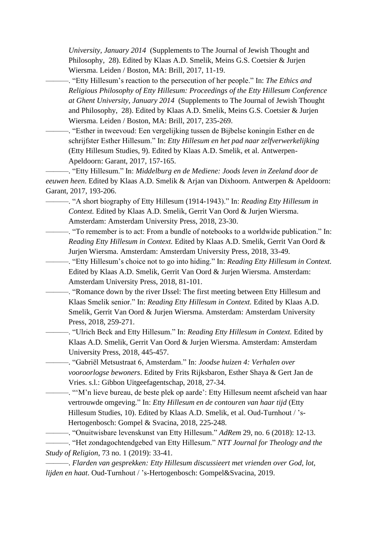*University, January 2014* (Supplements to The Journal of Jewish Thought and Philosophy, 28). Edited by Klaas A.D. Smelik, Meins G.S. Coetsier & Jurjen Wiersma. Leiden / Boston, MA: Brill, 2017, 11-19.

———. "Etty Hillesum's reaction to the persecution of her people." In: *The Ethics and Religious Philosophy of Etty Hillesum: Proceedings of the Etty Hillesum Conference at Ghent University, January 2014* (Supplements to The Journal of Jewish Thought and Philosophy, 28). Edited by Klaas A.D. Smelik, Meins G.S. Coetsier & Jurjen Wiersma. Leiden / Boston, MA: Brill, 2017, 235-269.

———. "Esther in tweevoud: Een vergelijking tussen de Bijbelse koningin Esther en de schrijfster Esther Hillesum." In: *Etty Hillesum en het pad naar zelfverwerkelijking* (Etty Hillesum Studies, 9). Edited by Klaas A.D. Smelik, et al. Antwerpen-Apeldoorn: Garant, 2017, 157-165.

———. "Etty Hillesum." In: *Middelburg en de Mediene: Joods leven in Zeeland door de eeuwen heen*. Edited by Klaas A.D. Smelik & Arjan van Dixhoorn. Antwerpen & Apeldoorn: Garant, 2017, 193-206.

- ———. "A short biography of Etty Hillesum (1914-1943)." In: *Reading Etty Hillesum in Context.* Edited by Klaas A.D. Smelik, Gerrit Van Oord & Jurjen Wiersma. Amsterdam: Amsterdam University Press, 2018, 23-30.
- ———. "To remember is to act: From a bundle of notebooks to a worldwide publication." In: *Reading Etty Hillesum in Context.* Edited by Klaas A.D. Smelik, Gerrit Van Oord & Jurjen Wiersma. Amsterdam: Amsterdam University Press, 2018, 33-49.
- ———. "Etty Hillesum's choice not to go into hiding." In: *Reading Etty Hillesum in Context.*  Edited by Klaas A.D. Smelik, Gerrit Van Oord & Jurjen Wiersma. Amsterdam: Amsterdam University Press, 2018, 81-101.
- ———. "Romance down by the river IJssel: The first meeting between Etty Hillesum and Klaas Smelik senior." In: *Reading Etty Hillesum in Context.* Edited by Klaas A.D. Smelik, Gerrit Van Oord & Jurjen Wiersma. Amsterdam: Amsterdam University Press, 2018, 259-271.
	- ———. "Ulrich Beck and Etty Hillesum." In: *Reading Etty Hillesum in Context.* Edited by Klaas A.D. Smelik, Gerrit Van Oord & Jurjen Wiersma. Amsterdam: Amsterdam University Press, 2018, 445-457.
	- ———. "Gabriël Metsustraat 6, Amsterdam." In: *Joodse huizen 4: Verhalen over vooroorlogse bewoners*. Edited by Frits Rijksbaron, Esther Shaya & Gert Jan de Vries. s.l.: Gibbon Uitgeefagentschap, 2018, 27-34.
	- ———. "'M'n lieve bureau, de beste plek op aarde': Etty Hillesum neemt afscheid van haar vertrouwde omgeving." In: *Etty Hillesum en de contouren van haar tijd* (Etty Hillesum Studies, 10). Edited by Klaas A.D. Smelik, et al. Oud-Turnhout / 's-Hertogenbosch: Gompel & Svacina, 2018, 225-248.

———. "Onuitwisbare levenskunst van Etty Hillesum." *AdRem* 29, no. 6 (2018): 12-13.

———. "Het zondagochtendgebed van Etty Hillesum." *NTT Journal for Theology and the Study of Religion*, 73 no. 1 (2019): 33-41.

———. *Flarden van gesprekken: Etty Hillesum discussieert met vrienden over God, lot, lijden en haat*. Oud-Turnhout / 's-Hertogenbosch: Gompel&Svacina, 2019.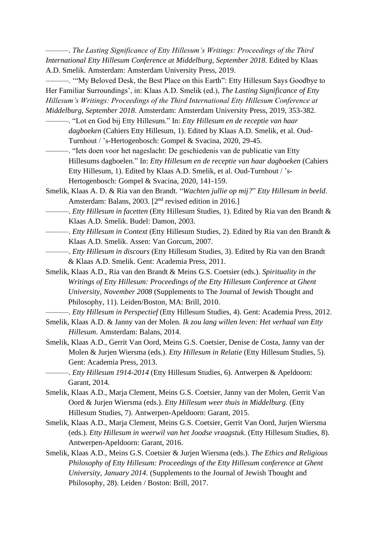———. *The Lasting Significance of Etty Hillesum's Writings: Proceedings of the Third International Etty Hillesum Conference at Middelburg, September 2018*. Edited by Klaas A.D. Smelik. Amsterdam: Amsterdam University Press, 2019.

———. '"My Beloved Desk, the Best Place on this Earth": Etty Hillesum Says Goodbye to Her Familiar Surroundings', in: Klaas A.D. Smelik (ed.), *The Lasting Significance of Etty Hillesum's Writings: Proceedings of the Third International Etty Hillesum Conference at Middelburg, September 2018*. Amsterdam: Amsterdam University Press, 2019, 353-382.

- ———. "Lot en God bij Etty Hillesum." In: *Etty Hillesum en de receptie van haar dagboeken* (Cahiers Etty Hillesum, 1). Edited by Klaas A.D. Smelik, et al. Oud-Turnhout / 's-Hertogenbosch: Gompel & Svacina, 2020, 29-45.
- ———. "Iets doen voor het nageslacht: De geschiedenis van de publicatie van Etty Hillesums dagboelen." In: *Etty Hillesum en de receptie van haar dagboeken* (Cahiers Etty Hillesum, 1). Edited by Klaas A.D. Smelik, et al. Oud-Turnhout / 's-Hertogenbosch: Gompel & Svacina, 2020, 141-159.
- Smelik, Klaas A. D. & Ria van den Brandt. "*Wachten jullie op mij?*" *Etty Hillesum in beeld*. Amsterdam: Balans, 2003. [2<sup>nd</sup> revised edition in 2016.]
- ———. *Etty Hillesum in facetten* (Etty Hillesum Studies, 1). Edited by Ria van den Brandt & Klaas A.D. Smelik. Budel: Damon, 2003.
	- ———. *Etty Hillesum in Context* (Etty Hillesum Studies, 2). Edited by Ria van den Brandt & Klaas A.D. Smelik. Assen: Van Gorcum, 2007.
- ———. *Etty Hillesum in discours* (Etty Hillesum Studies, 3). Edited by Ria van den Brandt & Klaas A.D. Smelik. Gent: Academia Press, 2011.
- Smelik, Klaas A.D., Ria van den Brandt & Meins G.S. Coetsier (eds.). *Spirituality in the Writings of Etty Hillesum: Proceedings of the Etty Hillesum Conference at Ghent University, November 2008* (Supplements to The Journal of Jewish Thought and Philosophy, 11). Leiden/Boston, MA: Brill, 2010.
- ———. *Etty Hillesum in Perspectief* (Etty Hillesum Studies, 4). Gent: Academia Press, 2012.
- Smelik, Klaas A.D. & Janny van der Molen. *Ik zou lang willen leven: Het verhaal van Etty Hillesum*. Amsterdam: Balans, 2014.
- Smelik, Klaas A.D., Gerrit Van Oord, Meins G.S. Coetsier, Denise de Costa, Janny van der Molen & Jurjen Wiersma (eds.). *Etty Hillesum in Relatie* (Etty Hillesum Studies, 5). Gent: Academia Press, 2013.
	- ———. *Etty Hillesum 1914-2014* (Etty Hillesum Studies, 6). Antwerpen & Apeldoorn: Garant, 2014.
- Smelik, Klaas A.D., Marja Clement, Meins G.S. Coetsier, Janny van der Molen, Gerrit Van Oord & Jurjen Wiersma (eds.). *Etty Hillesum weer thuis in Middelburg.* (Etty Hillesum Studies, 7). Antwerpen-Apeldoorn: Garant, 2015.
- Smelik, Klaas A.D., Marja Clement, Meins G.S. Coetsier, Gerrit Van Oord, Jurjen Wiersma (eds.). *Etty Hillesum in weerwil van het Joodse vraagstuk.* (Etty Hillesum Studies, 8). Antwerpen-Apeldoorn: Garant, 2016.
- Smelik, Klaas A.D., Meins G.S. Coetsier & Jurjen Wiersma (eds.). *The Ethics and Religious Philosophy of Etty Hillesum: Proceedings of the Etty Hillesum conference at Ghent University, January 2014.* (Supplements to the Journal of Jewish Thought and Philosophy, 28). Leiden / Boston: Brill, 2017.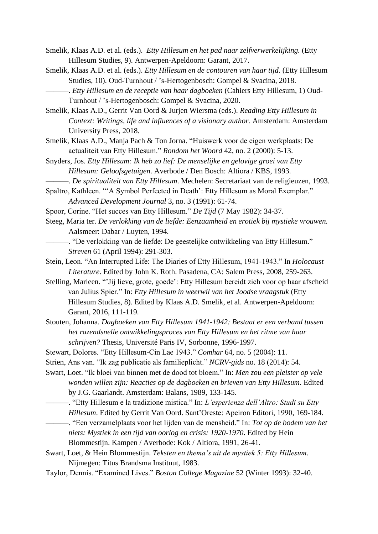- Smelik, Klaas A.D. et al. (eds.). *Etty Hillesum en het pad naar zelfverwerkelijking.* (Etty Hillesum Studies, 9). Antwerpen-Apeldoorn: Garant, 2017.
- Smelik, Klaas A.D. et al. (eds.). *Etty Hillesum en de contouren van haar tijd.* (Etty Hillesum Studies, 10). Oud-Turnhout / 's-Hertogenbosch: Gompel & Svacina, 2018.
	- ———. *Etty Hillesum en de receptie van haar dagboeken* (Cahiers Etty Hillesum, 1) Oud-Turnhout / 's-Hertogenbosch: Gompel & Svacina, 2020.
- Smelik, Klaas A.D., Gerrit Van Oord & Jurjen Wiersma (eds.). *Reading Etty Hillesum in Context: Writings, life and influences of a visionary author.* Amsterdam: Amsterdam University Press, 2018.
- Smelik, Klaas A.D., Manja Pach & Ton Jorna. "Huiswerk voor de eigen werkplaats: De actualiteit van Etty Hillesum." *Rondom het Woord* 42, no. 2 (2000): 5-13.
- Snyders, Jos. *Etty Hillesum: Ik heb zo lief: De menselijke en gelovige groei van Etty Hillesum: Geloofsgetuigen*. Averbode / Den Bosch: Altiora / KBS, 1993.
	- ———. *De spiritualiteit van Etty Hillesum*. Mechelen: Secretariaat van de religieuzen, 1993.
- Spaltro, Kathleen. "'A Symbol Perfected in Death': Etty Hillesum as Moral Exemplar." *Advanced Development Journal* 3, no. 3 (1991): 61-74.
- Spoor, Corine. "Het succes van Etty Hillesum." *De Tijd* (7 May 1982): 34-37.
- Steeg, Maria ter. *De verlokking van de liefde: Eenzaamheid en erotiek bij mystieke vrouwen.*  Aalsmeer: Dabar / Luyten, 1994.
	- ———. "De verlokking van de liefde: De geestelijke ontwikkeling van Etty Hillesum." *Streven* 61 (April 1994): 291-303.
- Stein, Leon. "An Interrupted Life: The Diaries of Etty Hillesum, 1941-1943." In *Holocaust Literature*. Edited by John K. Roth. Pasadena, CA: Salem Press, 2008, 259-263.
- Stelling, Marleen. "'Jij lieve, grote, goede': Etty Hillesum bereidt zich voor op haar afscheid van Julius Spier." In: *Etty Hillesum in weerwil van het Joodse vraagstuk* (Etty Hillesum Studies, 8). Edited by Klaas A.D. Smelik, et al. Antwerpen-Apeldoorn: Garant, 2016, 111-119.
- Stouten, Johanna. *Dagboeken van Etty Hillesum 1941-1942: Bestaat er een verband tussen het razendsnelle ontwikkelingsproces van Etty Hillesum en het ritme van haar schrijven?* Thesis, Université Paris IV, Sorbonne, 1996-1997.
- Stewart, Dolores. "Etty Hillesum-Cín Lae 1943." *Comhar* 64, no. 5 (2004): 11.
- Strien, Ans van. "Ik zag publicatie als familieplicht." *NCRV-gids* no. 18 (2014): 54.
- Swart, Loet. "Ik bloei van binnen met de dood tot bloem." In: *Men zou een pleister op vele wonden willen zijn: Reacties op de dagboeken en brieven van Etty Hillesum*. Edited by J.G. Gaarlandt. Amsterdam: Balans, 1989, 133-145.
	- ———. "Etty Hillesum e la tradizione mistica." In: *L'esperienza dell'Altro: Studi su Etty Hillesum*. Edited by Gerrit Van Oord. Sant'Oreste: Apeiron Editori, 1990, 169-184.
- ———. "Een verzamelplaats voor het lijden van de mensheid." In: *Tot op de bodem van het niets: Mystiek in een tijd van oorlog en crisis: 1920-1970*. Edited by Hein Blommestijn. Kampen / Averbode: Kok / Altiora, 1991, 26-41.
- Swart, Loet, & Hein Blommestijn. *Teksten en thema's uit de mystiek 5: Etty Hillesum*. Nijmegen: Titus Brandsma Instituut, 1983.
- Taylor, Dennis. "Examined Lives." *Boston College Magazine* 52 (Winter 1993): 32-40.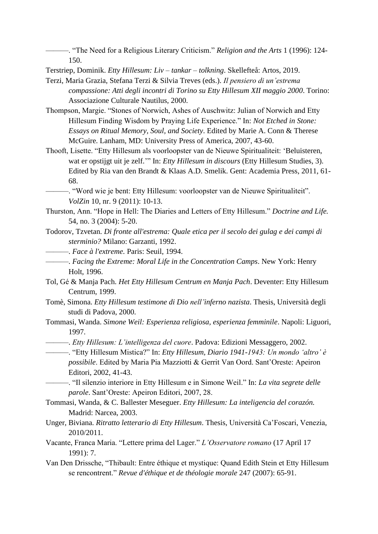———. "The Need for a Religious Literary Criticism." *Religion and the Arts* 1 (1996): 124- 150.

Terstriep, Dominik. *Etty Hillesum: Liv – tankar – tolkning*. Skellefteå: Artos, 2019.

- Terzi, Maria Grazia, Stefana Terzi & Silvia Treves (eds.). *Il pensiero di un'estrema compassione: Atti degli incontri di Torino su Etty Hillesum XII maggio 2000*. Torino: Associazione Culturale Nautilus, 2000.
- Thompson, Margie. "Stones of Norwich, Ashes of Auschwitz: Julian of Norwich and Etty Hillesum Finding Wisdom by Praying Life Experience." In: *Not Etched in Stone: Essays on Ritual Memory, Soul, and Society*. Edited by Marie A. Conn & Therese McGuire. Lanham, MD: University Press of America, 2007, 43-60.
- Thooft, Lisette. "Etty Hillesum als voorloopster van de Nieuwe Spiritualiteit: 'Beluisteren, wat er opstijgt uit je zelf.'" In: *Etty Hillesum in discours* (Etty Hillesum Studies, 3). Edited by Ria van den Brandt & Klaas A.D. Smelik. Gent: Academia Press, 2011, 61- 68.
- ———. "Word wie je bent: Etty Hillesum: voorloopster van de Nieuwe Spiritualiteit". *VolZin* 10, nr. 9 (2011): 10-13.
- Thurston, Ann. "Hope in Hell: The Diaries and Letters of Etty Hillesum." *Doctrine and Life.* 54, no. 3 (2004): 5-20.
- Todorov, Tzvetan. *Di fronte all'estrema: Quale etica per il secolo dei gulag e dei campi di sterminio?* Milano: Garzanti, 1992.
	- ———. *Face à l'extreme.* Paris: Seuil, 1994.
		- ———. *Facing the Extreme: Moral Life in the Concentration Camps*. New York: Henry Holt, 1996.
- Tol, Gé & Manja Pach. *Het Etty Hillesum Centrum en Manja Pach*. Deventer: Etty Hillesum Centrum, 1999.
- Tomè, Simona. *Etty Hillesum testimone di Dio nell'inferno nazista*. Thesis, Università degli studi di Padova, 2000.
- Tommasi, Wanda. *Simone Weil: Esperienza religiosa, esperienza femminile*. Napoli: Liguori, 1997.
- ———. *Etty Hillesum: L'intelligenza del cuore*. Padova: Edizioni Messaggero, 2002.

———. "Etty Hillesum Mistica?" In: *Etty Hillesum, Diario 1941-1943: Un mondo 'altro' è possibile*. Edited by Maria Pia Mazziotti & Gerrit Van Oord. Sant'Oreste: Apeiron Editori, 2002, 41-43.

- ———. "Il silenzio interiore in Etty Hillesum e in Simone Weil." In: *La vita segrete delle parole*. Sant'Oreste: Apeiron Editori, 2007, 28.
- Tommasi, Wanda, & C. Ballester Meseguer. *Etty Hillesum: La inteligencia del corazón.* Madrid: Narcea, 2003.
- Unger, Biviana. *Ritratto letterario di Etty Hillesum*. Thesis, Università Ca'Foscari, Venezia, 2010/2011.
- Vacante, Franca Maria. "Lettere prima del Lager." *L'Osservatore romano* (17 April 17 1991): 7.
- Van Den Drissche, "Thibault: Entre éthique et mystique: Quand Edith Stein et Etty Hillesum se rencontrent." *Revue d'éthique et de théologie morale* 247 (2007): 65-91.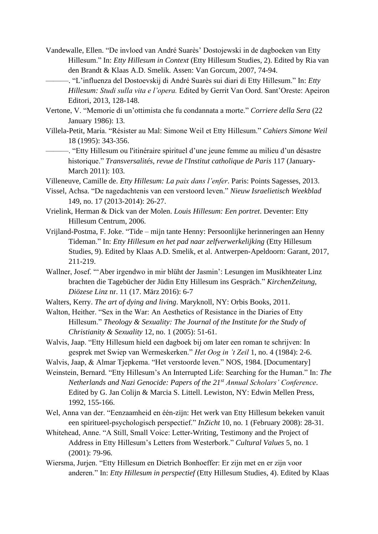- Vandewalle, Ellen. "De invloed van André Suarès' Dostojewski in de dagboeken van Etty Hillesum." In: *Etty Hillesum in Context* (Etty Hillesum Studies, 2). Edited by Ria van den Brandt & Klaas A.D. Smelik. Assen: Van Gorcum, 2007, 74-94.
	- ———. "L'influenza del Dostoevskij di André Suarès sui diari di Etty Hillesum." In: *Etty Hillesum: Studi sulla vita e l'opera.* Edited by Gerrit Van Oord. Sant'Oreste: Apeiron Editori, 2013, 128-148.
- Vertone, V. "Memorie di un'ottimista che fu condannata a morte." *Corriere della Sera* (22 January 1986): 13.
- Villela-Petit, Maria. "Résister au Mal: Simone Weil et Etty Hillesum." *Cahiers Simone Weil* 18 (1995): 343-356.
- ———. "Etty Hillesum ou l'itinéraire spirituel d'une jeune femme au milieu d'un désastre historique." *Transversalités, revue de l'Institut catholique de Paris* 117 (January-March 2011): 103.
- Villeneuve, Camille de. *Etty Hillesum: La paix dans l'enfer*. Paris: Points Sagesses, 2013.
- Vissel, Achsa. "De nagedachtenis van een verstoord leven." *Nieuw Israelietisch Weekblad* 149, no. 17 (2013-2014): 26-27.
- Vrielink, Herman & Dick van der Molen. *Louis Hillesum: Een portret*. Deventer: Etty Hillesum Centrum, 2006.
- Vrijland-Postma, F. Joke. "Tide mijn tante Henny: Persoonlijke herinneringen aan Henny Tideman." In: *Etty Hillesum en het pad naar zelfverwerkelijking* (Etty Hillesum Studies, 9). Edited by Klaas A.D. Smelik, et al. Antwerpen-Apeldoorn: Garant, 2017, 211-219.
- Wallner, Josef. "'Aber irgendwo in mir blüht der Jasmin': Lesungen im Musikhteater Linz brachten die Tagebücher der Jüdin Etty Hillesum ins Gespräch." *KirchenZeitung, Diözese Linz* nr. 11 (17. März 2016): 6-7
- Walters, Kerry. *The art of dying and living*. Maryknoll, NY: Orbis Books, 2011.
- Walton, Heither. "Sex in the War: An Aesthetics of Resistance in the Diaries of Etty Hillesum." *Theology & Sexuality: The Journal of the Institute for the Study of Christianity & Sexuality* 12, no. 1 (2005): 51-61.
- Walvis, Jaap. "Etty Hillesum hield een dagboek bij om later een roman te schrijven: In gesprek met Swiep van Wermeskerken." *Het Oog in 't Zeil* 1, no. 4 (1984): 2-6.
- Walvis, Jaap, & Almar Tjepkema. "Het verstoorde leven." NOS, 1984. [Documentary]
- Weinstein, Bernard. "Etty Hillesum's An Interrupted Life: Searching for the Human." In: *The Netherlands and Nazi Genocide: Papers of the 21st Annual Scholars' Conference*. Edited by G. Jan Colijn & Marcia S. Littell. Lewiston, NY: Edwin Mellen Press, 1992, 155-166.
- Wel, Anna van der. "Eenzaamheid en één-zijn: Het werk van Etty Hillesum bekeken vanuit een spiritueel-psychologisch perspectief." *InZicht* 10, no. 1 (February 2008): 28-31.
- Whitehead, Anne. "A Still, Small Voice: Letter-Writing, Testimony and the Project of Address in Etty Hillesum's Letters from Westerbork." *Cultural Values* 5, no. 1 (2001): 79-96.
- Wiersma, Jurjen. "Etty Hillesum en Dietrich Bonhoeffer: Er zijn met en er zijn voor anderen." In: *Etty Hillesum in perspectief* (Etty Hillesum Studies, 4). Edited by Klaas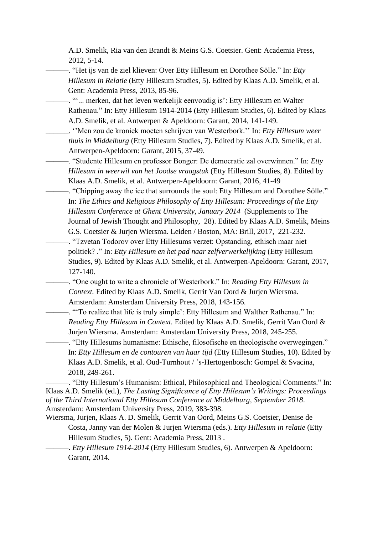A.D. Smelik, Ria van den Brandt & Meins G.S. Coetsier. Gent: Academia Press, 2012, 5-14.

———. "Het ijs van de ziel klieven: Over Etty Hillesum en Dorothee Sölle." In: *Etty Hillesum in Relatie* (Etty Hillesum Studies, 5). Edited by Klaas A.D. Smelik, et al. Gent: Academia Press, 2013, 85-96.

———. "'... merken, dat het leven werkelijk eenvoudig is': Etty Hillesum en Walter Rathenau." In: Etty Hillesum 1914-2014 (Etty Hillesum Studies, 6). Edited by Klaas A.D. Smelik, et al. Antwerpen & Apeldoorn: Garant, 2014, 141-149.

\_\_\_\_\_\_. ''Men zou de kroniek moeten schrijven van Westerbork.'' In: *Etty Hillesum weer thuis in Middelburg* (Etty Hillesum Studies, 7). Edited by Klaas A.D. Smelik, et al. Antwerpen-Apeldoorn: Garant, 2015, 37-49.

———. "Studente Hillesum en professor Bonger: De democratie zal overwinnen." In: *Etty Hillesum in weerwil van het Joodse vraagstuk* (Etty Hillesum Studies, 8). Edited by Klaas A.D. Smelik, et al. Antwerpen-Apeldoorn: Garant, 2016, 41-49

———. "Chipping away the ice that surrounds the soul: Etty Hillesum and Dorothee Sölle." In: *The Ethics and Religious Philosophy of Etty Hillesum: Proceedings of the Etty Hillesum Conference at Ghent University, January 2014* (Supplements to The Journal of Jewish Thought and Philosophy, 28). Edited by Klaas A.D. Smelik, Meins G.S. Coetsier & Jurjen Wiersma. Leiden / Boston, MA: Brill, 2017, 221-232.

———. "Tzvetan Todorov over Etty Hillesums verzet: Opstanding, ethisch maar niet politiek? ." In: *Etty Hillesum en het pad naar zelfverwerkelijking* (Etty Hillesum Studies, 9). Edited by Klaas A.D. Smelik, et al. Antwerpen-Apeldoorn: Garant, 2017, 127-140.

———. "One ought to write a chronicle of Westerbork." In: *Reading Etty Hillesum in Context.* Edited by Klaas A.D. Smelik, Gerrit Van Oord & Jurjen Wiersma. Amsterdam: Amsterdam University Press, 2018, 143-156.

———. "'To realize that life is truly simple': Etty Hillesum and Walther Rathenau." In: *Reading Etty Hillesum in Context.* Edited by Klaas A.D. Smelik, Gerrit Van Oord & Jurjen Wiersma. Amsterdam: Amsterdam University Press, 2018, 245-255.

———. "Etty Hillesums humanisme: Ethische, filosofische en theologische overwegingen." In: *Etty Hillesum en de contouren van haar tijd* (Etty Hillesum Studies, 10). Edited by Klaas A.D. Smelik, et al. Oud-Turnhout / 's-Hertogenbosch: Gompel & Svacina, 2018, 249-261.

———. "Etty Hillesum's Humanism: Ethical, Philosophical and Theological Comments." In: Klaas A.D. Smelik (ed.), *The Lasting Significance of Etty Hillesum's Writings: Proceedings of the Third International Etty Hillesum Conference at Middelburg, September 2018*. Amsterdam: Amsterdam University Press, 2019, 383-398.

Wiersma, Jurjen, Klaas A. D. Smelik, Gerrit Van Oord, Meins G.S. Coetsier, Denise de Costa, Janny van der Molen & Jurjen Wiersma (eds.). *Etty Hillesum in relatie* (Etty Hillesum Studies, 5). Gent: Academia Press, 2013 .

———. *Etty Hillesum 1914-2014* (Etty Hillesum Studies, 6). Antwerpen & Apeldoorn: Garant, 2014.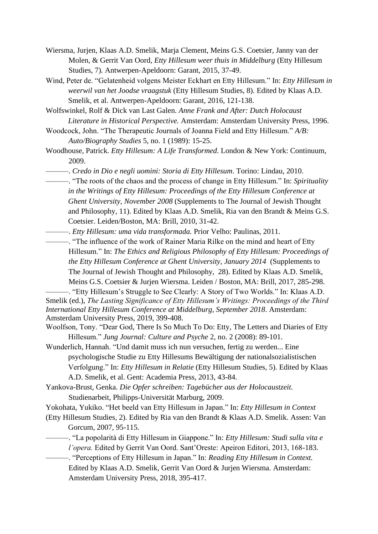- Wiersma, Jurjen, Klaas A.D. Smelik, Marja Clement, Meins G.S. Coetsier, Janny van der Molen, & Gerrit Van Oord, *Etty Hillesum weer thuis in Middelburg* (Etty Hillesum Studies, 7)*.* Antwerpen-Apeldoorn: Garant, 2015, 37-49.
- Wind, Peter de. "Gelatenheid volgens Meister Eckhart en Etty Hillesum." In: *Etty Hillesum in weerwil van het Joodse vraagstuk* (Etty Hillesum Studies, 8). Edited by Klaas A.D. Smelik, et al. Antwerpen-Apeldoorn: Garant, 2016, 121-138.
- Wolfswinkel, Rolf & Dick van Last Galen. *Anne Frank and After: Dutch Holocaust Literature in Historical Perspective.* Amsterdam: Amsterdam University Press, 1996.
- Woodcock, John. "The Therapeutic Journals of Joanna Field and Etty Hillesum." *A/B: Auto/Biography Studies* 5, no. 1 (1989): 15-25.
- Woodhouse, Patrick. *Etty Hillesum: A Life Transformed*. London & New York: Continuum, 2009.
- ———. *Credo in Dio e negli uomini: Storia di Etty Hillesum*. Torino: Lindau, 2010.
	- ———. "The roots of the chaos and the process of change in Etty Hillesum." In: *Spirituality in the Writings of Etty Hillesum: Proceedings of the Etty Hillesum Conference at Ghent University, November 2008* (Supplements to The Journal of Jewish Thought and Philosophy, 11). Edited by Klaas A.D. Smelik, Ria van den Brandt & Meins G.S. Coetsier. Leiden/Boston, MA: Brill, 2010, 31-42.
- ———. *Etty Hillesum: uma vida transformada.* Prior Velho: Paulinas, 2011.
	- ———. "The influence of the work of Rainer Maria Rilke on the mind and heart of Etty Hillesum." In: *The Ethics and Religious Philosophy of Etty Hillesum: Proceedings of the Etty Hillesum Conference at Ghent University, January 2014* (Supplements to The Journal of Jewish Thought and Philosophy, 28). Edited by Klaas A.D. Smelik, Meins G.S. Coetsier & Jurjen Wiersma. Leiden / Boston, MA: Brill, 2017, 285-298.

-. "Etty Hillesum's Struggle to See Clearly: A Story of Two Worlds." In: Klaas A.D. Smelik (ed.), *The Lasting Significance of Etty Hillesum's Writings: Proceedings of the Third International Etty Hillesum Conference at Middelburg, September 2018*. Amsterdam: Amsterdam University Press, 2019, 399-408.

- Woolfson, Tony. "Dear God, There Is So Much To Do: Etty, The Letters and Diaries of Etty Hillesum." *Jung Journal: Culture and Psyche* 2, no. 2 (2008): 89-101.
- Wunderlich, Hannah. "Und damit muss ich nun versuchen, fertig zu werden... Eine psychologische Studie zu Etty Hillesums Bewältigung der nationalsozialistischen Verfolgung." In: *Etty Hillesum in Relatie* (Etty Hillesum Studies, 5). Edited by Klaas A.D. Smelik, et al. Gent: Academia Press, 2013, 43-84.
- Yankova-Brust, Genka. *Die Opfer schreiben: Tagebücher aus der Holocaustzeit.* Studienarbeit, Philipps-Universität Marburg, 2009.

Yokohata, Yukiko. "Het beeld van Etty Hillesum in Japan." In: *Etty Hillesum in Context*

- (Etty Hillesum Studies, 2). Edited by Ria van den Brandt & Klaas A.D. Smelik. Assen: Van Gorcum, 2007, 95-115.
	- ———. "La popolarità di Etty Hillesum in Giappone." In: *Etty Hillesum: Studi sulla vita e l'opera.* Edited by Gerrit Van Oord. Sant'Oreste: Apeiron Editori, 2013, 168-183.
		- ———. "Perceptions of Etty Hillesum in Japan." In: *Reading Etty Hillesum in Context.*  Edited by Klaas A.D. Smelik, Gerrit Van Oord & Jurjen Wiersma. Amsterdam: Amsterdam University Press, 2018, 395-417.